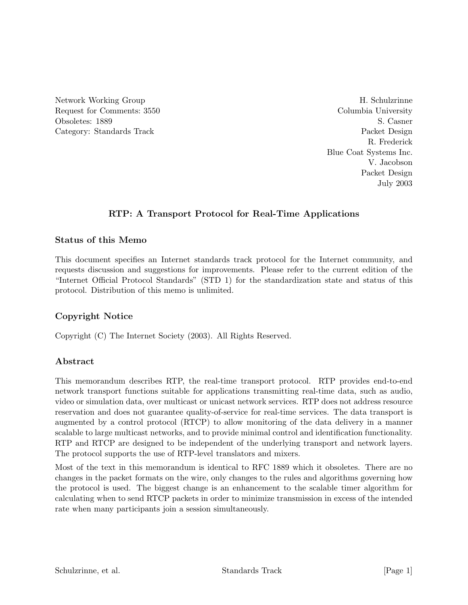Network Working Group H. Schulzrinne Request for Comments: 3550 Columbia University Obsoletes: 1889 S. Casner Category: Standards Track Packet Design

R. Frederick Blue Coat Systems Inc. V. Jacobson Packet Design July 2003

# **RTP: A Transport Protocol for Real-Time Applications**

# **Status of this Memo**

This document specifies an Internet standards track protocol for the Internet community, and requests discussion and suggestions for improvements. Please refer to the current edition of the "Internet Official Protocol Standards" (STD 1) for the standardization state and status of this protocol. Distribution of this memo is unlimited.

# **Copyright Notice**

Copyright (C) The Internet Society (2003). All Rights Reserved.

# **Abstract**

This memorandum describes RTP, the real-time transport protocol. RTP provides end-to-end network transport functions suitable for applications transmitting real-time data, such as audio, video or simulation data, over multicast or unicast network services. RTP does not address resource reservation and does not guarantee quality-of-service for real-time services. The data transport is augmented by a control protocol (RTCP) to allow monitoring of the data delivery in a manner scalable to large multicast networks, and to provide minimal control and identification functionality. RTP and RTCP are designed to be independent of the underlying transport and network layers. The protocol supports the use of RTP-level translators and mixers.

Most of the text in this memorandum is identical to RFC 1889 which it obsoletes. There are no changes in the packet formats on the wire, only changes to the rules and algorithms governing how the protocol is used. The biggest change is an enhancement to the scalable timer algorithm for calculating when to send RTCP packets in order to minimize transmission in excess of the intended rate when many participants join a session simultaneously.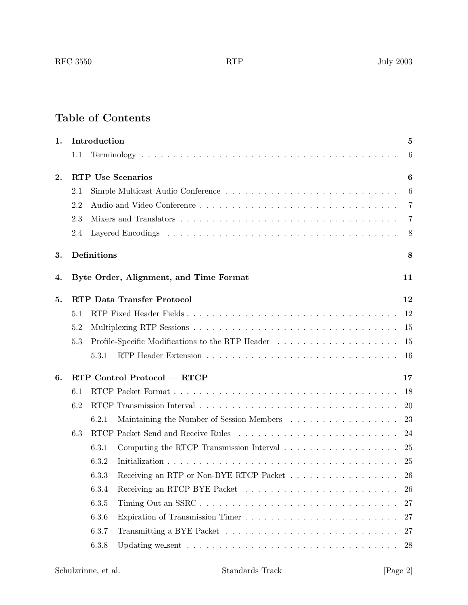# **Table of Contents**

| 1. |                                   | Introduction<br>$\bf{5}$                                 |  |  |  |  |  |
|----|-----------------------------------|----------------------------------------------------------|--|--|--|--|--|
|    | 1.1                               | 6                                                        |  |  |  |  |  |
| 2. | <b>RTP</b> Use Scenarios          |                                                          |  |  |  |  |  |
|    | 2.1                               | $6\phantom{.}6$                                          |  |  |  |  |  |
|    | 2.2                               | 7                                                        |  |  |  |  |  |
|    | 2.3                               | 7                                                        |  |  |  |  |  |
|    | 2.4                               | 8                                                        |  |  |  |  |  |
| 3. | Definitions<br>8                  |                                                          |  |  |  |  |  |
| 4. |                                   | Byte Order, Alignment, and Time Format<br>11             |  |  |  |  |  |
| 5. |                                   | <b>RTP</b> Data Transfer Protocol<br>12                  |  |  |  |  |  |
|    | 5.1                               | 12                                                       |  |  |  |  |  |
|    | 5.2                               | 15                                                       |  |  |  |  |  |
|    | 5.3                               | 15                                                       |  |  |  |  |  |
|    |                                   | 5.3.1<br>16                                              |  |  |  |  |  |
| 6. | RTP Control Protocol — RTCP<br>17 |                                                          |  |  |  |  |  |
|    | 6.1                               | 18                                                       |  |  |  |  |  |
|    | 6.2                               | 20                                                       |  |  |  |  |  |
|    |                                   | 6.2.1<br>Maintaining the Number of Session Members<br>23 |  |  |  |  |  |
|    | 6.3                               | 24                                                       |  |  |  |  |  |
|    |                                   | 6.3.1<br>25                                              |  |  |  |  |  |
|    |                                   | 6.3.2<br>25                                              |  |  |  |  |  |
|    |                                   | 6.3.3 Receiving an RTP or Non-BYE RTCP Packet<br>26      |  |  |  |  |  |
|    |                                   | 6.3.4<br>26                                              |  |  |  |  |  |
|    |                                   | Timing Out an SSRC<br>6.3.5<br>27                        |  |  |  |  |  |
|    |                                   | 6.3.6<br>27                                              |  |  |  |  |  |
|    |                                   | 6.3.7<br>27                                              |  |  |  |  |  |
|    |                                   | 6.3.8<br>28                                              |  |  |  |  |  |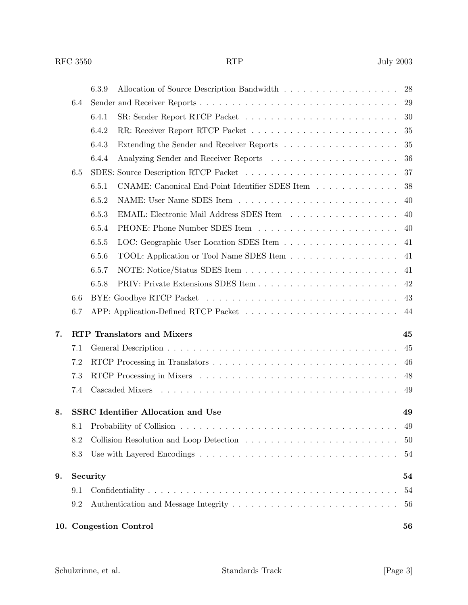|    |          |                                                 | 10. Congestion Control                          | 56 |  |  |  |  |  |
|----|----------|-------------------------------------------------|-------------------------------------------------|----|--|--|--|--|--|
|    | 9.2      |                                                 |                                                 | 56 |  |  |  |  |  |
|    | 9.1      |                                                 |                                                 | 54 |  |  |  |  |  |
| 9. | Security |                                                 |                                                 |    |  |  |  |  |  |
|    | 8.3      |                                                 |                                                 | 54 |  |  |  |  |  |
|    | 8.2      |                                                 |                                                 | 50 |  |  |  |  |  |
|    | 8.1      |                                                 |                                                 | 49 |  |  |  |  |  |
| 8. |          | <b>SSRC</b> Identifier Allocation and Use<br>49 |                                                 |    |  |  |  |  |  |
|    |          |                                                 |                                                 |    |  |  |  |  |  |
|    | 7.4      |                                                 |                                                 | 49 |  |  |  |  |  |
|    | 7.3      |                                                 |                                                 | 48 |  |  |  |  |  |
|    | 7.2      |                                                 |                                                 | 46 |  |  |  |  |  |
|    | 7.1      |                                                 |                                                 |    |  |  |  |  |  |
| 7. |          | <b>RTP</b> Translators and Mixers<br>45         |                                                 |    |  |  |  |  |  |
|    | 6.7      |                                                 |                                                 | 44 |  |  |  |  |  |
|    | 6.6      |                                                 | 43                                              |    |  |  |  |  |  |
|    |          | 6.5.8                                           |                                                 | 42 |  |  |  |  |  |
|    |          | 6.5.7                                           |                                                 | 41 |  |  |  |  |  |
|    |          | 6.5.6                                           |                                                 | 41 |  |  |  |  |  |
|    |          | 6.5.5                                           |                                                 | 41 |  |  |  |  |  |
|    |          | 6.5.4                                           |                                                 | 40 |  |  |  |  |  |
|    |          | 6.5.3                                           | EMAIL: Electronic Mail Address SDES Item        | 40 |  |  |  |  |  |
|    |          | 6.5.2                                           |                                                 | 40 |  |  |  |  |  |
|    |          | 6.5.1                                           | CNAME: Canonical End-Point Identifier SDES Item | 38 |  |  |  |  |  |
|    | 6.5      |                                                 |                                                 | 37 |  |  |  |  |  |
|    |          | 6.4.4                                           |                                                 | 36 |  |  |  |  |  |
|    |          | 6.4.3                                           |                                                 | 35 |  |  |  |  |  |
|    |          | 6.4.2                                           |                                                 | 35 |  |  |  |  |  |
|    |          | 6.4.1                                           |                                                 | 30 |  |  |  |  |  |
|    | 6.4      |                                                 |                                                 | 29 |  |  |  |  |  |
|    |          | 6.3.9                                           |                                                 | 28 |  |  |  |  |  |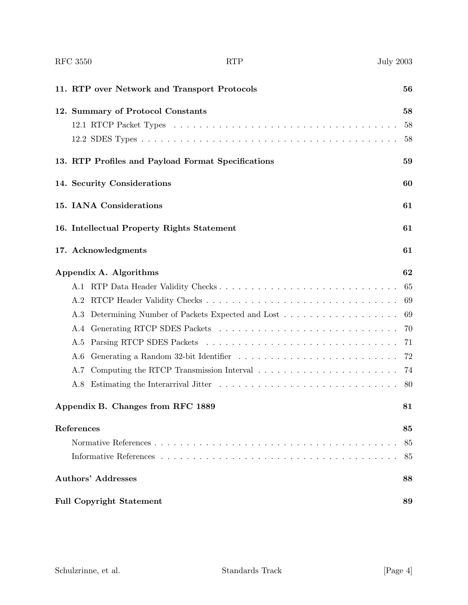| <b>RFC 3550</b><br><b>RTP</b>                                                                                    | <b>July 2003</b> |
|------------------------------------------------------------------------------------------------------------------|------------------|
| 11. RTP over Network and Transport Protocols                                                                     | 56               |
| 12. Summary of Protocol Constants                                                                                | 58               |
|                                                                                                                  | 58               |
|                                                                                                                  | 58               |
| 13. RTP Profiles and Payload Format Specifications                                                               | 59               |
| 14. Security Considerations                                                                                      | 60               |
| 15. IANA Considerations                                                                                          | 61               |
| 16. Intellectual Property Rights Statement                                                                       | 61               |
| 17. Acknowledgments                                                                                              | 61               |
| Appendix A. Algorithms                                                                                           | 62               |
| RTP Data Header Validity Checks<br>A.1                                                                           | 65               |
| A.2                                                                                                              | 69               |
| A.3                                                                                                              | 69               |
| A.4                                                                                                              | 70               |
| A.5                                                                                                              | 71               |
| A.6                                                                                                              | 72               |
| Computing the RTCP Transmission Interval $\ldots \ldots \ldots \ldots \ldots \ldots \ldots \ldots \ldots$<br>A.7 | 74               |
| A.8                                                                                                              | 80               |
| Appendix B. Changes from RFC 1889                                                                                | 81               |
| References                                                                                                       | 85               |
|                                                                                                                  | 85               |
|                                                                                                                  | 85               |
| <b>Authors' Addresses</b>                                                                                        | 88               |
| <b>Full Copyright Statement</b>                                                                                  | 89               |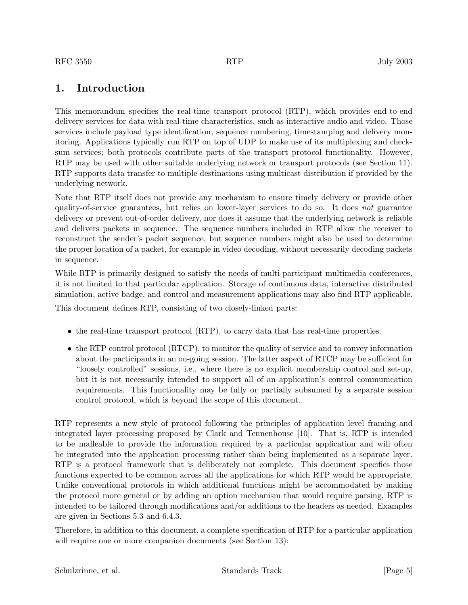# **1. Introduction**

This memorandum specifies the real-time transport protocol (RTP), which provides end-to-end delivery services for data with real-time characteristics, such as interactive audio and video. Those services include payload type identification, sequence numbering, timestamping and delivery monitoring. Applications typically run RTP on top of UDP to make use of its multiplexing and checksum services; both protocols contribute parts of the transport protocol functionality. However, RTP may be used with other suitable underlying network or transport protocols (see Section 11). RTP supports data transfer to multiple destinations using multicast distribution if provided by the underlying network.

Note that RTP itself does not provide any mechanism to ensure timely delivery or provide other quality-of-service guarantees, but relies on lower-layer services to do so. It does *not* guarantee delivery or prevent out-of-order delivery, nor does it assume that the underlying network is reliable and delivers packets in sequence. The sequence numbers included in RTP allow the receiver to reconstruct the sender's packet sequence, but sequence numbers might also be used to determine the proper location of a packet, for example in video decoding, without necessarily decoding packets in sequence.

While RTP is primarily designed to satisfy the needs of multi-participant multimedia conferences, it is not limited to that particular application. Storage of continuous data, interactive distributed simulation, active badge, and control and measurement applications may also find RTP applicable.

This document defines RTP, consisting of two closely-linked parts:

- the real-time transport protocol (RTP), to carry data that has real-time properties.
- the RTP control protocol (RTCP), to monitor the quality of service and to convey information about the participants in an on-going session. The latter aspect of RTCP may be sufficient for "loosely controlled" sessions, i.e., where there is no explicit membership control and set-up, but it is not necessarily intended to support all of an application's control communication requirements. This functionality may be fully or partially subsumed by a separate session control protocol, which is beyond the scope of this document.

RTP represents a new style of protocol following the principles of application level framing and integrated layer processing proposed by Clark and Tennenhouse [10]. That is, RTP is intended to be malleable to provide the information required by a particular application and will often be integrated into the application processing rather than being implemented as a separate layer. RTP is a protocol framework that is deliberately not complete. This document specifies those functions expected to be common across all the applications for which RTP would be appropriate. Unlike conventional protocols in which additional functions might be accommodated by making the protocol more general or by adding an option mechanism that would require parsing, RTP is intended to be tailored through modifications and/or additions to the headers as needed. Examples are given in Sections 5.3 and 6.4.3.

Therefore, in addition to this document, a complete specification of RTP for a particular application will require one or more companion documents (see Section 13):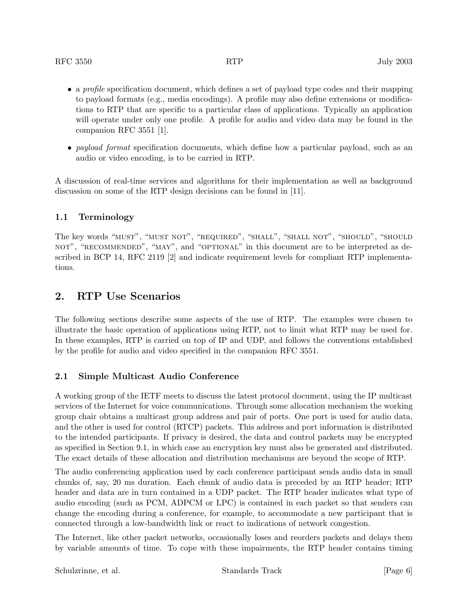- a *profile* specification document, which defines a set of payload type codes and their mapping to payload formats (e.g., media encodings). A profile may also define extensions or modifications to RTP that are specific to a particular class of applications. Typically an application will operate under only one profile. A profile for audio and video data may be found in the companion RFC 3551 [1].
- *payload format* specification documents, which define how a particular payload, such as an audio or video encoding, is to be carried in RTP.

A discussion of real-time services and algorithms for their implementation as well as background discussion on some of the RTP design decisions can be found in [11].

# **1.1 Terminology**

The key words "MUST", "MUST NOT", "REQUIRED", "SHALL", "SHALL NOT", "SHOULD", "SHOULD not", "RECOMMENDED", "MAY", and "OPTIONAL" in this document are to be interpreted as described in BCP 14, RFC 2119 [2] and indicate requirement levels for compliant RTP implementations.

# **2. RTP Use Scenarios**

The following sections describe some aspects of the use of RTP. The examples were chosen to illustrate the basic operation of applications using RTP, not to limit what RTP may be used for. In these examples, RTP is carried on top of IP and UDP, and follows the conventions established by the profile for audio and video specified in the companion RFC 3551.

# **2.1 Simple Multicast Audio Conference**

A working group of the IETF meets to discuss the latest protocol document, using the IP multicast services of the Internet for voice communications. Through some allocation mechanism the working group chair obtains a multicast group address and pair of ports. One port is used for audio data, and the other is used for control (RTCP) packets. This address and port information is distributed to the intended participants. If privacy is desired, the data and control packets may be encrypted as specified in Section 9.1, in which case an encryption key must also be generated and distributed. The exact details of these allocation and distribution mechanisms are beyond the scope of RTP.

The audio conferencing application used by each conference participant sends audio data in small chunks of, say, 20 ms duration. Each chunk of audio data is preceded by an RTP header; RTP header and data are in turn contained in a UDP packet. The RTP header indicates what type of audio encoding (such as PCM, ADPCM or LPC) is contained in each packet so that senders can change the encoding during a conference, for example, to accommodate a new participant that is connected through a low-bandwidth link or react to indications of network congestion.

The Internet, like other packet networks, occasionally loses and reorders packets and delays them by variable amounts of time. To cope with these impairments, the RTP header contains timing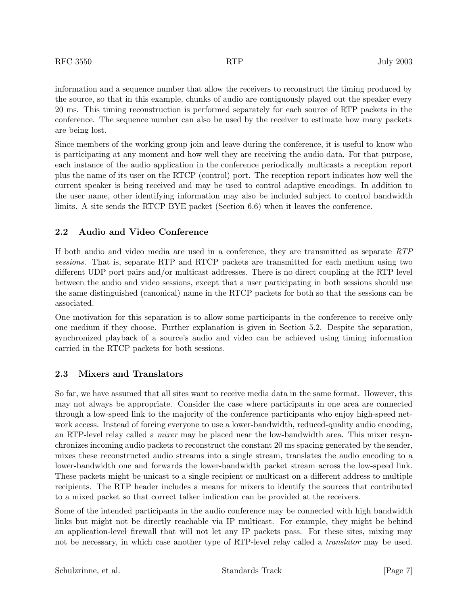# RFC 3550 July 2003

information and a sequence number that allow the receivers to reconstruct the timing produced by the source, so that in this example, chunks of audio are contiguously played out the speaker every 20 ms. This timing reconstruction is performed separately for each source of RTP packets in the conference. The sequence number can also be used by the receiver to estimate how many packets are being lost.

Since members of the working group join and leave during the conference, it is useful to know who is participating at any moment and how well they are receiving the audio data. For that purpose, each instance of the audio application in the conference periodically multicasts a reception report plus the name of its user on the RTCP (control) port. The reception report indicates how well the current speaker is being received and may be used to control adaptive encodings. In addition to the user name, other identifying information may also be included subject to control bandwidth limits. A site sends the RTCP BYE packet (Section 6.6) when it leaves the conference.

# **2.2 Audio and Video Conference**

If both audio and video media are used in a conference, they are transmitted as separate *RTP sessions.* That is, separate RTP and RTCP packets are transmitted for each medium using two different UDP port pairs and/or multicast addresses. There is no direct coupling at the RTP level between the audio and video sessions, except that a user participating in both sessions should use the same distinguished (canonical) name in the RTCP packets for both so that the sessions can be associated.

One motivation for this separation is to allow some participants in the conference to receive only one medium if they choose. Further explanation is given in Section 5.2. Despite the separation, synchronized playback of a source's audio and video can be achieved using timing information carried in the RTCP packets for both sessions.

# **2.3 Mixers and Translators**

So far, we have assumed that all sites want to receive media data in the same format. However, this may not always be appropriate. Consider the case where participants in one area are connected through a low-speed link to the majority of the conference participants who enjoy high-speed network access. Instead of forcing everyone to use a lower-bandwidth, reduced-quality audio encoding, an RTP-level relay called a *mixer* may be placed near the low-bandwidth area. This mixer resynchronizes incoming audio packets to reconstruct the constant 20 ms spacing generated by the sender, mixes these reconstructed audio streams into a single stream, translates the audio encoding to a lower-bandwidth one and forwards the lower-bandwidth packet stream across the low-speed link. These packets might be unicast to a single recipient or multicast on a different address to multiple recipients. The RTP header includes a means for mixers to identify the sources that contributed to a mixed packet so that correct talker indication can be provided at the receivers.

Some of the intended participants in the audio conference may be connected with high bandwidth links but might not be directly reachable via IP multicast. For example, they might be behind an application-level firewall that will not let any IP packets pass. For these sites, mixing may not be necessary, in which case another type of RTP-level relay called a *translator* may be used.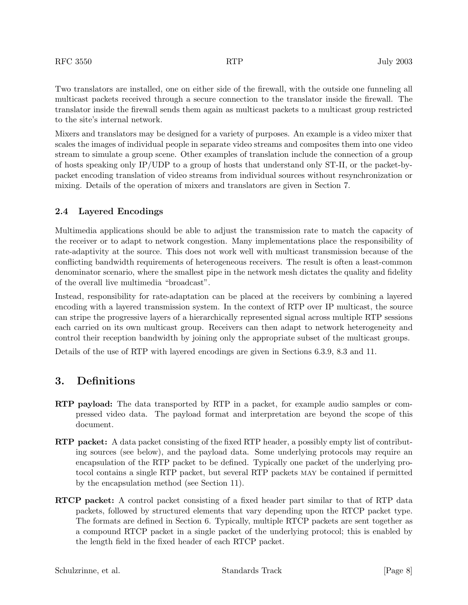Two translators are installed, one on either side of the firewall, with the outside one funneling all multicast packets received through a secure connection to the translator inside the firewall. The translator inside the firewall sends them again as multicast packets to a multicast group restricted to the site's internal network.

Mixers and translators may be designed for a variety of purposes. An example is a video mixer that scales the images of individual people in separate video streams and composites them into one video stream to simulate a group scene. Other examples of translation include the connection of a group of hosts speaking only IP/UDP to a group of hosts that understand only ST-II, or the packet-bypacket encoding translation of video streams from individual sources without resynchronization or mixing. Details of the operation of mixers and translators are given in Section 7.

# **2.4 Layered Encodings**

Multimedia applications should be able to adjust the transmission rate to match the capacity of the receiver or to adapt to network congestion. Many implementations place the responsibility of rate-adaptivity at the source. This does not work well with multicast transmission because of the conflicting bandwidth requirements of heterogeneous receivers. The result is often a least-common denominator scenario, where the smallest pipe in the network mesh dictates the quality and fidelity of the overall live multimedia "broadcast".

Instead, responsibility for rate-adaptation can be placed at the receivers by combining a layered encoding with a layered transmission system. In the context of RTP over IP multicast, the source can stripe the progressive layers of a hierarchically represented signal across multiple RTP sessions each carried on its own multicast group. Receivers can then adapt to network heterogeneity and control their reception bandwidth by joining only the appropriate subset of the multicast groups.

Details of the use of RTP with layered encodings are given in Sections 6.3.9, 8.3 and 11.

# **3. Definitions**

- **RTP payload:** The data transported by RTP in a packet, for example audio samples or compressed video data. The payload format and interpretation are beyond the scope of this document.
- **RTP packet:** A data packet consisting of the fixed RTP header, a possibly empty list of contributing sources (see below), and the payload data. Some underlying protocols may require an encapsulation of the RTP packet to be defined. Typically one packet of the underlying protocol contains a single RTP packet, but several RTP packets may be contained if permitted by the encapsulation method (see Section 11).
- **RTCP packet:** A control packet consisting of a fixed header part similar to that of RTP data packets, followed by structured elements that vary depending upon the RTCP packet type. The formats are defined in Section 6. Typically, multiple RTCP packets are sent together as a compound RTCP packet in a single packet of the underlying protocol; this is enabled by the length field in the fixed header of each RTCP packet.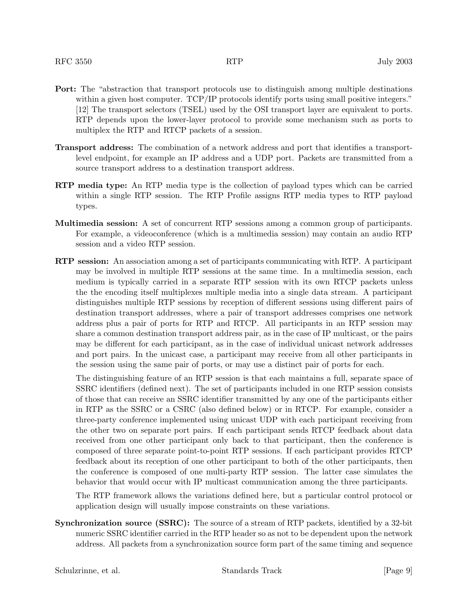- **Port:** The "abstraction that transport protocols use to distinguish among multiple destinations within a given host computer. TCP/IP protocols identify ports using small positive integers." [12] The transport selectors (TSEL) used by the OSI transport layer are equivalent to ports. RTP depends upon the lower-layer protocol to provide some mechanism such as ports to multiplex the RTP and RTCP packets of a session.
- **Transport address:** The combination of a network address and port that identifies a transportlevel endpoint, for example an IP address and a UDP port. Packets are transmitted from a source transport address to a destination transport address.
- **RTP media type:** An RTP media type is the collection of payload types which can be carried within a single RTP session. The RTP Profile assigns RTP media types to RTP payload types.
- **Multimedia session:** A set of concurrent RTP sessions among a common group of participants. For example, a videoconference (which is a multimedia session) may contain an audio RTP session and a video RTP session.
- **RTP session:** An association among a set of participants communicating with RTP. A participant may be involved in multiple RTP sessions at the same time. In a multimedia session, each medium is typically carried in a separate RTP session with its own RTCP packets unless the the encoding itself multiplexes multiple media into a single data stream. A participant distinguishes multiple RTP sessions by reception of different sessions using different pairs of destination transport addresses, where a pair of transport addresses comprises one network address plus a pair of ports for RTP and RTCP. All participants in an RTP session may share a common destination transport address pair, as in the case of IP multicast, or the pairs may be different for each participant, as in the case of individual unicast network addresses and port pairs. In the unicast case, a participant may receive from all other participants in the session using the same pair of ports, or may use a distinct pair of ports for each.

The distinguishing feature of an RTP session is that each maintains a full, separate space of SSRC identifiers (defined next). The set of participants included in one RTP session consists of those that can receive an SSRC identifier transmitted by any one of the participants either in RTP as the SSRC or a CSRC (also defined below) or in RTCP. For example, consider a three-party conference implemented using unicast UDP with each participant receiving from the other two on separate port pairs. If each participant sends RTCP feedback about data received from one other participant only back to that participant, then the conference is composed of three separate point-to-point RTP sessions. If each participant provides RTCP feedback about its reception of one other participant to both of the other participants, then the conference is composed of one multi-party RTP session. The latter case simulates the behavior that would occur with IP multicast communication among the three participants.

The RTP framework allows the variations defined here, but a particular control protocol or application design will usually impose constraints on these variations.

**Synchronization source (SSRC):** The source of a stream of RTP packets, identified by a 32-bit numeric SSRC identifier carried in the RTP header so as not to be dependent upon the network address. All packets from a synchronization source form part of the same timing and sequence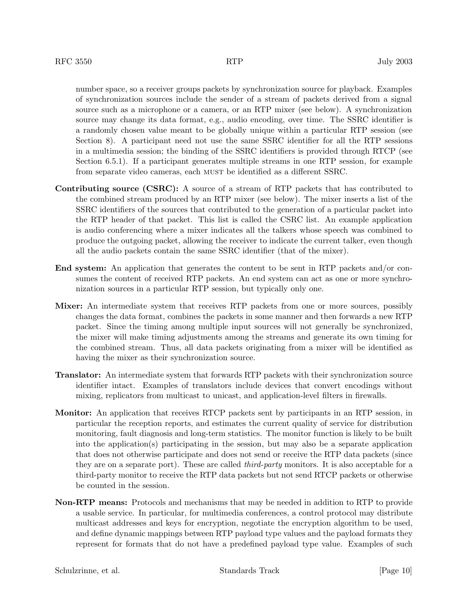number space, so a receiver groups packets by synchronization source for playback. Examples of synchronization sources include the sender of a stream of packets derived from a signal source such as a microphone or a camera, or an RTP mixer (see below). A synchronization source may change its data format, e.g., audio encoding, over time. The SSRC identifier is a randomly chosen value meant to be globally unique within a particular RTP session (see Section 8). A participant need not use the same SSRC identifier for all the RTP sessions in a multimedia session; the binding of the SSRC identifiers is provided through RTCP (see Section 6.5.1). If a participant generates multiple streams in one RTP session, for example from separate video cameras, each MUST be identified as a different SSRC.

- **Contributing source (CSRC):** A source of a stream of RTP packets that has contributed to the combined stream produced by an RTP mixer (see below). The mixer inserts a list of the SSRC identifiers of the sources that contributed to the generation of a particular packet into the RTP header of that packet. This list is called the CSRC list. An example application is audio conferencing where a mixer indicates all the talkers whose speech was combined to produce the outgoing packet, allowing the receiver to indicate the current talker, even though all the audio packets contain the same SSRC identifier (that of the mixer).
- **End system:** An application that generates the content to be sent in RTP packets and/or consumes the content of received RTP packets. An end system can act as one or more synchronization sources in a particular RTP session, but typically only one.
- **Mixer:** An intermediate system that receives RTP packets from one or more sources, possibly changes the data format, combines the packets in some manner and then forwards a new RTP packet. Since the timing among multiple input sources will not generally be synchronized, the mixer will make timing adjustments among the streams and generate its own timing for the combined stream. Thus, all data packets originating from a mixer will be identified as having the mixer as their synchronization source.
- **Translator:** An intermediate system that forwards RTP packets with their synchronization source identifier intact. Examples of translators include devices that convert encodings without mixing, replicators from multicast to unicast, and application-level filters in firewalls.
- **Monitor:** An application that receives RTCP packets sent by participants in an RTP session, in particular the reception reports, and estimates the current quality of service for distribution monitoring, fault diagnosis and long-term statistics. The monitor function is likely to be built into the application(s) participating in the session, but may also be a separate application that does not otherwise participate and does not send or receive the RTP data packets (since they are on a separate port). These are called *third-party* monitors. It is also acceptable for a third-party monitor to receive the RTP data packets but not send RTCP packets or otherwise be counted in the session.
- **Non-RTP means:** Protocols and mechanisms that may be needed in addition to RTP to provide a usable service. In particular, for multimedia conferences, a control protocol may distribute multicast addresses and keys for encryption, negotiate the encryption algorithm to be used, and define dynamic mappings between RTP payload type values and the payload formats they represent for formats that do not have a predefined payload type value. Examples of such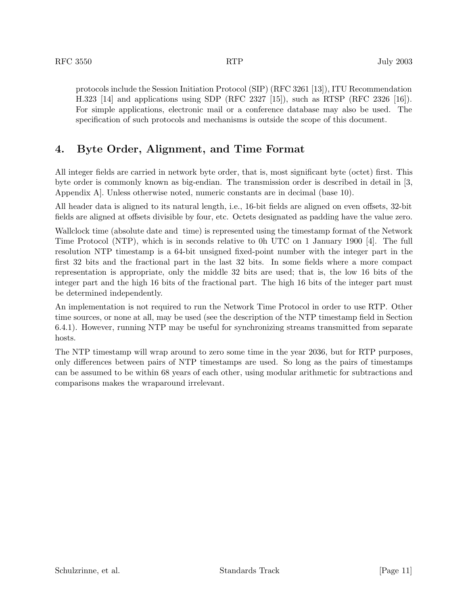protocols include the Session Initiation Protocol (SIP) (RFC 3261 [13]), ITU Recommendation H.323 [14] and applications using SDP (RFC 2327 [15]), such as RTSP (RFC 2326 [16]). For simple applications, electronic mail or a conference database may also be used. The specification of such protocols and mechanisms is outside the scope of this document.

# **4. Byte Order, Alignment, and Time Format**

All integer fields are carried in network byte order, that is, most significant byte (octet) first. This byte order is commonly known as big-endian. The transmission order is described in detail in [3, Appendix A]. Unless otherwise noted, numeric constants are in decimal (base 10).

All header data is aligned to its natural length, i.e., 16-bit fields are aligned on even offsets, 32-bit fields are aligned at offsets divisible by four, etc. Octets designated as padding have the value zero.

Wallclock time (absolute date and time) is represented using the timestamp format of the Network Time Protocol (NTP), which is in seconds relative to 0h UTC on 1 January 1900 [4]. The full resolution NTP timestamp is a 64-bit unsigned fixed-point number with the integer part in the first 32 bits and the fractional part in the last 32 bits. In some fields where a more compact representation is appropriate, only the middle 32 bits are used; that is, the low 16 bits of the integer part and the high 16 bits of the fractional part. The high 16 bits of the integer part must be determined independently.

An implementation is not required to run the Network Time Protocol in order to use RTP. Other time sources, or none at all, may be used (see the description of the NTP timestamp field in Section 6.4.1). However, running NTP may be useful for synchronizing streams transmitted from separate hosts.

The NTP timestamp will wrap around to zero some time in the year 2036, but for RTP purposes, only differences between pairs of NTP timestamps are used. So long as the pairs of timestamps can be assumed to be within 68 years of each other, using modular arithmetic for subtractions and comparisons makes the wraparound irrelevant.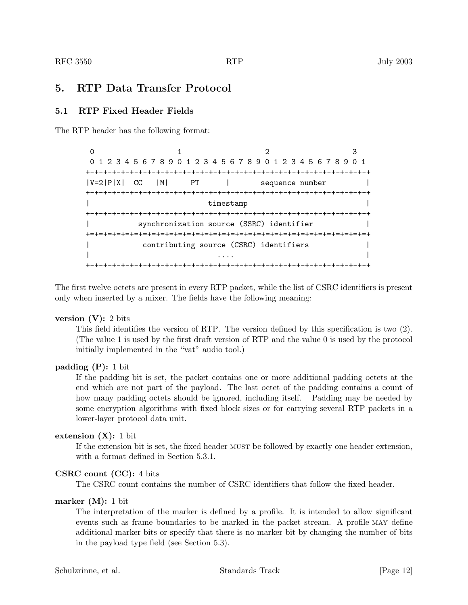# **5. RTP Data Transfer Protocol**

#### **5.1 RTP Fixed Header Fields**

The RTP header has the following format:

0 1 2 3 01234567890123456789012345678901 +-+-+-+-+-+-+-+-+-+-+-+-+-+-+-+-+-+-+-+-+-+-+-+-+-+-+-+-+-+-+-+-+  $|V=2|P|X|$  CC  $|M|$  PT | sequence number | +-+-+-+-+-+-+-+-+-+-+-+-+-+-+-+-+-+-+-+-+-+-+-+-+-+-+-+-+-+-+-+-+ timestamp +-+-+-+-+-+-+-+-+-+-+-+-+-+-+-+-+-+-+-+-+-+-+-+-+-+-+-+-+-+-+-+-+ | synchronization source (SSRC) identifier | +=+=+=+=+=+=+=+=+=+=+=+=+=+=+=+=+=+=+=+=+=+=+=+=+=+=+=+=+=+=+=+=+ | contributing source (CSRC) identifiers | | ... | ... | ... | ... | ... | ... | ... | ... | ... | ... | ... | ... | ... | ... | ... | ... | ... | ... | 1 +-+-+-+-+-+-+-+-+-+-+-+-+-+-+-+-+-+-+-+-+-+-+-+-+-+-+-+-+-+-+-+-+

The first twelve octets are present in every RTP packet, while the list of CSRC identifiers is present only when inserted by a mixer. The fields have the following meaning:

#### **version (V):** 2 bits

This field identifies the version of RTP. The version defined by this specification is two (2). (The value 1 is used by the first draft version of RTP and the value 0 is used by the protocol initially implemented in the "vat" audio tool.)

#### **padding (P):** 1 bit

If the padding bit is set, the packet contains one or more additional padding octets at the end which are not part of the payload. The last octet of the padding contains a count of how many padding octets should be ignored, including itself. Padding may be needed by some encryption algorithms with fixed block sizes or for carrying several RTP packets in a lower-layer protocol data unit.

#### **extension (X):** 1 bit

If the extension bit is set, the fixed header must be followed by exactly one header extension, with a format defined in Section 5.3.1.

#### **CSRC count (CC):** 4 bits

The CSRC count contains the number of CSRC identifiers that follow the fixed header.

#### **marker (M):** 1 bit

The interpretation of the marker is defined by a profile. It is intended to allow significant events such as frame boundaries to be marked in the packet stream. A profile may define additional marker bits or specify that there is no marker bit by changing the number of bits in the payload type field (see Section 5.3).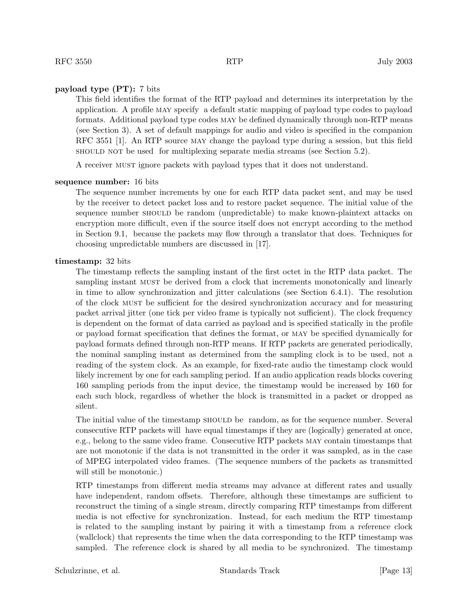#### **payload type (PT):** 7 bits

This field identifies the format of the RTP payload and determines its interpretation by the application. A profile may specify a default static mapping of payload type codes to payload formats. Additional payload type codes may be defined dynamically through non-RTP means (see Section 3). A set of default mappings for audio and video is specified in the companion RFC 3551 [1]. An RTP source may change the payload type during a session, but this field should not be used for multiplexing separate media streams (see Section 5.2).

A receiver must ignore packets with payload types that it does not understand.

#### **sequence number:** 16 bits

The sequence number increments by one for each RTP data packet sent, and may be used by the receiver to detect packet loss and to restore packet sequence. The initial value of the sequence number SHOULD be random (unpredictable) to make known-plaintext attacks on encryption more difficult, even if the source itself does not encrypt according to the method in Section 9.1, because the packets may flow through a translator that does. Techniques for choosing unpredictable numbers are discussed in [17].

#### **timestamp:** 32 bits

The timestamp reflects the sampling instant of the first octet in the RTP data packet. The sampling instant must be derived from a clock that increments monotonically and linearly in time to allow synchronization and jitter calculations (see Section 6.4.1). The resolution of the clock must be sufficient for the desired synchronization accuracy and for measuring packet arrival jitter (one tick per video frame is typically not sufficient). The clock frequency is dependent on the format of data carried as payload and is specified statically in the profile or payload format specification that defines the format, or may be specified dynamically for payload formats defined through non-RTP means. If RTP packets are generated periodically, the nominal sampling instant as determined from the sampling clock is to be used, not a reading of the system clock. As an example, for fixed-rate audio the timestamp clock would likely increment by one for each sampling period. If an audio application reads blocks covering 160 sampling periods from the input device, the timestamp would be increased by 160 for each such block, regardless of whether the block is transmitted in a packet or dropped as silent.

The initial value of the timestamp should be random, as for the sequence number. Several consecutive RTP packets will have equal timestamps if they are (logically) generated at once, e.g., belong to the same video frame. Consecutive RTP packets may contain timestamps that are not monotonic if the data is not transmitted in the order it was sampled, as in the case of MPEG interpolated video frames. (The sequence numbers of the packets as transmitted will still be monotonic.)

RTP timestamps from different media streams may advance at different rates and usually have independent, random offsets. Therefore, although these timestamps are sufficient to reconstruct the timing of a single stream, directly comparing RTP timestamps from different media is not effective for synchronization. Instead, for each medium the RTP timestamp is related to the sampling instant by pairing it with a timestamp from a reference clock (wallclock) that represents the time when the data corresponding to the RTP timestamp was sampled. The reference clock is shared by all media to be synchronized. The timestamp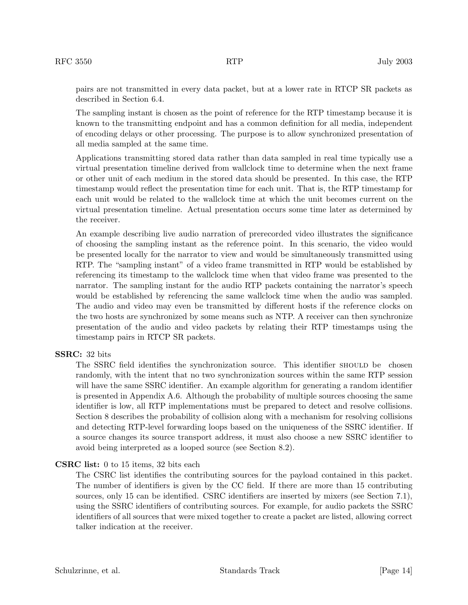pairs are not transmitted in every data packet, but at a lower rate in RTCP SR packets as described in Section 6.4.

The sampling instant is chosen as the point of reference for the RTP timestamp because it is known to the transmitting endpoint and has a common definition for all media, independent of encoding delays or other processing. The purpose is to allow synchronized presentation of all media sampled at the same time.

Applications transmitting stored data rather than data sampled in real time typically use a virtual presentation timeline derived from wallclock time to determine when the next frame or other unit of each medium in the stored data should be presented. In this case, the RTP timestamp would reflect the presentation time for each unit. That is, the RTP timestamp for each unit would be related to the wallclock time at which the unit becomes current on the virtual presentation timeline. Actual presentation occurs some time later as determined by the receiver.

An example describing live audio narration of prerecorded video illustrates the significance of choosing the sampling instant as the reference point. In this scenario, the video would be presented locally for the narrator to view and would be simultaneously transmitted using RTP. The "sampling instant" of a video frame transmitted in RTP would be established by referencing its timestamp to the wallclock time when that video frame was presented to the narrator. The sampling instant for the audio RTP packets containing the narrator's speech would be established by referencing the same wallclock time when the audio was sampled. The audio and video may even be transmitted by different hosts if the reference clocks on the two hosts are synchronized by some means such as NTP. A receiver can then synchronize presentation of the audio and video packets by relating their RTP timestamps using the timestamp pairs in RTCP SR packets.

#### **SSRC:** 32 bits

The SSRC field identifies the synchronization source. This identifier SHOULD be chosen randomly, with the intent that no two synchronization sources within the same RTP session will have the same SSRC identifier. An example algorithm for generating a random identifier is presented in Appendix A.6. Although the probability of multiple sources choosing the same identifier is low, all RTP implementations must be prepared to detect and resolve collisions. Section 8 describes the probability of collision along with a mechanism for resolving collisions and detecting RTP-level forwarding loops based on the uniqueness of the SSRC identifier. If a source changes its source transport address, it must also choose a new SSRC identifier to avoid being interpreted as a looped source (see Section 8.2).

# **CSRC list:** 0 to 15 items, 32 bits each

The CSRC list identifies the contributing sources for the payload contained in this packet. The number of identifiers is given by the CC field. If there are more than 15 contributing sources, only 15 can be identified. CSRC identifiers are inserted by mixers (see Section 7.1), using the SSRC identifiers of contributing sources. For example, for audio packets the SSRC identifiers of all sources that were mixed together to create a packet are listed, allowing correct talker indication at the receiver.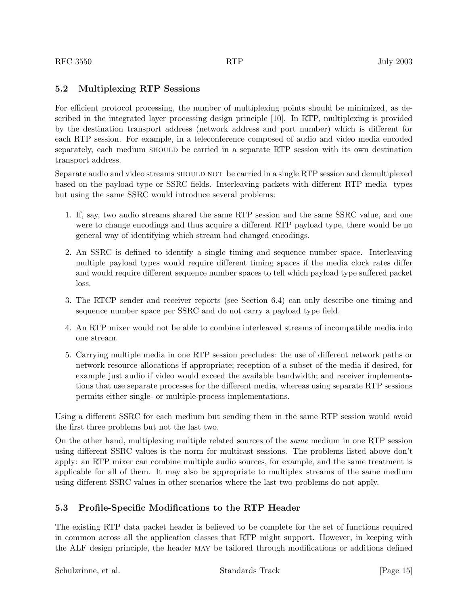# **5.2 Multiplexing RTP Sessions**

For efficient protocol processing, the number of multiplexing points should be minimized, as described in the integrated layer processing design principle [10]. In RTP, multiplexing is provided by the destination transport address (network address and port number) which is different for each RTP session. For example, in a teleconference composed of audio and video media encoded separately, each medium should be carried in a separate RTP session with its own destination transport address.

Separate audio and video streams SHOULD NOT be carried in a single RTP session and demultiplexed based on the payload type or SSRC fields. Interleaving packets with different RTP media types but using the same SSRC would introduce several problems:

- 1. If, say, two audio streams shared the same RTP session and the same SSRC value, and one were to change encodings and thus acquire a different RTP payload type, there would be no general way of identifying which stream had changed encodings.
- 2. An SSRC is defined to identify a single timing and sequence number space. Interleaving multiple payload types would require different timing spaces if the media clock rates differ and would require different sequence number spaces to tell which payload type suffered packet loss.
- 3. The RTCP sender and receiver reports (see Section 6.4) can only describe one timing and sequence number space per SSRC and do not carry a payload type field.
- 4. An RTP mixer would not be able to combine interleaved streams of incompatible media into one stream.
- 5. Carrying multiple media in one RTP session precludes: the use of different network paths or network resource allocations if appropriate; reception of a subset of the media if desired, for example just audio if video would exceed the available bandwidth; and receiver implementations that use separate processes for the different media, whereas using separate RTP sessions permits either single- or multiple-process implementations.

Using a different SSRC for each medium but sending them in the same RTP session would avoid the first three problems but not the last two.

On the other hand, multiplexing multiple related sources of the *same* medium in one RTP session using different SSRC values is the norm for multicast sessions. The problems listed above don't apply: an RTP mixer can combine multiple audio sources, for example, and the same treatment is applicable for all of them. It may also be appropriate to multiplex streams of the same medium using different SSRC values in other scenarios where the last two problems do not apply.

# **5.3 Profile-Specific Modifications to the RTP Header**

The existing RTP data packet header is believed to be complete for the set of functions required in common across all the application classes that RTP might support. However, in keeping with the ALF design principle, the header may be tailored through modifications or additions defined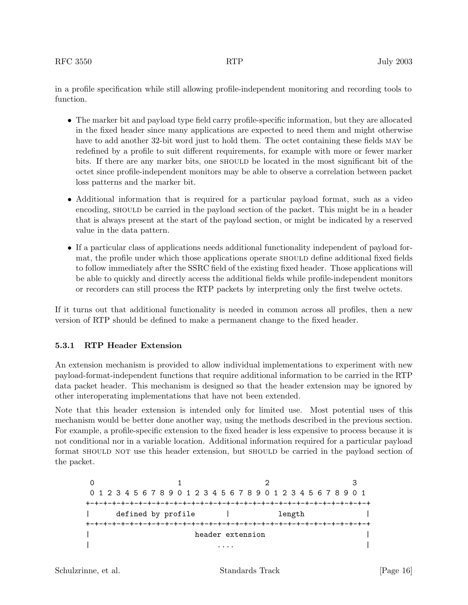in a profile specification while still allowing profile-independent monitoring and recording tools to function.

- The marker bit and payload type field carry profile-specific information, but they are allocated in the fixed header since many applications are expected to need them and might otherwise have to add another 32-bit word just to hold them. The octet containing these fields may be redefined by a profile to suit different requirements, for example with more or fewer marker bits. If there are any marker bits, one should be located in the most significant bit of the octet since profile-independent monitors may be able to observe a correlation between packet loss patterns and the marker bit.
- Additional information that is required for a particular payload format, such as a video encoding, SHOULD be carried in the payload section of the packet. This might be in a header that is always present at the start of the payload section, or might be indicated by a reserved value in the data pattern.
- If a particular class of applications needs additional functionality independent of payload format, the profile under which those applications operate SHOULD define additional fixed fields to follow immediately after the SSRC field of the existing fixed header. Those applications will be able to quickly and directly access the additional fields while profile-independent monitors or recorders can still process the RTP packets by interpreting only the first twelve octets.

If it turns out that additional functionality is needed in common across all profiles, then a new version of RTP should be defined to make a permanent change to the fixed header.

# **5.3.1 RTP Header Extension**

An extension mechanism is provided to allow individual implementations to experiment with new payload-format-independent functions that require additional information to be carried in the RTP data packet header. This mechanism is designed so that the header extension may be ignored by other interoperating implementations that have not been extended.

Note that this header extension is intended only for limited use. Most potential uses of this mechanism would be better done another way, using the methods described in the previous section. For example, a profile-specific extension to the fixed header is less expensive to process because it is not conditional nor in a variable location. Additional information required for a particular payload format SHOULD NOT use this header extension, but SHOULD be carried in the payload section of the packet.

0 1 2 3 01234567890123456789012345678901 +-+-+-+-+-+-+-+-+-+-+-+-+-+-+-+-+-+-+-+-+-+-+-+-+-+-+-+-+-+-+-+-+ defined by profile  $\vert$  length  $\vert$ +-+-+-+-+-+-+-+-+-+-+-+-+-+-+-+-+-+-+-+-+-+-+-+-+-+-+-+-+-+-+-+-+ header extension | ... | ... | ... | ... | ... | ... | ... | ... | ... | ... | ... | ... | ... | ... | ... | ... | ... | ... | 1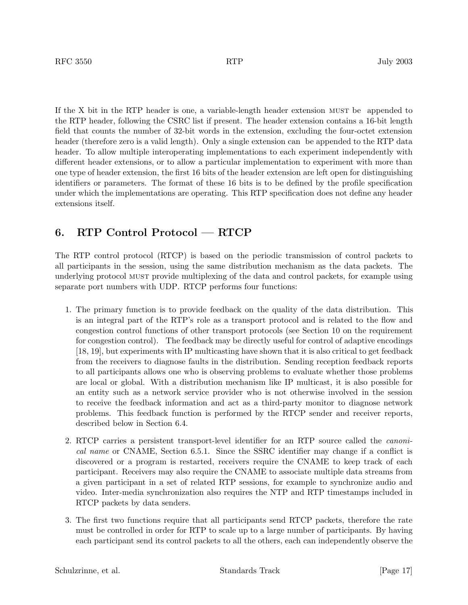If the X bit in the RTP header is one, a variable-length header extension MUST be appended to the RTP header, following the CSRC list if present. The header extension contains a 16-bit length field that counts the number of 32-bit words in the extension, excluding the four-octet extension header (therefore zero is a valid length). Only a single extension can be appended to the RTP data header. To allow multiple interoperating implementations to each experiment independently with different header extensions, or to allow a particular implementation to experiment with more than one type of header extension, the first 16 bits of the header extension are left open for distinguishing identifiers or parameters. The format of these 16 bits is to be defined by the profile specification under which the implementations are operating. This RTP specification does not define any header extensions itself.

# **6. RTP Control Protocol — RTCP**

The RTP control protocol (RTCP) is based on the periodic transmission of control packets to all participants in the session, using the same distribution mechanism as the data packets. The underlying protocol must provide multiplexing of the data and control packets, for example using separate port numbers with UDP. RTCP performs four functions:

- 1. The primary function is to provide feedback on the quality of the data distribution. This is an integral part of the RTP's role as a transport protocol and is related to the flow and congestion control functions of other transport protocols (see Section 10 on the requirement for congestion control). The feedback may be directly useful for control of adaptive encodings [18, 19], but experiments with IP multicasting have shown that it is also critical to get feedback from the receivers to diagnose faults in the distribution. Sending reception feedback reports to all participants allows one who is observing problems to evaluate whether those problems are local or global. With a distribution mechanism like IP multicast, it is also possible for an entity such as a network service provider who is not otherwise involved in the session to receive the feedback information and act as a third-party monitor to diagnose network problems. This feedback function is performed by the RTCP sender and receiver reports, described below in Section 6.4.
- 2. RTCP carries a persistent transport-level identifier for an RTP source called the *canonical name* or CNAME, Section 6.5.1. Since the SSRC identifier may change if a conflict is discovered or a program is restarted, receivers require the CNAME to keep track of each participant. Receivers may also require the CNAME to associate multiple data streams from a given participant in a set of related RTP sessions, for example to synchronize audio and video. Inter-media synchronization also requires the NTP and RTP timestamps included in RTCP packets by data senders.
- 3. The first two functions require that all participants send RTCP packets, therefore the rate must be controlled in order for RTP to scale up to a large number of participants. By having each participant send its control packets to all the others, each can independently observe the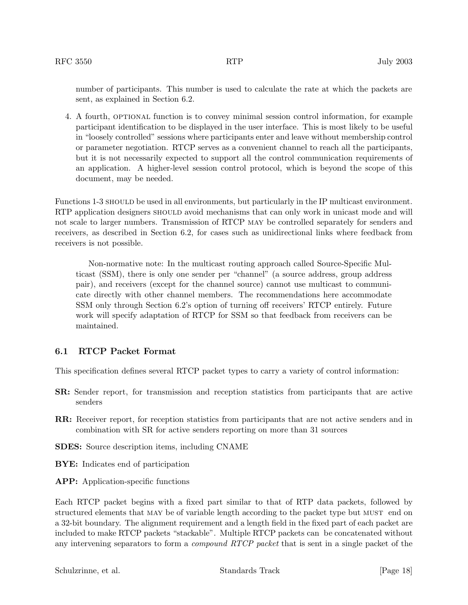number of participants. This number is used to calculate the rate at which the packets are sent, as explained in Section 6.2.

4. A fourth, OPTIONAL function is to convey minimal session control information, for example participant identification to be displayed in the user interface. This is most likely to be useful in "loosely controlled" sessions where participants enter and leave without membership control or parameter negotiation. RTCP serves as a convenient channel to reach all the participants, but it is not necessarily expected to support all the control communication requirements of an application. A higher-level session control protocol, which is beyond the scope of this document, may be needed.

Functions 1-3 should be used in all environments, but particularly in the IP multicast environment. RTP application designers should avoid mechanisms that can only work in unicast mode and will not scale to larger numbers. Transmission of RTCP may be controlled separately for senders and receivers, as described in Section 6.2, for cases such as unidirectional links where feedback from receivers is not possible.

Non-normative note: In the multicast routing approach called Source-Specific Multicast (SSM), there is only one sender per "channel" (a source address, group address pair), and receivers (except for the channel source) cannot use multicast to communicate directly with other channel members. The recommendations here accommodate SSM only through Section 6.2's option of turning off receivers' RTCP entirely. Future work will specify adaptation of RTCP for SSM so that feedback from receivers can be maintained.

# **6.1 RTCP Packet Format**

This specification defines several RTCP packet types to carry a variety of control information:

- **SR:** Sender report, for transmission and reception statistics from participants that are active senders
- **RR:** Receiver report, for reception statistics from participants that are not active senders and in combination with SR for active senders reporting on more than 31 sources
- **SDES:** Source description items, including CNAME
- **BYE:** Indicates end of participation
- **APP:** Application-specific functions

Each RTCP packet begins with a fixed part similar to that of RTP data packets, followed by structured elements that MAY be of variable length according to the packet type but MUST end on a 32-bit boundary. The alignment requirement and a length field in the fixed part of each packet are included to make RTCP packets "stackable". Multiple RTCP packets can be concatenated without any intervening separators to form a *compound RTCP packet* that is sent in a single packet of the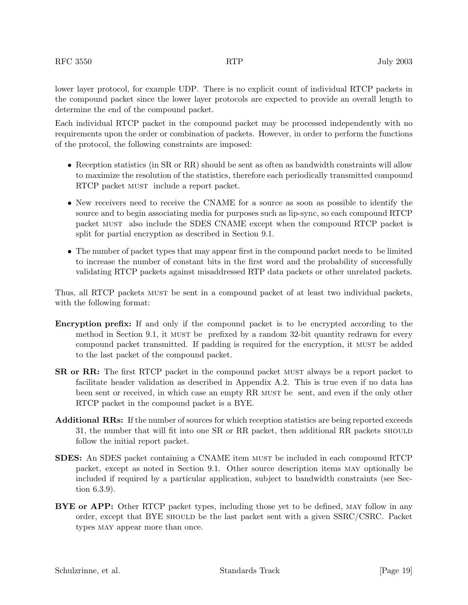lower layer protocol, for example UDP. There is no explicit count of individual RTCP packets in the compound packet since the lower layer protocols are expected to provide an overall length to determine the end of the compound packet.

Each individual RTCP packet in the compound packet may be processed independently with no requirements upon the order or combination of packets. However, in order to perform the functions of the protocol, the following constraints are imposed:

- Reception statistics (in SR or RR) should be sent as often as bandwidth constraints will allow to maximize the resolution of the statistics, therefore each periodically transmitted compound RTCP packet MUST include a report packet.
- New receivers need to receive the CNAME for a source as soon as possible to identify the source and to begin associating media for purposes such as lip-sync, so each compound RTCP packet must also include the SDES CNAME except when the compound RTCP packet is split for partial encryption as described in Section 9.1.
- The number of packet types that may appear first in the compound packet needs to be limited to increase the number of constant bits in the first word and the probability of successfully validating RTCP packets against misaddressed RTP data packets or other unrelated packets.

Thus, all RTCP packets MUST be sent in a compound packet of at least two individual packets, with the following format:

- **Encryption prefix:** If and only if the compound packet is to be encrypted according to the method in Section 9.1, it must be prefixed by a random 32-bit quantity redrawn for every compound packet transmitted. If padding is required for the encryption, it must be added to the last packet of the compound packet.
- **SR or RR:** The first RTCP packet in the compound packet MUST always be a report packet to facilitate header validation as described in Appendix A.2. This is true even if no data has been sent or received, in which case an empty RR MUST be sent, and even if the only other RTCP packet in the compound packet is a BYE.
- **Additional RRs:** If the number of sources for which reception statistics are being reported exceeds 31, the number that will fit into one SR or RR packet, then additional RR packets should follow the initial report packet.
- **SDES:** An SDES packet containing a CNAME item must be included in each compound RTCP packet, except as noted in Section 9.1. Other source description items may optionally be included if required by a particular application, subject to bandwidth constraints (see Section 6.3.9).
- **BYE** or APP: Other RTCP packet types, including those yet to be defined, MAY follow in any order, except that BYE should be the last packet sent with a given SSRC/CSRC. Packet types MAY appear more than once.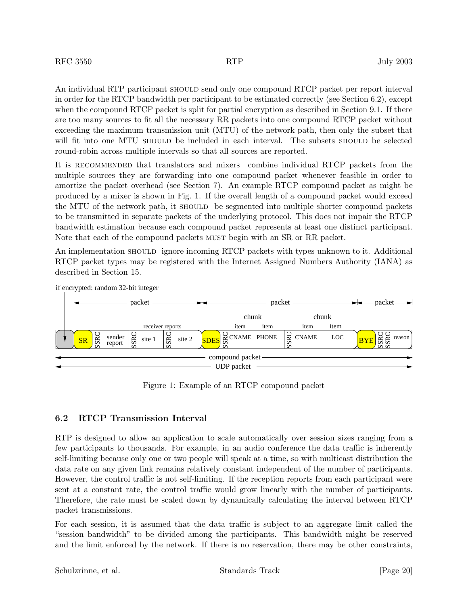An individual RTP participant SHOULD send only one compound RTCP packet per report interval in order for the RTCP bandwidth per participant to be estimated correctly (see Section 6.2), except when the compound RTCP packet is split for partial encryption as described in Section 9.1. If there are too many sources to fit all the necessary RR packets into one compound RTCP packet without exceeding the maximum transmission unit (MTU) of the network path, then only the subset that will fit into one MTU should be included in each interval. The subsets should be selected round-robin across multiple intervals so that all sources are reported.

It is recommended that translators and mixers combine individual RTCP packets from the multiple sources they are forwarding into one compound packet whenever feasible in order to amortize the packet overhead (see Section 7). An example RTCP compound packet as might be produced by a mixer is shown in Fig. 1. If the overall length of a compound packet would exceed the MTU of the network path, it should be segmented into multiple shorter compound packets to be transmitted in separate packets of the underlying protocol. This does not impair the RTCP bandwidth estimation because each compound packet represents at least one distinct participant. Note that each of the compound packets must begin with an SR or RR packet.

An implementation should ignore incoming RTCP packets with types unknown to it. Additional RTCP packet types may be registered with the Internet Assigned Numbers Authority (IANA) as described in Section 15.



if encrypted: random 32-bit integer

Figure 1: Example of an RTCP compound packet

# **6.2 RTCP Transmission Interval**

RTP is designed to allow an application to scale automatically over session sizes ranging from a few participants to thousands. For example, in an audio conference the data traffic is inherently self-limiting because only one or two people will speak at a time, so with multicast distribution the data rate on any given link remains relatively constant independent of the number of participants. However, the control traffic is not self-limiting. If the reception reports from each participant were sent at a constant rate, the control traffic would grow linearly with the number of participants. Therefore, the rate must be scaled down by dynamically calculating the interval between RTCP packet transmissions.

For each session, it is assumed that the data traffic is subject to an aggregate limit called the "session bandwidth" to be divided among the participants. This bandwidth might be reserved and the limit enforced by the network. If there is no reservation, there may be other constraints,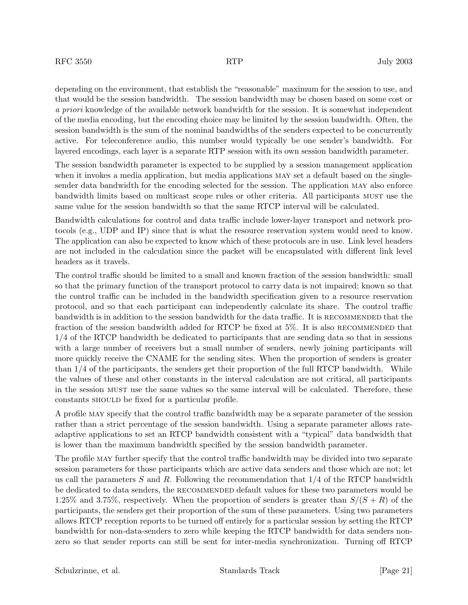depending on the environment, that establish the "reasonable" maximum for the session to use, and that would be the session bandwidth. The session bandwidth may be chosen based on some cost or *a priori* knowledge of the available network bandwidth for the session. It is somewhat independent of the media encoding, but the encoding choice may be limited by the session bandwidth. Often, the session bandwidth is the sum of the nominal bandwidths of the senders expected to be concurrently active. For teleconference audio, this number would typically be one sender's bandwidth. For layered encodings, each layer is a separate RTP session with its own session bandwidth parameter.

The session bandwidth parameter is expected to be supplied by a session management application when it invokes a media application, but media applications may set a default based on the singlesender data bandwidth for the encoding selected for the session. The application may also enforce bandwidth limits based on multicast scope rules or other criteria. All participants must use the same value for the session bandwidth so that the same RTCP interval will be calculated.

Bandwidth calculations for control and data traffic include lower-layer transport and network protocols (e.g., UDP and IP) since that is what the resource reservation system would need to know. The application can also be expected to know which of these protocols are in use. Link level headers are not included in the calculation since the packet will be encapsulated with different link level headers as it travels.

The control traffic should be limited to a small and known fraction of the session bandwidth: small so that the primary function of the transport protocol to carry data is not impaired; known so that the control traffic can be included in the bandwidth specification given to a resource reservation protocol, and so that each participant can independently calculate its share. The control traffic bandwidth is in addition to the session bandwidth for the data traffic. It is RECOMMENDED that the fraction of the session bandwidth added for RTCP be fixed at 5%. It is also RECOMMENDED that 1/4 of the RTCP bandwidth be dedicated to participants that are sending data so that in sessions with a large number of receivers but a small number of senders, newly joining participants will more quickly receive the CNAME for the sending sites. When the proportion of senders is greater than 1/4 of the participants, the senders get their proportion of the full RTCP bandwidth. While the values of these and other constants in the interval calculation are not critical, all participants in the session must use the same values so the same interval will be calculated. Therefore, these constants should be fixed for a particular profile.

A profile may specify that the control traffic bandwidth may be a separate parameter of the session rather than a strict percentage of the session bandwidth. Using a separate parameter allows rateadaptive applications to set an RTCP bandwidth consistent with a "typical" data bandwidth that is lower than the maximum bandwidth specified by the session bandwidth parameter.

The profile may further specify that the control traffic bandwidth may be divided into two separate session parameters for those participants which are active data senders and those which are not; let us call the parameters S and R. Following the recommendation that  $1/4$  of the RTCP bandwidth be dedicated to data senders, the RECOMMENDED default values for these two parameters would be 1.25% and 3.75%, respectively. When the proportion of senders is greater than  $S/(S + R)$  of the participants, the senders get their proportion of the sum of these parameters. Using two parameters allows RTCP reception reports to be turned off entirely for a particular session by setting the RTCP bandwidth for non-data-senders to zero while keeping the RTCP bandwidth for data senders nonzero so that sender reports can still be sent for inter-media synchronization. Turning off RTCP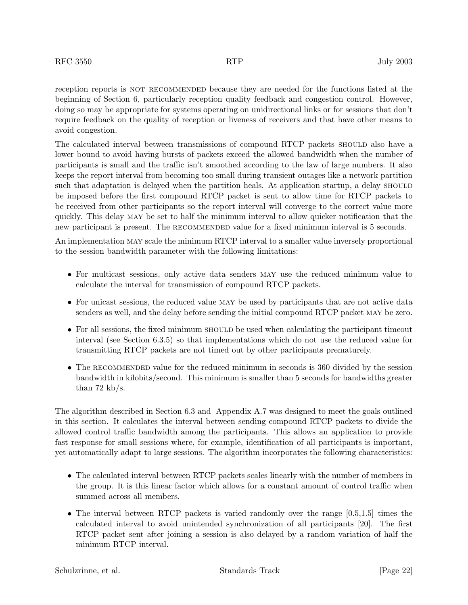# RFC 3550 July 2003

reception reports is NOT RECOMMENDED because they are needed for the functions listed at the beginning of Section 6, particularly reception quality feedback and congestion control. However, doing so may be appropriate for systems operating on unidirectional links or for sessions that don't require feedback on the quality of reception or liveness of receivers and that have other means to avoid congestion.

The calculated interval between transmissions of compound RTCP packets SHOULD also have a lower bound to avoid having bursts of packets exceed the allowed bandwidth when the number of participants is small and the traffic isn't smoothed according to the law of large numbers. It also keeps the report interval from becoming too small during transient outages like a network partition such that adaptation is delayed when the partition heals. At application startup, a delay SHOULD be imposed before the first compound RTCP packet is sent to allow time for RTCP packets to be received from other participants so the report interval will converge to the correct value more quickly. This delay may be set to half the minimum interval to allow quicker notification that the new participant is present. The RECOMMENDED value for a fixed minimum interval is 5 seconds.

An implementation may scale the minimum RTCP interval to a smaller value inversely proportional to the session bandwidth parameter with the following limitations:

- For multicast sessions, only active data senders may use the reduced minimum value to calculate the interval for transmission of compound RTCP packets.
- For unicast sessions, the reduced value MAY be used by participants that are not active data senders as well, and the delay before sending the initial compound RTCP packet may be zero.
- For all sessions, the fixed minimum should be used when calculating the participant timeout interval (see Section 6.3.5) so that implementations which do not use the reduced value for transmitting RTCP packets are not timed out by other participants prematurely.
- The RECOMMENDED value for the reduced minimum in seconds is 360 divided by the session bandwidth in kilobits/second. This minimum is smaller than 5 seconds for bandwidths greater than 72 kb/s.

The algorithm described in Section 6.3 and Appendix A.7 was designed to meet the goals outlined in this section. It calculates the interval between sending compound RTCP packets to divide the allowed control traffic bandwidth among the participants. This allows an application to provide fast response for small sessions where, for example, identification of all participants is important, yet automatically adapt to large sessions. The algorithm incorporates the following characteristics:

- The calculated interval between RTCP packets scales linearly with the number of members in the group. It is this linear factor which allows for a constant amount of control traffic when summed across all members.
- The interval between RTCP packets is varied randomly over the range [0.5,1.5] times the calculated interval to avoid unintended synchronization of all participants [20]. The first RTCP packet sent after joining a session is also delayed by a random variation of half the minimum RTCP interval.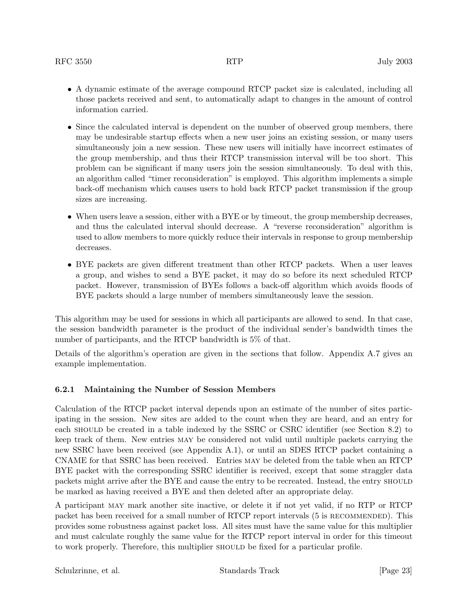- A dynamic estimate of the average compound RTCP packet size is calculated, including all those packets received and sent, to automatically adapt to changes in the amount of control information carried.
- Since the calculated interval is dependent on the number of observed group members, there may be undesirable startup effects when a new user joins an existing session, or many users simultaneously join a new session. These new users will initially have incorrect estimates of the group membership, and thus their RTCP transmission interval will be too short. This problem can be significant if many users join the session simultaneously. To deal with this, an algorithm called "timer reconsideration" is employed. This algorithm implements a simple back-off mechanism which causes users to hold back RTCP packet transmission if the group sizes are increasing.
- When users leave a session, either with a BYE or by timeout, the group membership decreases, and thus the calculated interval should decrease. A "reverse reconsideration" algorithm is used to allow members to more quickly reduce their intervals in response to group membership decreases.
- BYE packets are given different treatment than other RTCP packets. When a user leaves a group, and wishes to send a BYE packet, it may do so before its next scheduled RTCP packet. However, transmission of BYEs follows a back-off algorithm which avoids floods of BYE packets should a large number of members simultaneously leave the session.

This algorithm may be used for sessions in which all participants are allowed to send. In that case, the session bandwidth parameter is the product of the individual sender's bandwidth times the number of participants, and the RTCP bandwidth is 5% of that.

Details of the algorithm's operation are given in the sections that follow. Appendix A.7 gives an example implementation.

# **6.2.1 Maintaining the Number of Session Members**

Calculation of the RTCP packet interval depends upon an estimate of the number of sites participating in the session. New sites are added to the count when they are heard, and an entry for each should be created in a table indexed by the SSRC or CSRC identifier (see Section 8.2) to keep track of them. New entries may be considered not valid until multiple packets carrying the new SSRC have been received (see Appendix A.1), or until an SDES RTCP packet containing a CNAME for that SSRC has been received. Entries may be deleted from the table when an RTCP BYE packet with the corresponding SSRC identifier is received, except that some straggler data packets might arrive after the BYE and cause the entry to be recreated. Instead, the entry SHOULD be marked as having received a BYE and then deleted after an appropriate delay.

A participant may mark another site inactive, or delete it if not yet valid, if no RTP or RTCP packet has been received for a small number of RTCP report intervals (5 is RECOMMENDED). This provides some robustness against packet loss. All sites must have the same value for this multiplier and must calculate roughly the same value for the RTCP report interval in order for this timeout to work properly. Therefore, this multiplier should be fixed for a particular profile.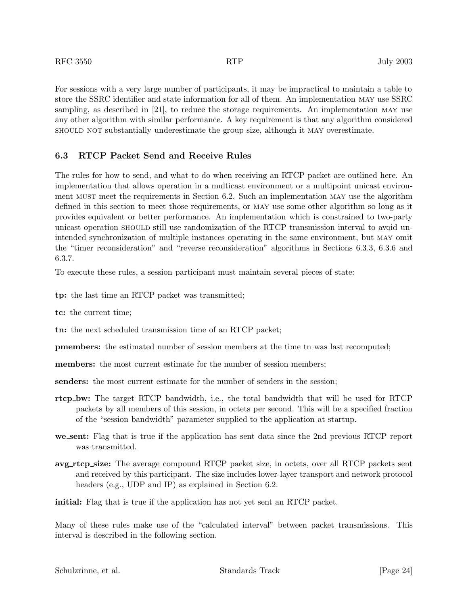For sessions with a very large number of participants, it may be impractical to maintain a table to store the SSRC identifier and state information for all of them. An implementation may use SSRC sampling, as described in [21], to reduce the storage requirements. An implementation MAY use any other algorithm with similar performance. A key requirement is that any algorithm considered should not substantially underestimate the group size, although it may overestimate.

# **6.3 RTCP Packet Send and Receive Rules**

The rules for how to send, and what to do when receiving an RTCP packet are outlined here. An implementation that allows operation in a multicast environment or a multipoint unicast environment must meet the requirements in Section 6.2. Such an implementation may use the algorithm defined in this section to meet those requirements, or MAY use some other algorithm so long as it provides equivalent or better performance. An implementation which is constrained to two-party unicast operation should still use randomization of the RTCP transmission interval to avoid unintended synchronization of multiple instances operating in the same environment, but may omit the "timer reconsideration" and "reverse reconsideration" algorithms in Sections 6.3.3, 6.3.6 and 6.3.7.

To execute these rules, a session participant must maintain several pieces of state:

**tp:** the last time an RTCP packet was transmitted;

**tc:** the current time;

**tn:** the next scheduled transmission time of an RTCP packet;

**pmembers:** the estimated number of session members at the time tn was last recomputed;

**members:** the most current estimate for the number of session members;

**senders:** the most current estimate for the number of senders in the session;

- **rtcp bw:** The target RTCP bandwidth, i.e., the total bandwidth that will be used for RTCP packets by all members of this session, in octets per second. This will be a specified fraction of the "session bandwidth" parameter supplied to the application at startup.
- **we sent:** Flag that is true if the application has sent data since the 2nd previous RTCP report was transmitted.
- **avg rtcp size:** The average compound RTCP packet size, in octets, over all RTCP packets sent and received by this participant. The size includes lower-layer transport and network protocol headers (e.g., UDP and IP) as explained in Section 6.2.

**initial:** Flag that is true if the application has not yet sent an RTCP packet.

Many of these rules make use of the "calculated interval" between packet transmissions. This interval is described in the following section.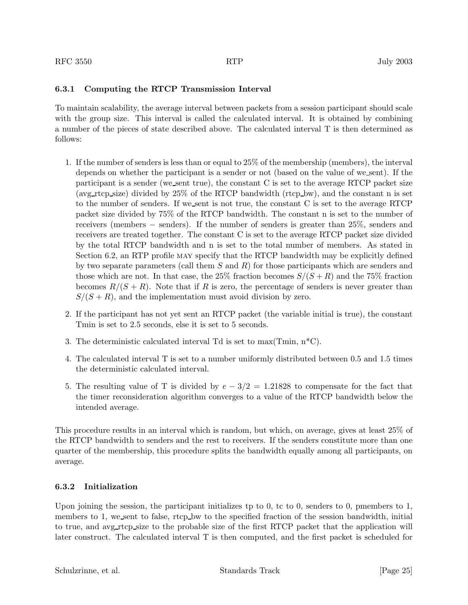# **6.3.1 Computing the RTCP Transmission Interval**

To maintain scalability, the average interval between packets from a session participant should scale with the group size. This interval is called the calculated interval. It is obtained by combining a number of the pieces of state described above. The calculated interval T is then determined as follows:

- 1. If the number of senders is less than or equal to 25% of the membership (members), the interval depends on whether the participant is a sender or not (based on the value of we sent). If the participant is a sender (we sent true), the constant C is set to the average RTCP packet size (avg rtcp size) divided by 25% of the RTCP bandwidth (rtcp bw), and the constant n is set to the number of senders. If we sent is not true, the constant C is set to the average RTCP packet size divided by 75% of the RTCP bandwidth. The constant n is set to the number of receivers (members − senders). If the number of senders is greater than 25%, senders and receivers are treated together. The constant C is set to the average RTCP packet size divided by the total RTCP bandwidth and n is set to the total number of members. As stated in Section 6.2, an RTP profile may specify that the RTCP bandwidth may be explicitly defined by two separate parameters (call them  $S$  and  $R$ ) for those participants which are senders and those which are not. In that case, the 25% fraction becomes  $S/(S+R)$  and the 75% fraction becomes  $R/(S + R)$ . Note that if R is zero, the percentage of senders is never greater than  $S/(S + R)$ , and the implementation must avoid division by zero.
- 2. If the participant has not yet sent an RTCP packet (the variable initial is true), the constant Tmin is set to 2.5 seconds, else it is set to 5 seconds.
- 3. The deterministic calculated interval Td is set to  $max(Tmin, n^*C)$ .
- 4. The calculated interval T is set to a number uniformly distributed between 0.5 and 1.5 times the deterministic calculated interval.
- 5. The resulting value of T is divided by  $e 3/2 = 1.21828$  to compensate for the fact that the timer reconsideration algorithm converges to a value of the RTCP bandwidth below the intended average.

This procedure results in an interval which is random, but which, on average, gives at least 25% of the RTCP bandwidth to senders and the rest to receivers. If the senders constitute more than one quarter of the membership, this procedure splits the bandwidth equally among all participants, on average.

# **6.3.2 Initialization**

Upon joining the session, the participant initializes tp to 0, tc to 0, senders to 0, pmembers to 1, members to 1, we sent to false, rtcp bw to the specified fraction of the session bandwidth, initial to true, and avg rtcp size to the probable size of the first RTCP packet that the application will later construct. The calculated interval T is then computed, and the first packet is scheduled for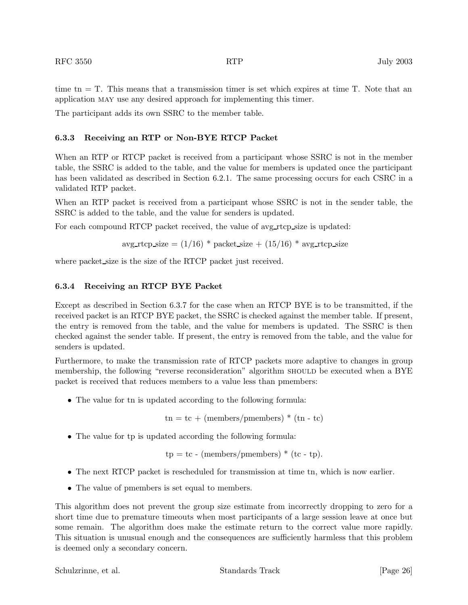time tn  $=$  T. This means that a transmission timer is set which expires at time T. Note that an application may use any desired approach for implementing this timer.

The participant adds its own SSRC to the member table.

#### **6.3.3 Receiving an RTP or Non-BYE RTCP Packet**

When an RTP or RTCP packet is received from a participant whose SSRC is not in the member table, the SSRC is added to the table, and the value for members is updated once the participant has been validated as described in Section 6.2.1. The same processing occurs for each CSRC in a validated RTP packet.

When an RTP packet is received from a participant whose SSRC is not in the sender table, the SSRC is added to the table, and the value for senders is updated.

For each compound RTCP packet received, the value of avg\_rtcp\_size is updated:

 $\text{avg\_rtcp\_size} = (1/16) * \text{packet\_size} + (15/16) * \text{avg\_rtcp\_size}$ 

where packet size is the size of the RTCP packet just received.

#### **6.3.4 Receiving an RTCP BYE Packet**

Except as described in Section 6.3.7 for the case when an RTCP BYE is to be transmitted, if the received packet is an RTCP BYE packet, the SSRC is checked against the member table. If present, the entry is removed from the table, and the value for members is updated. The SSRC is then checked against the sender table. If present, the entry is removed from the table, and the value for senders is updated.

Furthermore, to make the transmission rate of RTCP packets more adaptive to changes in group membership, the following "reverse reconsideration" algorithm should be executed when a BYE packet is received that reduces members to a value less than pmembers:

• The value for the is updated according to the following formula:

 $\tan = \text{tc} + (\text{members/pmembers}) * (\text{tn} - \text{tc})$ 

• The value for tp is updated according the following formula:

 $tp = tc - (members/members) * (tc - tp).$ 

- The next RTCP packet is rescheduled for transmission at time tn, which is now earlier.
- The value of pmembers is set equal to members.

This algorithm does not prevent the group size estimate from incorrectly dropping to zero for a short time due to premature timeouts when most participants of a large session leave at once but some remain. The algorithm does make the estimate return to the correct value more rapidly. This situation is unusual enough and the consequences are sufficiently harmless that this problem is deemed only a secondary concern.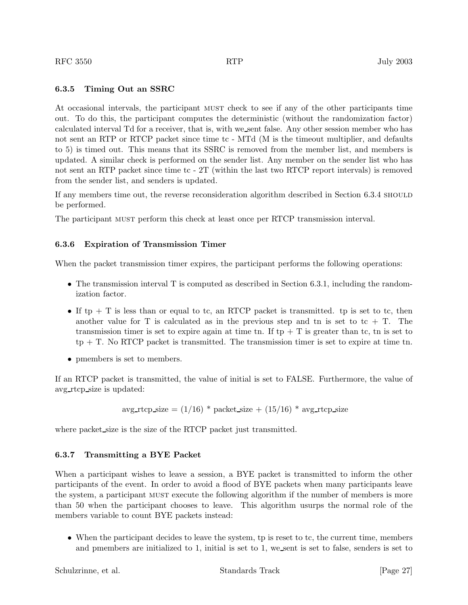# RFC 3550 July 2003

# **6.3.5 Timing Out an SSRC**

At occasional intervals, the participant must check to see if any of the other participants time out. To do this, the participant computes the deterministic (without the randomization factor) calculated interval Td for a receiver, that is, with we sent false. Any other session member who has not sent an RTP or RTCP packet since time tc - MTd (M is the timeout multiplier, and defaults to 5) is timed out. This means that its SSRC is removed from the member list, and members is updated. A similar check is performed on the sender list. Any member on the sender list who has not sent an RTP packet since time tc - 2T (within the last two RTCP report intervals) is removed from the sender list, and senders is updated.

If any members time out, the reverse reconsideration algorithm described in Section 6.3.4 should be performed.

The participant MUST perform this check at least once per RTCP transmission interval.

# **6.3.6 Expiration of Transmission Timer**

When the packet transmission timer expires, the participant performs the following operations:

- The transmission interval T is computed as described in Section 6.3.1, including the randomization factor.
- If  $tp + T$  is less than or equal to tc, an RTCP packet is transmitted. tp is set to tc, then another value for T is calculated as in the previous step and tn is set to tc  $+$  T. The transmission timer is set to expire again at time tn. If  $tp + T$  is greater than tc, tn is set to  $tp + T$ . No RTCP packet is transmitted. The transmission timer is set to expire at time tn.
- pmembers is set to members.

If an RTCP packet is transmitted, the value of initial is set to FALSE. Furthermore, the value of avg rtcp size is updated:

avg rtcp size  $= (1/16) *$  packet size  $+ (15/16) *$  avg rtcp size

where packet size is the size of the RTCP packet just transmitted.

# **6.3.7 Transmitting a BYE Packet**

When a participant wishes to leave a session, a BYE packet is transmitted to inform the other participants of the event. In order to avoid a flood of BYE packets when many participants leave the system, a participant MUST execute the following algorithm if the number of members is more than 50 when the participant chooses to leave. This algorithm usurps the normal role of the members variable to count BYE packets instead:

• When the participant decides to leave the system, tp is reset to tc, the current time, members and pmembers are initialized to 1, initial is set to 1, we sent is set to false, senders is set to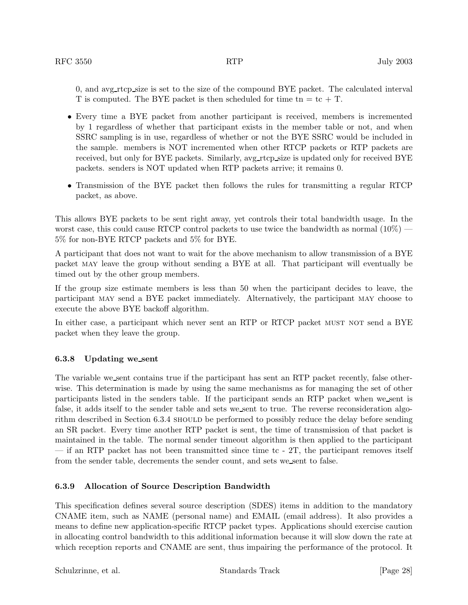0, and avg rtcp size is set to the size of the compound BYE packet. The calculated interval T is computed. The BYE packet is then scheduled for time tn =  $tc + T$ .

- Every time a BYE packet from another participant is received, members is incremented by 1 regardless of whether that participant exists in the member table or not, and when SSRC sampling is in use, regardless of whether or not the BYE SSRC would be included in the sample. members is NOT incremented when other RTCP packets or RTP packets are received, but only for BYE packets. Similarly, avg rtcp size is updated only for received BYE packets. senders is NOT updated when RTP packets arrive; it remains 0.
- Transmission of the BYE packet then follows the rules for transmitting a regular RTCP packet, as above.

This allows BYE packets to be sent right away, yet controls their total bandwidth usage. In the worst case, this could cause RTCP control packets to use twice the bandwidth as normal  $(10\%)$  — 5% for non-BYE RTCP packets and 5% for BYE.

A participant that does not want to wait for the above mechanism to allow transmission of a BYE packet may leave the group without sending a BYE at all. That participant will eventually be timed out by the other group members.

If the group size estimate members is less than 50 when the participant decides to leave, the participant may send a BYE packet immediately. Alternatively, the participant may choose to execute the above BYE backoff algorithm.

In either case, a participant which never sent an RTP or RTCP packet MUST NOT send a BYE packet when they leave the group.

# **6.3.8 Updating we sent**

The variable we sent contains true if the participant has sent an RTP packet recently, false otherwise. This determination is made by using the same mechanisms as for managing the set of other participants listed in the senders table. If the participant sends an RTP packet when we sent is false, it adds itself to the sender table and sets we sent to true. The reverse reconsideration algorithm described in Section 6.3.4 should be performed to possibly reduce the delay before sending an SR packet. Every time another RTP packet is sent, the time of transmission of that packet is maintained in the table. The normal sender timeout algorithm is then applied to the participant — if an RTP packet has not been transmitted since time tc - 2T, the participant removes itself from the sender table, decrements the sender count, and sets we sent to false.

# **6.3.9 Allocation of Source Description Bandwidth**

This specification defines several source description (SDES) items in addition to the mandatory CNAME item, such as NAME (personal name) and EMAIL (email address). It also provides a means to define new application-specific RTCP packet types. Applications should exercise caution in allocating control bandwidth to this additional information because it will slow down the rate at which reception reports and CNAME are sent, thus impairing the performance of the protocol. It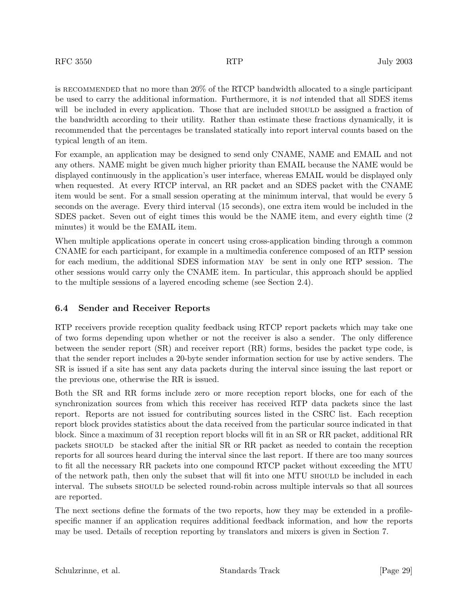is recommended that no more than 20% of the RTCP bandwidth allocated to a single participant be used to carry the additional information. Furthermore, it is *not* intended that all SDES items will be included in every application. Those that are included SHOULD be assigned a fraction of the bandwidth according to their utility. Rather than estimate these fractions dynamically, it is recommended that the percentages be translated statically into report interval counts based on the typical length of an item.

For example, an application may be designed to send only CNAME, NAME and EMAIL and not any others. NAME might be given much higher priority than EMAIL because the NAME would be displayed continuously in the application's user interface, whereas EMAIL would be displayed only when requested. At every RTCP interval, an RR packet and an SDES packet with the CNAME item would be sent. For a small session operating at the minimum interval, that would be every 5 seconds on the average. Every third interval (15 seconds), one extra item would be included in the SDES packet. Seven out of eight times this would be the NAME item, and every eighth time (2 minutes) it would be the EMAIL item.

When multiple applications operate in concert using cross-application binding through a common CNAME for each participant, for example in a multimedia conference composed of an RTP session for each medium, the additional SDES information may be sent in only one RTP session. The other sessions would carry only the CNAME item. In particular, this approach should be applied to the multiple sessions of a layered encoding scheme (see Section 2.4).

# **6.4 Sender and Receiver Reports**

RTP receivers provide reception quality feedback using RTCP report packets which may take one of two forms depending upon whether or not the receiver is also a sender. The only difference between the sender report (SR) and receiver report (RR) forms, besides the packet type code, is that the sender report includes a 20-byte sender information section for use by active senders. The SR is issued if a site has sent any data packets during the interval since issuing the last report or the previous one, otherwise the RR is issued.

Both the SR and RR forms include zero or more reception report blocks, one for each of the synchronization sources from which this receiver has received RTP data packets since the last report. Reports are not issued for contributing sources listed in the CSRC list. Each reception report block provides statistics about the data received from the particular source indicated in that block. Since a maximum of 31 reception report blocks will fit in an SR or RR packet, additional RR packets should be stacked after the initial SR or RR packet as needed to contain the reception reports for all sources heard during the interval since the last report. If there are too many sources to fit all the necessary RR packets into one compound RTCP packet without exceeding the MTU of the network path, then only the subset that will fit into one MTU should be included in each interval. The subsets should be selected round-robin across multiple intervals so that all sources are reported.

The next sections define the formats of the two reports, how they may be extended in a profilespecific manner if an application requires additional feedback information, and how the reports may be used. Details of reception reporting by translators and mixers is given in Section 7.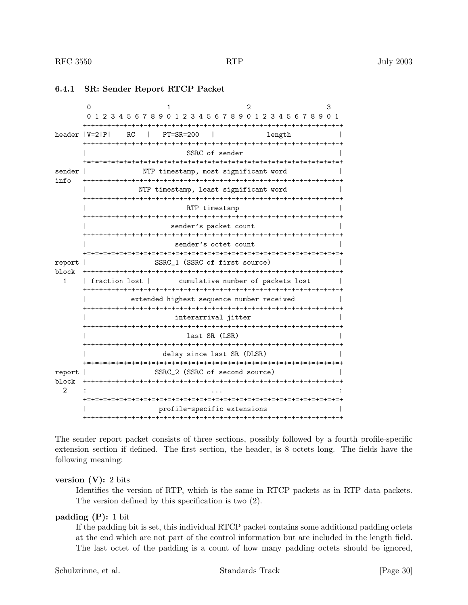**6.4.1 SR: Sender Report RTCP Packet**

#### 0 1 2 3 01234567890123456789012345678901 +-+-+-+-+-+-+-+-+-+-+-+-+-+-+-+-+-+-+-+-+-+-+-+-+-+-+-+-+-+-+-+-+ header  $|V=2|P|$  RC | PT=SR=200 | length | +-+-+-+-+-+-+-+-+-+-+-+-+-+-+-+-+-+-+-+-+-+-+-+-+-+-+-+-+-+-+-+-+ SSRC of sender +=+=+=+=+=+=+=+=+=+=+=+=+=+=+=+=+=+=+=+=+=+=+=+=+=+=+=+=+=+=+=+=+ sender | NTP timestamp, most significant word info +-+-+-+-+-+-+-+-+-+-+-+-+-+-+-+-+-+-+-+-+-+-+-+-+-+-+-+-+-+-+-+-+ NTP timestamp, least significant word | +-+-+-+-+-+-+-+-+-+-+-+-+-+-+-+-+-+-+-+-+-+-+-+-+-+-+-+-+-+-+-+-+ RTP timestamp and all the state of  $\vert$ +-+-+-+-+-+-+-+-+-+-+-+-+-+-+-+-+-+-+-+-+-+-+-+-+-+-+-+-+-+-+-+-+ sender's packet count +-+-+-+-+-+-+-+-+-+-+-+-+-+-+-+-+-+-+-+-+-+-+-+-+-+-+-+-+-+-+-+-+ sender's octet count +=+=+=+=+=+=+=+=+=+=+=+=+=+=+=+=+=+=+=+=+=+=+=+=+=+=+=+=+=+=+=+=+ report | SSRC\_1 (SSRC of first source) | | block +-+-+-+-+-+-+-+-+-+-+-+-+-+-+-+-+-+-+-+-+-+-+-+-+-+-+-+-+-+-+-+-+ 1 | fraction lost | cumulative number of packets lost | +-+-+-+-+-+-+-+-+-+-+-+-+-+-+-+-+-+-+-+-+-+-+-+-+-+-+-+-+-+-+-+-+ | extended highest sequence number received | +-+-+-+-+-+-+-+-+-+-+-+-+-+-+-+-+-+-+-+-+-+-+-+-+-+-+-+-+-+-+-+-+ | interarrival jitter | +-+-+-+-+-+-+-+-+-+-+-+-+-+-+-+-+-+-+-+-+-+-+-+-+-+-+-+-+-+-+-+-+ last SR (LSR) | +-+-+-+-+-+-+-+-+-+-+-+-+-+-+-+-+-+-+-+-+-+-+-+-+-+-+-+-+-+-+-+-+ delay since last SR (DLSR) | +=+=+=+=+=+=+=+=+=+=+=+=+=+=+=+=+=+=+=+=+=+=+=+=+=+=+=+=+=+=+=+=+ report | SSRC\_2 (SSRC of second source) block +-+-+-+-+-+-+-+-+-+-+-+-+-+-+-+-+-+-+-+-+-+-+-+-+-+-+-+-+-+-+-+-+  $2$  : ...  $\ldots$  : ...  $\ldots$  : +=+=+=+=+=+=+=+=+=+=+=+=+=+=+=+=+=+=+=+=+=+=+=+=+=+=+=+=+=+=+=+=+ | profile-specific extensions | +-+-+-+-+-+-+-+-+-+-+-+-+-+-+-+-+-+-+-+-+-+-+-+-+-+-+-+-+-+-+-+-+

The sender report packet consists of three sections, possibly followed by a fourth profile-specific extension section if defined. The first section, the header, is 8 octets long. The fields have the following meaning:

# **version (V):** 2 bits

Identifies the version of RTP, which is the same in RTCP packets as in RTP data packets. The version defined by this specification is two (2).

# **padding (P):** 1 bit

If the padding bit is set, this individual RTCP packet contains some additional padding octets at the end which are not part of the control information but are included in the length field. The last octet of the padding is a count of how many padding octets should be ignored,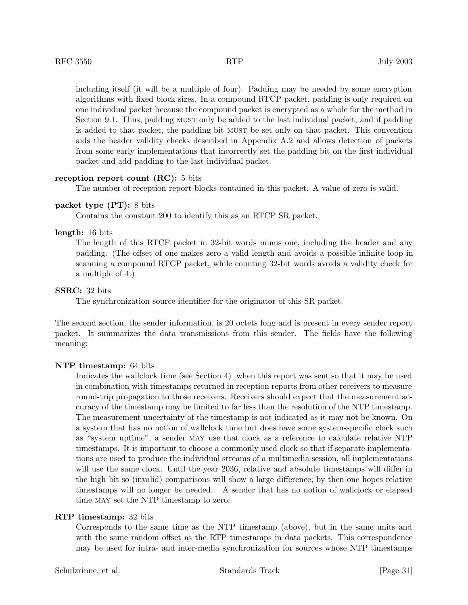including itself (it will be a multiple of four). Padding may be needed by some encryption algorithms with fixed block sizes. In a compound RTCP packet, padding is only required on one individual packet because the compound packet is encrypted as a whole for the method in Section 9.1. Thus, padding MUST only be added to the last individual packet, and if padding is added to that packet, the padding bit must be set only on that packet. This convention aids the header validity checks described in Appendix A.2 and allows detection of packets from some early implementations that incorrectly set the padding bit on the first individual packet and add padding to the last individual packet.

#### **reception report count (RC):** 5 bits

The number of reception report blocks contained in this packet. A value of zero is valid.

#### **packet type (PT):** 8 bits

Contains the constant 200 to identify this as an RTCP SR packet.

#### **length:** 16 bits

The length of this RTCP packet in 32-bit words minus one, including the header and any padding. (The offset of one makes zero a valid length and avoids a possible infinite loop in scanning a compound RTCP packet, while counting 32-bit words avoids a validity check for a multiple of 4.)

#### **SSRC:** 32 bits

The synchronization source identifier for the originator of this SR packet.

The second section, the sender information, is 20 octets long and is present in every sender report packet. It summarizes the data transmissions from this sender. The fields have the following meaning:

#### **NTP timestamp:** 64 bits

Indicates the wallclock time (see Section 4) when this report was sent so that it may be used in combination with timestamps returned in reception reports from other receivers to measure round-trip propagation to those receivers. Receivers should expect that the measurement accuracy of the timestamp may be limited to far less than the resolution of the NTP timestamp. The measurement uncertainty of the timestamp is not indicated as it may not be known. On a system that has no notion of wallclock time but does have some system-specific clock such as "system uptime", a sender may use that clock as a reference to calculate relative NTP timestamps. It is important to choose a commonly used clock so that if separate implementations are used to produce the individual streams of a multimedia session, all implementations will use the same clock. Until the year 2036, relative and absolute timestamps will differ in the high bit so (invalid) comparisons will show a large difference; by then one hopes relative timestamps will no longer be needed. A sender that has no notion of wallclock or elapsed time MAY set the NTP timestamp to zero.

#### **RTP timestamp:** 32 bits

Corresponds to the same time as the NTP timestamp (above), but in the same units and with the same random offset as the RTP timestamps in data packets. This correspondence may be used for intra- and inter-media synchronization for sources whose NTP timestamps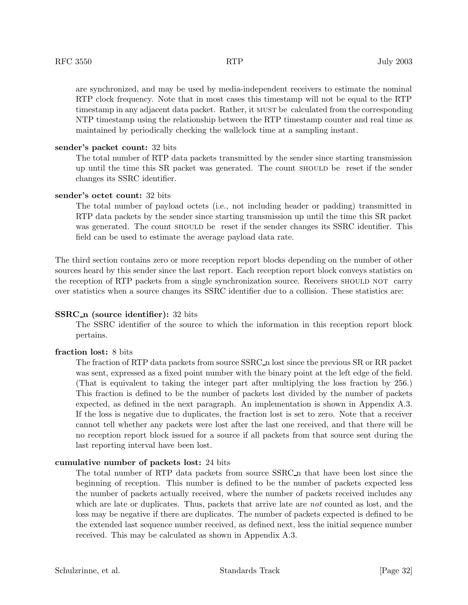are synchronized, and may be used by media-independent receivers to estimate the nominal RTP clock frequency. Note that in most cases this timestamp will not be equal to the RTP timestamp in any adjacent data packet. Rather, it must be calculated from the corresponding NTP timestamp using the relationship between the RTP timestamp counter and real time as maintained by periodically checking the wallclock time at a sampling instant.

#### **sender's packet count:** 32 bits

The total number of RTP data packets transmitted by the sender since starting transmission up until the time this SR packet was generated. The count should be reset if the sender changes its SSRC identifier.

#### **sender's octet count:** 32 bits

The total number of payload octets (i.e., not including header or padding) transmitted in RTP data packets by the sender since starting transmission up until the time this SR packet was generated. The count should be reset if the sender changes its SSRC identifier. This field can be used to estimate the average payload data rate.

The third section contains zero or more reception report blocks depending on the number of other sources heard by this sender since the last report. Each reception report block conveys statistics on the reception of RTP packets from a single synchronization source. Receivers SHOULD NOT carry over statistics when a source changes its SSRC identifier due to a collision. These statistics are:

#### **SSRC n (source identifier):** 32 bits

The SSRC identifier of the source to which the information in this reception report block pertains.

#### **fraction lost:** 8 bits

The fraction of RTP data packets from source SSRC<sub>n</sub> lost since the previous SR or RR packet was sent, expressed as a fixed point number with the binary point at the left edge of the field. (That is equivalent to taking the integer part after multiplying the loss fraction by 256.) This fraction is defined to be the number of packets lost divided by the number of packets expected, as defined in the next paragraph. An implementation is shown in Appendix A.3. If the loss is negative due to duplicates, the fraction lost is set to zero. Note that a receiver cannot tell whether any packets were lost after the last one received, and that there will be no reception report block issued for a source if all packets from that source sent during the last reporting interval have been lost.

#### **cumulative number of packets lost:** 24 bits

The total number of RTP data packets from source SSRC n that have been lost since the beginning of reception. This number is defined to be the number of packets expected less the number of packets actually received, where the number of packets received includes any which are late or duplicates. Thus, packets that arrive late are *not* counted as lost, and the loss may be negative if there are duplicates. The number of packets expected is defined to be the extended last sequence number received, as defined next, less the initial sequence number received. This may be calculated as shown in Appendix A.3.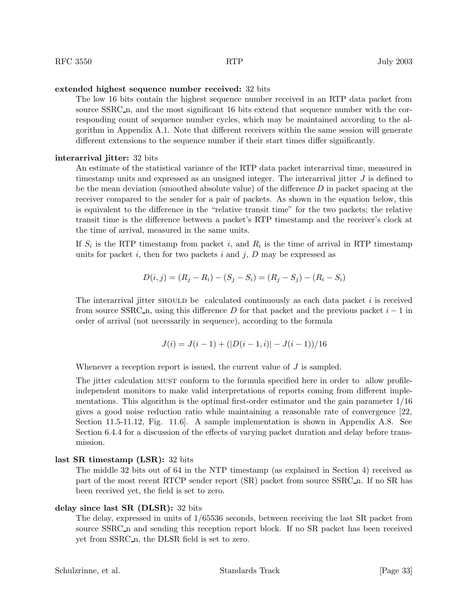#### **extended highest sequence number received:** 32 bits

The low 16 bits contain the highest sequence number received in an RTP data packet from source SSRC<sub>n</sub>, and the most significant 16 bits extend that sequence number with the corresponding count of sequence number cycles, which may be maintained according to the algorithm in Appendix A.1. Note that different receivers within the same session will generate different extensions to the sequence number if their start times differ significantly.

#### **interarrival jitter:** 32 bits

An estimate of the statistical variance of the RTP data packet interarrival time, measured in timestamp units and expressed as an unsigned integer. The interarrival jitter J is defined to be the mean deviation (smoothed absolute value) of the difference  $D$  in packet spacing at the receiver compared to the sender for a pair of packets. As shown in the equation below, this is equivalent to the difference in the "relative transit time" for the two packets; the relative transit time is the difference between a packet's RTP timestamp and the receiver's clock at the time of arrival, measured in the same units.

If  $S_i$  is the RTP timestamp from packet i, and  $R_i$  is the time of arrival in RTP timestamp units for packet i, then for two packets i and j,  $D$  may be expressed as

$$
D(i, j) = (R_j - R_i) - (S_j - S_i) = (R_j - S_j) - (R_i - S_i)
$$

The interarrival jitter should be calculated continuously as each data packet  $i$  is received from source SSRC\_n, using this difference D for that packet and the previous packet  $i - 1$  in order of arrival (not necessarily in sequence), according to the formula

$$
J(i) = J(i-1) + (|D(i-1,i)| - J(i-1))/16
$$

Whenever a reception report is issued, the current value of  $J$  is sampled.

The jitter calculation MUST conform to the formula specified here in order to allow profileindependent monitors to make valid interpretations of reports coming from different implementations. This algorithm is the optimal first-order estimator and the gain parameter  $1/16$ gives a good noise reduction ratio while maintaining a reasonable rate of convergence [22, Section 11.5-11.12, Fig. 11.6]. A sample implementation is shown in Appendix A.8. See Section 6.4.4 for a discussion of the effects of varying packet duration and delay before transmission.

#### **last SR timestamp (LSR):** 32 bits

The middle 32 bits out of 64 in the NTP timestamp (as explained in Section 4) received as part of the most recent RTCP sender report (SR) packet from source SSRC n. If no SR has been received yet, the field is set to zero.

#### **delay since last SR (DLSR):** 32 bits

The delay, expressed in units of 1/65536 seconds, between receiving the last SR packet from source SSRC<sub>n</sub> and sending this reception report block. If no SR packet has been received yet from SSRC n, the DLSR field is set to zero.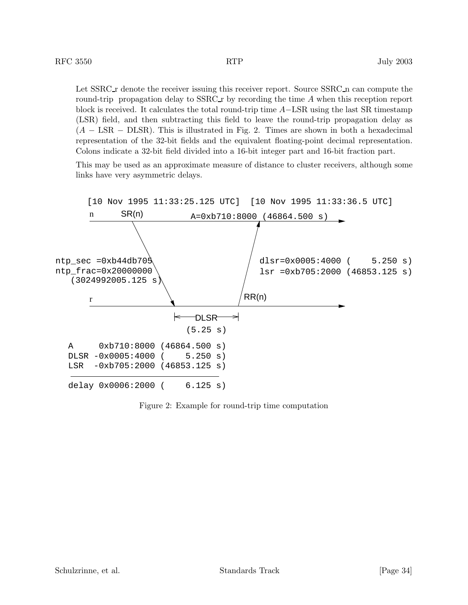Let SSRC<sub>T</sub> denote the receiver issuing this receiver report. Source SSRC<sub>I</sub> can compute the round-trip propagation delay to SSRC<sub>T</sub> by recording the time A when this reception report block is received. It calculates the total round-trip time A−LSR using the last SR timestamp (LSR) field, and then subtracting this field to leave the round-trip propagation delay as  $(A - \text{LSR} - \text{DLSR})$ . This is illustrated in Fig. 2. Times are shown in both a hexadecimal representation of the 32-bit fields and the equivalent floating-point decimal representation. Colons indicate a 32-bit field divided into a 16-bit integer part and 16-bit fraction part.

This may be used as an approximate measure of distance to cluster receivers, although some links have very asymmetric delays.



Figure 2: Example for round-trip time computation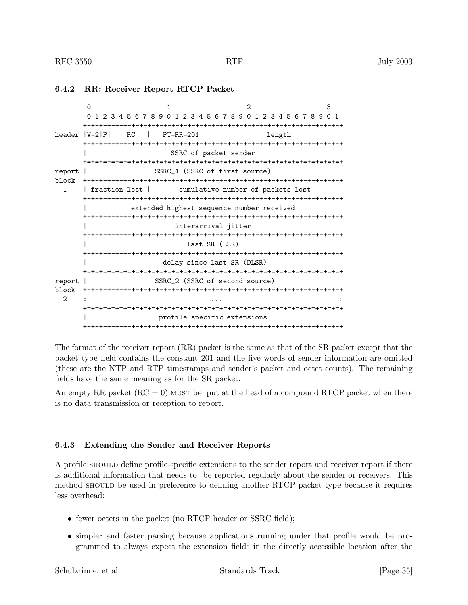|                            | ∩                                                                 | 0 1 2 3 4 5 6 7 8 9 0 1 2 3 4 5 6 7 8 9 0 1 2 3 4 5 6 7 8 9 0 1<br>+-+-+-+-+-+-+-+-+-+-+-+-+ |                       | -+-+-+-+-+-+-+-+-+-+                   | 3 |  |
|----------------------------|-------------------------------------------------------------------|----------------------------------------------------------------------------------------------|-----------------------|----------------------------------------|---|--|
|                            | header $ V=2 P $                                                  | RC<br>$PT=RR=201$<br>$\mathbf{I}$<br>+-+-+-+-+-+-+-+-+-+-+-+-+-+-+-+-+-+                     |                       | length<br>-+-+-+-+-+-+-+-+-+-+-+-+-+-+ |   |  |
|                            |                                                                   |                                                                                              | SSRC of packet sender |                                        |   |  |
| report<br>block            |                                                                   | SSRC_1 (SSRC of first source)                                                                |                       |                                        |   |  |
| $\mathbf{1}$               | fraction lost                                                     |                                                                                              |                       | cumulative number of packets lost      |   |  |
|                            | extended highest sequence number received                         |                                                                                              |                       |                                        |   |  |
|                            | interarrival jitter                                               |                                                                                              |                       |                                        |   |  |
|                            | last SR (LSR)<br>-+-+-+-+-+-+-+-+<br>-+-+-+-+-+-+-+-+-+-+-+-+-+-+ |                                                                                              |                       |                                        |   |  |
|                            | delay since last SR (DLSR)                                        |                                                                                              |                       |                                        |   |  |
| report                     |                                                                   | SSRC_2 (SSRC of second source)                                                               |                       |                                        |   |  |
| block<br>$\mathcal{D}_{1}$ |                                                                   |                                                                                              |                       |                                        |   |  |
|                            | profile-specific extensions                                       |                                                                                              |                       |                                        |   |  |
|                            |                                                                   |                                                                                              |                       |                                        |   |  |

#### **6.4.2 RR: Receiver Report RTCP Packet**

The format of the receiver report (RR) packet is the same as that of the SR packet except that the packet type field contains the constant 201 and the five words of sender information are omitted (these are the NTP and RTP timestamps and sender's packet and octet counts). The remaining fields have the same meaning as for the SR packet.

An empty RR packet  $(RC = 0)$  MUST be put at the head of a compound RTCP packet when there is no data transmission or reception to report.

# **6.4.3 Extending the Sender and Receiver Reports**

A profile should define profile-specific extensions to the sender report and receiver report if there is additional information that needs to be reported regularly about the sender or receivers. This method should be used in preference to defining another RTCP packet type because it requires less overhead:

- fewer octets in the packet (no RTCP header or SSRC field);
- simpler and faster parsing because applications running under that profile would be programmed to always expect the extension fields in the directly accessible location after the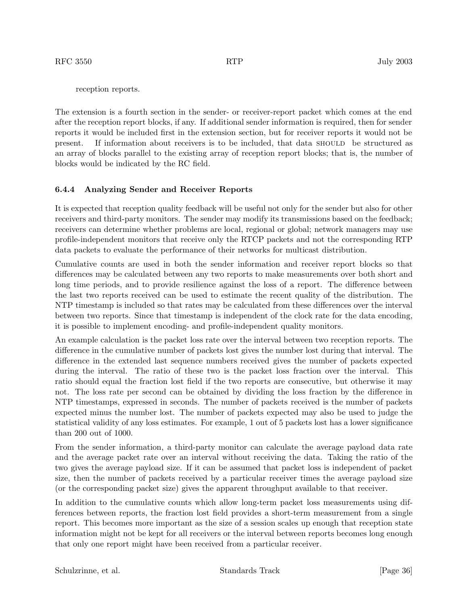reception reports.

The extension is a fourth section in the sender- or receiver-report packet which comes at the end after the reception report blocks, if any. If additional sender information is required, then for sender reports it would be included first in the extension section, but for receiver reports it would not be present. If information about receivers is to be included, that data SHOULD be structured as an array of blocks parallel to the existing array of reception report blocks; that is, the number of blocks would be indicated by the RC field.

# **6.4.4 Analyzing Sender and Receiver Reports**

It is expected that reception quality feedback will be useful not only for the sender but also for other receivers and third-party monitors. The sender may modify its transmissions based on the feedback; receivers can determine whether problems are local, regional or global; network managers may use profile-independent monitors that receive only the RTCP packets and not the corresponding RTP data packets to evaluate the performance of their networks for multicast distribution.

Cumulative counts are used in both the sender information and receiver report blocks so that differences may be calculated between any two reports to make measurements over both short and long time periods, and to provide resilience against the loss of a report. The difference between the last two reports received can be used to estimate the recent quality of the distribution. The NTP timestamp is included so that rates may be calculated from these differences over the interval between two reports. Since that timestamp is independent of the clock rate for the data encoding, it is possible to implement encoding- and profile-independent quality monitors.

An example calculation is the packet loss rate over the interval between two reception reports. The difference in the cumulative number of packets lost gives the number lost during that interval. The difference in the extended last sequence numbers received gives the number of packets expected during the interval. The ratio of these two is the packet loss fraction over the interval. This ratio should equal the fraction lost field if the two reports are consecutive, but otherwise it may not. The loss rate per second can be obtained by dividing the loss fraction by the difference in NTP timestamps, expressed in seconds. The number of packets received is the number of packets expected minus the number lost. The number of packets expected may also be used to judge the statistical validity of any loss estimates. For example, 1 out of 5 packets lost has a lower significance than 200 out of 1000.

From the sender information, a third-party monitor can calculate the average payload data rate and the average packet rate over an interval without receiving the data. Taking the ratio of the two gives the average payload size. If it can be assumed that packet loss is independent of packet size, then the number of packets received by a particular receiver times the average payload size (or the corresponding packet size) gives the apparent throughput available to that receiver.

In addition to the cumulative counts which allow long-term packet loss measurements using differences between reports, the fraction lost field provides a short-term measurement from a single report. This becomes more important as the size of a session scales up enough that reception state information might not be kept for all receivers or the interval between reports becomes long enough that only one report might have been received from a particular receiver.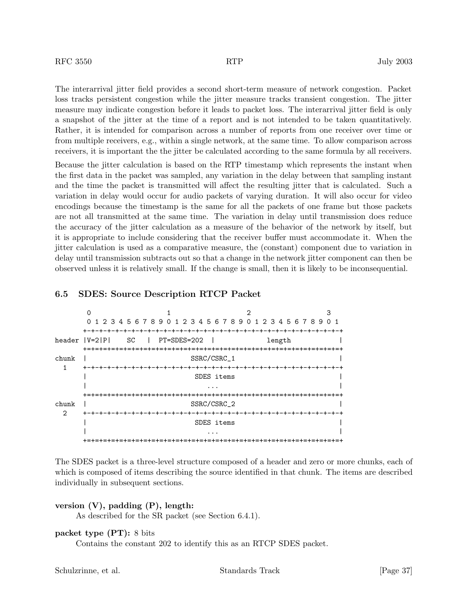The interarrival jitter field provides a second short-term measure of network congestion. Packet loss tracks persistent congestion while the jitter measure tracks transient congestion. The jitter measure may indicate congestion before it leads to packet loss. The interarrival jitter field is only a snapshot of the jitter at the time of a report and is not intended to be taken quantitatively. Rather, it is intended for comparison across a number of reports from one receiver over time or from multiple receivers, e.g., within a single network, at the same time. To allow comparison across receivers, it is important the the jitter be calculated according to the same formula by all receivers.

Because the jitter calculation is based on the RTP timestamp which represents the instant when the first data in the packet was sampled, any variation in the delay between that sampling instant and the time the packet is transmitted will affect the resulting jitter that is calculated. Such a variation in delay would occur for audio packets of varying duration. It will also occur for video encodings because the timestamp is the same for all the packets of one frame but those packets are not all transmitted at the same time. The variation in delay until transmission does reduce the accuracy of the jitter calculation as a measure of the behavior of the network by itself, but it is appropriate to include considering that the receiver buffer must accommodate it. When the jitter calculation is used as a comparative measure, the (constant) component due to variation in delay until transmission subtracts out so that a change in the network jitter component can then be observed unless it is relatively small. If the change is small, then it is likely to be inconsequential.

# **6.5 SDES: Source Description RTCP Packet**



The SDES packet is a three-level structure composed of a header and zero or more chunks, each of which is composed of items describing the source identified in that chunk. The items are described individually in subsequent sections.

#### **version (V), padding (P), length:**

As described for the SR packet (see Section 6.4.1).

#### **packet type (PT):** 8 bits

Contains the constant 202 to identify this as an RTCP SDES packet.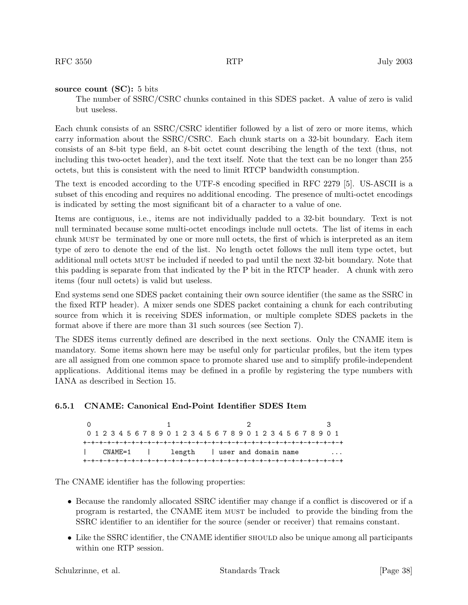#### **source count (SC):** 5 bits

The number of SSRC/CSRC chunks contained in this SDES packet. A value of zero is valid but useless.

Each chunk consists of an SSRC/CSRC identifier followed by a list of zero or more items, which carry information about the SSRC/CSRC. Each chunk starts on a 32-bit boundary. Each item consists of an 8-bit type field, an 8-bit octet count describing the length of the text (thus, not including this two-octet header), and the text itself. Note that the text can be no longer than 255 octets, but this is consistent with the need to limit RTCP bandwidth consumption.

The text is encoded according to the UTF-8 encoding specified in RFC 2279 [5]. US-ASCII is a subset of this encoding and requires no additional encoding. The presence of multi-octet encodings is indicated by setting the most significant bit of a character to a value of one.

Items are contiguous, i.e., items are not individually padded to a 32-bit boundary. Text is not null terminated because some multi-octet encodings include null octets. The list of items in each chunk must be terminated by one or more null octets, the first of which is interpreted as an item type of zero to denote the end of the list. No length octet follows the null item type octet, but additional null octets must be included if needed to pad until the next 32-bit boundary. Note that this padding is separate from that indicated by the P bit in the RTCP header. A chunk with zero items (four null octets) is valid but useless.

End systems send one SDES packet containing their own source identifier (the same as the SSRC in the fixed RTP header). A mixer sends one SDES packet containing a chunk for each contributing source from which it is receiving SDES information, or multiple complete SDES packets in the format above if there are more than 31 such sources (see Section 7).

The SDES items currently defined are described in the next sections. Only the CNAME item is mandatory. Some items shown here may be useful only for particular profiles, but the item types are all assigned from one common space to promote shared use and to simplify profile-independent applications. Additional items may be defined in a profile by registering the type numbers with IANA as described in Section 15.

## **6.5.1 CNAME: Canonical End-Point Identifier SDES Item**

0 1 2 3 01234567890123456789012345678901 +-+-+-+-+-+-+-+-+-+-+-+-+-+-+-+-+-+-+-+-+-+-+-+-+-+-+-+-+-+-+-+-+ | CNAME=1 | length | user and domain name  $\ldots$ +-+-+-+-+-+-+-+-+-+-+-+-+-+-+-+-+-+-+-+-+-+-+-+-+-+-+-+-+-+-+-+-+

The CNAME identifier has the following properties:

- Because the randomly allocated SSRC identifier may change if a conflict is discovered or if a program is restarted, the CNAME item must be included to provide the binding from the SSRC identifier to an identifier for the source (sender or receiver) that remains constant.
- Like the SSRC identifier, the CNAME identifier should also be unique among all participants within one RTP session.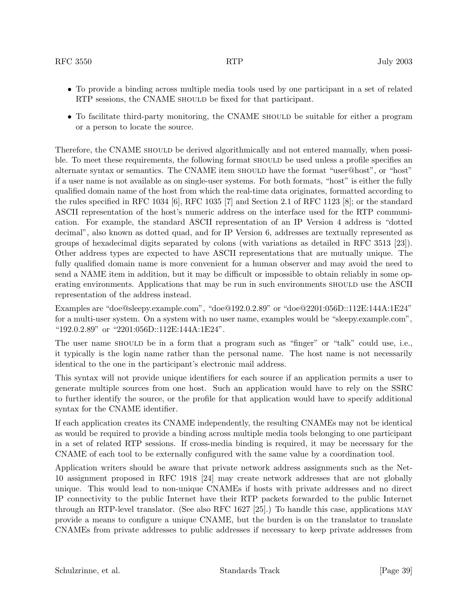## RFC 3550 July 2003

- To provide a binding across multiple media tools used by one participant in a set of related RTP sessions, the CNAME should be fixed for that participant.
- To facilitate third-party monitoring, the CNAME SHOULD be suitable for either a program or a person to locate the source.

Therefore, the CNAME should be derived algorithmically and not entered manually, when possible. To meet these requirements, the following format SHOULD be used unless a profile specifies an alternate syntax or semantics. The CNAME item should have the format "user@host", or "host" if a user name is not available as on single-user systems. For both formats, "host" is either the fully qualified domain name of the host from which the real-time data originates, formatted according to the rules specified in RFC 1034 [6], RFC 1035 [7] and Section 2.1 of RFC 1123 [8]; or the standard ASCII representation of the host's numeric address on the interface used for the RTP communication. For example, the standard ASCII representation of an IP Version 4 address is "dotted decimal", also known as dotted quad, and for IP Version 6, addresses are textually represented as groups of hexadecimal digits separated by colons (with variations as detailed in RFC 3513 [23]). Other address types are expected to have ASCII representations that are mutually unique. The fully qualified domain name is more convenient for a human observer and may avoid the need to send a NAME item in addition, but it may be difficult or impossible to obtain reliably in some operating environments. Applications that may be run in such environments SHOULD use the ASCII representation of the address instead.

Examples are "doe@sleepy.example.com", "doe@192.0.2.89" or "doe@2201:056D::112E:144A:1E24" for a multi-user system. On a system with no user name, examples would be "sleepy.example.com", "192.0.2.89" or "2201:056D::112E:144A:1E24".

The user name should be in a form that a program such as "finger" or "talk" could use, i.e., it typically is the login name rather than the personal name. The host name is not necessarily identical to the one in the participant's electronic mail address.

This syntax will not provide unique identifiers for each source if an application permits a user to generate multiple sources from one host. Such an application would have to rely on the SSRC to further identify the source, or the profile for that application would have to specify additional syntax for the CNAME identifier.

If each application creates its CNAME independently, the resulting CNAMEs may not be identical as would be required to provide a binding across multiple media tools belonging to one participant in a set of related RTP sessions. If cross-media binding is required, it may be necessary for the CNAME of each tool to be externally configured with the same value by a coordination tool.

Application writers should be aware that private network address assignments such as the Net-10 assignment proposed in RFC 1918 [24] may create network addresses that are not globally unique. This would lead to non-unique CNAMEs if hosts with private addresses and no direct IP connectivity to the public Internet have their RTP packets forwarded to the public Internet through an RTP-level translator. (See also RFC 1627 [25].) To handle this case, applications may provide a means to configure a unique CNAME, but the burden is on the translator to translate CNAMEs from private addresses to public addresses if necessary to keep private addresses from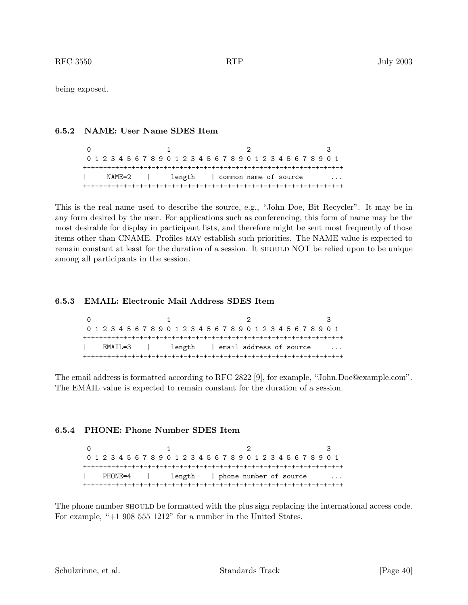being exposed.

#### **6.5.2 NAME: User Name SDES Item**

0 1 2 3 01234567890123456789012345678901 +-+-+-+-+-+-+-+-+-+-+-+-+-+-+-+-+-+-+-+-+-+-+-+-+-+-+-+-+-+-+-+-+ | NAME=2 | length | common name of source +-+-+-+-+-+-+-+-+-+-+-+-+-+-+-+-+-+-+-+-+-+-+-+-+-+-+-+-+-+-+-+-+

This is the real name used to describe the source, e.g., "John Doe, Bit Recycler". It may be in any form desired by the user. For applications such as conferencing, this form of name may be the most desirable for display in participant lists, and therefore might be sent most frequently of those items other than CNAME. Profiles may establish such priorities. The NAME value is expected to remain constant at least for the duration of a session. It should NOT be relied upon to be unique among all participants in the session.

#### **6.5.3 EMAIL: Electronic Mail Address SDES Item**

|                                                                 |  |           |  |  |  |  |  |  |  |  |  |  |  |                                  |  | -3 |                         |
|-----------------------------------------------------------------|--|-----------|--|--|--|--|--|--|--|--|--|--|--|----------------------------------|--|----|-------------------------|
| 0 1 2 3 4 5 6 7 8 9 0 1 2 3 4 5 6 7 8 9 0 1 2 3 4 5 6 7 8 9 0 1 |  |           |  |  |  |  |  |  |  |  |  |  |  |                                  |  |    |                         |
|                                                                 |  |           |  |  |  |  |  |  |  |  |  |  |  |                                  |  |    |                         |
| $\mathbf{L}$                                                    |  | EMAIL=3 l |  |  |  |  |  |  |  |  |  |  |  | length   email address of source |  |    | $\cdot$ $\cdot$ $\cdot$ |
|                                                                 |  |           |  |  |  |  |  |  |  |  |  |  |  |                                  |  |    |                         |

The email address is formatted according to RFC 2822 [9], for example, "John.Doe@example.com". The EMAIL value is expected to remain constant for the duration of a session.

#### **6.5.4 PHONE: Phone Number SDES Item**

0 1 2 3 01234567890123456789012345678901 +-+-+-+-+-+-+-+-+-+-+-+-+-+-+-+-+-+-+-+-+-+-+-+-+-+-+-+-+-+-+-+-+ | PHONE=4 | length | phone number of source ... +-+-+-+-+-+-+-+-+-+-+-+-+-+-+-+-+-+-+-+-+-+-+-+-+-+-+-+-+-+-+-+-+

The phone number should be formatted with the plus sign replacing the international access code. For example, "+1 908 555 1212" for a number in the United States.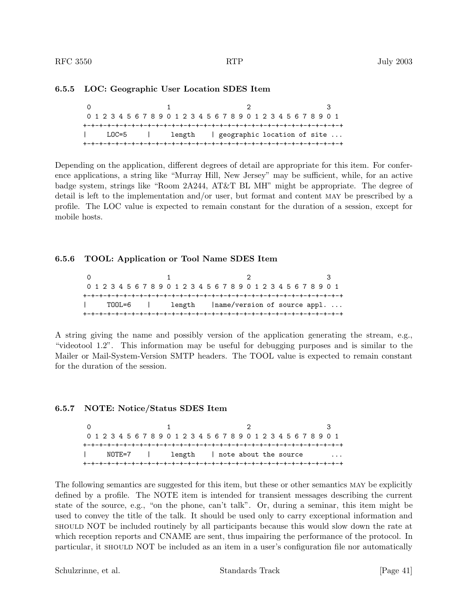#### RFC 3550 July 2003

#### **6.5.5 LOC: Geographic User Location SDES Item**

0 1 2 3 01234567890123456789012345678901 +-+-+-+-+-+-+-+-+-+-+-+-+-+-+-+-+-+-+-+-+-+-+-+-+-+-+-+-+-+-+-+-+ LOC=5 | length | geographic location of site ... +-+-+-+-+-+-+-+-+-+-+-+-+-+-+-+-+-+-+-+-+-+-+-+-+-+-+-+-+-+-+-+-+

Depending on the application, different degrees of detail are appropriate for this item. For conference applications, a string like "Murray Hill, New Jersey" may be sufficient, while, for an active badge system, strings like "Room 2A244, AT&T BL MH" might be appropriate. The degree of detail is left to the implementation and/or user, but format and content may be prescribed by a profile. The LOC value is expected to remain constant for the duration of a session, except for mobile hosts.

#### **6.5.6 TOOL: Application or Tool Name SDES Item**

0 1 2 3 01234567890123456789012345678901 +-+-+-+-+-+-+-+-+-+-+-+-+-+-+-+-+-+-+-+-+-+-+-+-+-+-+-+-+-+-+-+-+ | TOOL=6 | length |name/version of source appl. ... +-+-+-+-+-+-+-+-+-+-+-+-+-+-+-+-+-+-+-+-+-+-+-+-+-+-+-+-+-+-+-+-+

A string giving the name and possibly version of the application generating the stream, e.g., "videotool 1.2". This information may be useful for debugging purposes and is similar to the Mailer or Mail-System-Version SMTP headers. The TOOL value is expected to remain constant for the duration of the session.

#### **6.5.7 NOTE: Notice/Status SDES Item**

0 1 2 3 01234567890123456789012345678901 +-+-+-+-+-+-+-+-+-+-+-+-+-+-+-+-+-+-+-+-+-+-+-+-+-+-+-+-+-+-+-+-+ NOTE=7 | length | note about the source ... +-+-+-+-+-+-+-+-+-+-+-+-+-+-+-+-+-+-+-+-+-+-+-+-+-+-+-+-+-+-+-+-+

The following semantics are suggested for this item, but these or other semantics may be explicitly defined by a profile. The NOTE item is intended for transient messages describing the current state of the source, e.g., "on the phone, can't talk". Or, during a seminar, this item might be used to convey the title of the talk. It should be used only to carry exceptional information and should NOT be included routinely by all participants because this would slow down the rate at which reception reports and CNAME are sent, thus impairing the performance of the protocol. In particular, it should NOT be included as an item in a user's configuration file nor automatically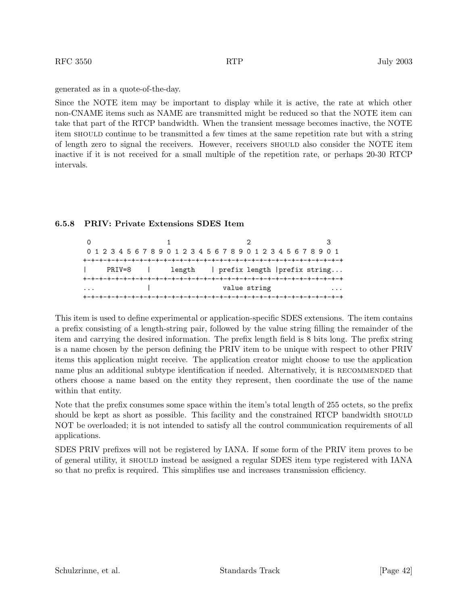generated as in a quote-of-the-day.

Since the NOTE item may be important to display while it is active, the rate at which other non-CNAME items such as NAME are transmitted might be reduced so that the NOTE item can take that part of the RTCP bandwidth. When the transient message becomes inactive, the NOTE item should continue to be transmitted a few times at the same repetition rate but with a string of length zero to signal the receivers. However, receivers should also consider the NOTE item inactive if it is not received for a small multiple of the repetition rate, or perhaps 20-30 RTCP intervals.

## **6.5.8 PRIV: Private Extensions SDES Item**

| 01234567890123456789012345678901 |  |  |          |  |  |  |  |  |  |              |  |  |  |  |  |  |                                        |
|----------------------------------|--|--|----------|--|--|--|--|--|--|--------------|--|--|--|--|--|--|----------------------------------------|
|                                  |  |  |          |  |  |  |  |  |  |              |  |  |  |  |  |  |                                        |
| $\mathbf{L}$                     |  |  | $PRIV=8$ |  |  |  |  |  |  |              |  |  |  |  |  |  | length   prefix length   prefix string |
|                                  |  |  |          |  |  |  |  |  |  |              |  |  |  |  |  |  |                                        |
|                                  |  |  |          |  |  |  |  |  |  | value string |  |  |  |  |  |  |                                        |
|                                  |  |  |          |  |  |  |  |  |  |              |  |  |  |  |  |  |                                        |

This item is used to define experimental or application-specific SDES extensions. The item contains a prefix consisting of a length-string pair, followed by the value string filling the remainder of the item and carrying the desired information. The prefix length field is 8 bits long. The prefix string is a name chosen by the person defining the PRIV item to be unique with respect to other PRIV items this application might receive. The application creator might choose to use the application name plus an additional subtype identification if needed. Alternatively, it is RECOMMENDED that others choose a name based on the entity they represent, then coordinate the use of the name within that entity.

Note that the prefix consumes some space within the item's total length of 255 octets, so the prefix should be kept as short as possible. This facility and the constrained RTCP bandwidth should NOT be overloaded; it is not intended to satisfy all the control communication requirements of all applications.

SDES PRIV prefixes will not be registered by IANA. If some form of the PRIV item proves to be of general utility, it should instead be assigned a regular SDES item type registered with IANA so that no prefix is required. This simplifies use and increases transmission efficiency.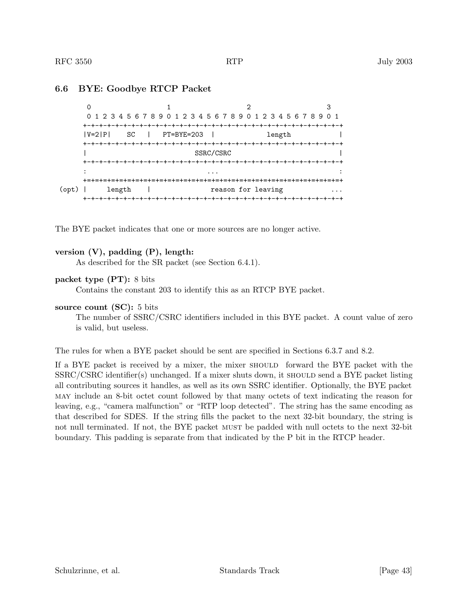#### 0 1 2 3 01234567890123456789012345678901 +-+-+-+-+-+-+-+-+-+-+-+-+-+-+-+-+-+-+-+-+-+-+-+-+-+-+-+-+-+-+-+-+ |V=2|P| SC | PT=BYE=203 | length | +-+-+-+-+-+-+-+-+-+-+-+-+-+-+-+-+-+-+-+-+-+-+-+-+-+-+-+-+-+-+-+-+ | SSRC/CSRC | +-+-+-+-+-+-+-+-+-+-+-+-+-+-+-+-+-+-+-+-+-+-+-+-+-+-+-+-+-+-+-+-+ : ... : +=+=+=+=+=+=+=+=+=+=+=+=+=+=+=+=+=+=+=+=+=+=+=+=+=+=+=+=+=+=+=+=+ (opt) | length | reason for leaving ... +-+-+-+-+-+-+-+-+-+-+-+-+-+-+-+-+-+-+-+-+-+-+-+-+-+-+-+-+-+-+-+-+

#### **6.6 BYE: Goodbye RTCP Packet**

The BYE packet indicates that one or more sources are no longer active.

## **version (V), padding (P), length:**

As described for the SR packet (see Section 6.4.1).

#### **packet type (PT):** 8 bits

Contains the constant 203 to identify this as an RTCP BYE packet.

#### **source count (SC):** 5 bits

The number of SSRC/CSRC identifiers included in this BYE packet. A count value of zero is valid, but useless.

The rules for when a BYE packet should be sent are specified in Sections 6.3.7 and 8.2.

If a BYE packet is received by a mixer, the mixer should forward the BYE packet with the SSRC/CSRC identifier(s) unchanged. If a mixer shuts down, it should send a BYE packet listing all contributing sources it handles, as well as its own SSRC identifier. Optionally, the BYE packet may include an 8-bit octet count followed by that many octets of text indicating the reason for leaving, e.g., "camera malfunction" or "RTP loop detected". The string has the same encoding as that described for SDES. If the string fills the packet to the next 32-bit boundary, the string is not null terminated. If not, the BYE packet MUST be padded with null octets to the next 32-bit boundary. This padding is separate from that indicated by the P bit in the RTCP header.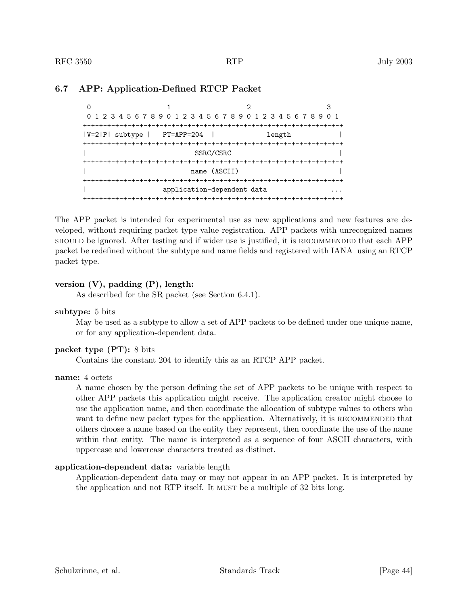## RFC 3550 July 2003

# **6.7 APP: Application-Defined RTCP Packet**

0 1 2 3 01234567890123456789012345678901 +-+-+-+-+-+-+-+-+-+-+-+-+-+-+-+-+-+-+-+-+-+-+-+-+-+-+-+-+-+-+-+-+  $|V=2|P|$  subtype  $|PT=APP=204$   $|$  length  $|$ +-+-+-+-+-+-+-+-+-+-+-+-+-+-+-+-+-+-+-+-+-+-+-+-+-+-+-+-+-+-+-+-+ | SSRC/CSRC | +-+-+-+-+-+-+-+-+-+-+-+-+-+-+-+-+-+-+-+-+-+-+-+-+-+-+-+-+-+-+-+-+ name (ASCII) +-+-+-+-+-+-+-+-+-+-+-+-+-+-+-+-+-+-+-+-+-+-+-+-+-+-+-+-+-+-+-+-+ application-dependent data  $\cdots$ +-+-+-+-+-+-+-+-+-+-+-+-+-+-+-+-+-+-+-+-+-+-+-+-+-+-+-+-+-+-+-+-+

The APP packet is intended for experimental use as new applications and new features are developed, without requiring packet type value registration. APP packets with unrecognized names should be ignored. After testing and if wider use is justified, it is RECOMMENDED that each APP packet be redefined without the subtype and name fields and registered with IANA using an RTCP packet type.

# **version (V), padding (P), length:**

As described for the SR packet (see Section 6.4.1).

## **subtype:** 5 bits

May be used as a subtype to allow a set of APP packets to be defined under one unique name, or for any application-dependent data.

## **packet type (PT):** 8 bits

Contains the constant 204 to identify this as an RTCP APP packet.

## **name:** 4 octets

A name chosen by the person defining the set of APP packets to be unique with respect to other APP packets this application might receive. The application creator might choose to use the application name, and then coordinate the allocation of subtype values to others who want to define new packet types for the application. Alternatively, it is RECOMMENDED that others choose a name based on the entity they represent, then coordinate the use of the name within that entity. The name is interpreted as a sequence of four ASCII characters, with uppercase and lowercase characters treated as distinct.

## **application-dependent data:** variable length

Application-dependent data may or may not appear in an APP packet. It is interpreted by the application and not RTP itself. It must be a multiple of 32 bits long.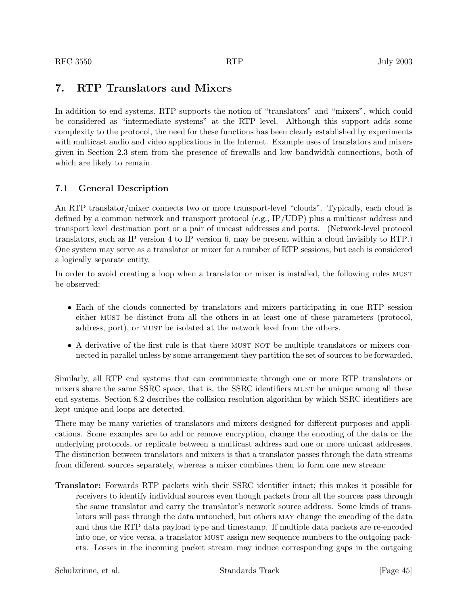# **7. RTP Translators and Mixers**

In addition to end systems, RTP supports the notion of "translators" and "mixers", which could be considered as "intermediate systems" at the RTP level. Although this support adds some complexity to the protocol, the need for these functions has been clearly established by experiments with multicast audio and video applications in the Internet. Example uses of translators and mixers given in Section 2.3 stem from the presence of firewalls and low bandwidth connections, both of which are likely to remain.

# **7.1 General Description**

An RTP translator/mixer connects two or more transport-level "clouds". Typically, each cloud is defined by a common network and transport protocol (e.g., IP/UDP) plus a multicast address and transport level destination port or a pair of unicast addresses and ports. (Network-level protocol translators, such as IP version 4 to IP version 6, may be present within a cloud invisibly to RTP.) One system may serve as a translator or mixer for a number of RTP sessions, but each is considered a logically separate entity.

In order to avoid creating a loop when a translator or mixer is installed, the following rules MUST be observed:

- Each of the clouds connected by translators and mixers participating in one RTP session either must be distinct from all the others in at least one of these parameters (protocol, address, port), or MUST be isolated at the network level from the others.
- A derivative of the first rule is that there MUST NOT be multiple translators or mixers connected in parallel unless by some arrangement they partition the set of sources to be forwarded.

Similarly, all RTP end systems that can communicate through one or more RTP translators or mixers share the same SSRC space, that is, the SSRC identifiers MUST be unique among all these end systems. Section 8.2 describes the collision resolution algorithm by which SSRC identifiers are kept unique and loops are detected.

There may be many varieties of translators and mixers designed for different purposes and applications. Some examples are to add or remove encryption, change the encoding of the data or the underlying protocols, or replicate between a multicast address and one or more unicast addresses. The distinction between translators and mixers is that a translator passes through the data streams from different sources separately, whereas a mixer combines them to form one new stream:

**Translator:** Forwards RTP packets with their SSRC identifier intact; this makes it possible for receivers to identify individual sources even though packets from all the sources pass through the same translator and carry the translator's network source address. Some kinds of translators will pass through the data untouched, but others may change the encoding of the data and thus the RTP data payload type and timestamp. If multiple data packets are re-encoded into one, or vice versa, a translator MUST assign new sequence numbers to the outgoing packets. Losses in the incoming packet stream may induce corresponding gaps in the outgoing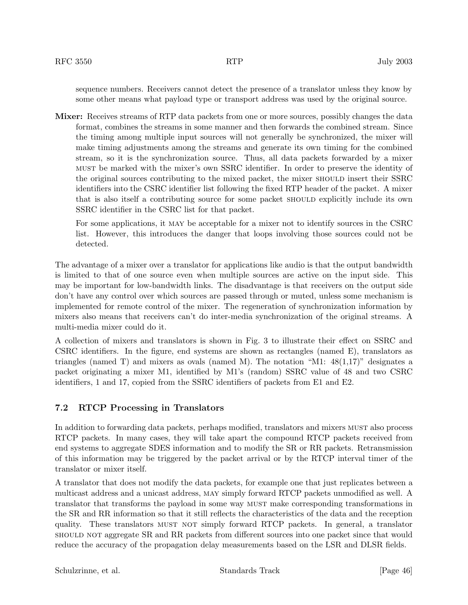sequence numbers. Receivers cannot detect the presence of a translator unless they know by some other means what payload type or transport address was used by the original source.

**Mixer:** Receives streams of RTP data packets from one or more sources, possibly changes the data format, combines the streams in some manner and then forwards the combined stream. Since the timing among multiple input sources will not generally be synchronized, the mixer will make timing adjustments among the streams and generate its own timing for the combined stream, so it is the synchronization source. Thus, all data packets forwarded by a mixer must be marked with the mixer's own SSRC identifier. In order to preserve the identity of the original sources contributing to the mixed packet, the mixer should insert their SSRC identifiers into the CSRC identifier list following the fixed RTP header of the packet. A mixer that is also itself a contributing source for some packet SHOULD explicitly include its own SSRC identifier in the CSRC list for that packet.

For some applications, it may be acceptable for a mixer not to identify sources in the CSRC list. However, this introduces the danger that loops involving those sources could not be detected.

The advantage of a mixer over a translator for applications like audio is that the output bandwidth is limited to that of one source even when multiple sources are active on the input side. This may be important for low-bandwidth links. The disadvantage is that receivers on the output side don't have any control over which sources are passed through or muted, unless some mechanism is implemented for remote control of the mixer. The regeneration of synchronization information by mixers also means that receivers can't do inter-media synchronization of the original streams. A multi-media mixer could do it.

A collection of mixers and translators is shown in Fig. 3 to illustrate their effect on SSRC and CSRC identifiers. In the figure, end systems are shown as rectangles (named E), translators as triangles (named T) and mixers as ovals (named M). The notation "M1:  $48(1,17)$ " designates a packet originating a mixer M1, identified by M1's (random) SSRC value of 48 and two CSRC identifiers, 1 and 17, copied from the SSRC identifiers of packets from E1 and E2.

# **7.2 RTCP Processing in Translators**

In addition to forwarding data packets, perhaps modified, translators and mixers must also process RTCP packets. In many cases, they will take apart the compound RTCP packets received from end systems to aggregate SDES information and to modify the SR or RR packets. Retransmission of this information may be triggered by the packet arrival or by the RTCP interval timer of the translator or mixer itself.

A translator that does not modify the data packets, for example one that just replicates between a multicast address and a unicast address, may simply forward RTCP packets unmodified as well. A translator that transforms the payload in some way MUST make corresponding transformations in the SR and RR information so that it still reflects the characteristics of the data and the reception quality. These translators must not simply forward RTCP packets. In general, a translator should not aggregate SR and RR packets from different sources into one packet since that would reduce the accuracy of the propagation delay measurements based on the LSR and DLSR fields.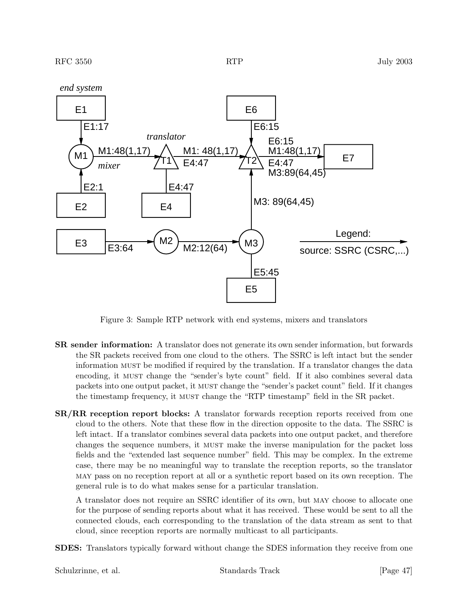

Figure 3: Sample RTP network with end systems, mixers and translators

- **SR sender information:** A translator does not generate its own sender information, but forwards the SR packets received from one cloud to the others. The SSRC is left intact but the sender information must be modified if required by the translation. If a translator changes the data encoding, it must change the "sender's byte count" field. If it also combines several data packets into one output packet, it must change the "sender's packet count" field. If it changes the timestamp frequency, it must change the "RTP timestamp" field in the SR packet.
- **SR/RR reception report blocks:** A translator forwards reception reports received from one cloud to the others. Note that these flow in the direction opposite to the data. The SSRC is left intact. If a translator combines several data packets into one output packet, and therefore changes the sequence numbers, it must make the inverse manipulation for the packet loss fields and the "extended last sequence number" field. This may be complex. In the extreme case, there may be no meaningful way to translate the reception reports, so the translator may pass on no reception report at all or a synthetic report based on its own reception. The general rule is to do what makes sense for a particular translation.

A translator does not require an SSRC identifier of its own, but may choose to allocate one for the purpose of sending reports about what it has received. These would be sent to all the connected clouds, each corresponding to the translation of the data stream as sent to that cloud, since reception reports are normally multicast to all participants.

**SDES:** Translators typically forward without change the SDES information they receive from one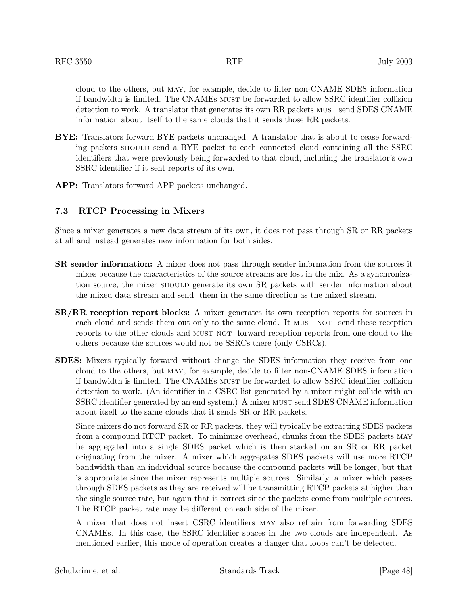cloud to the others, but may, for example, decide to filter non-CNAME SDES information if bandwidth is limited. The CNAMEs must be forwarded to allow SSRC identifier collision detection to work. A translator that generates its own RR packets MUST send SDES CNAME information about itself to the same clouds that it sends those RR packets.

- **BYE:** Translators forward BYE packets unchanged. A translator that is about to cease forwarding packets should send a BYE packet to each connected cloud containing all the SSRC identifiers that were previously being forwarded to that cloud, including the translator's own SSRC identifier if it sent reports of its own.
- **APP:** Translators forward APP packets unchanged.

# **7.3 RTCP Processing in Mixers**

Since a mixer generates a new data stream of its own, it does not pass through SR or RR packets at all and instead generates new information for both sides.

- **SR sender information:** A mixer does not pass through sender information from the sources it mixes because the characteristics of the source streams are lost in the mix. As a synchronization source, the mixer should generate its own SR packets with sender information about the mixed data stream and send them in the same direction as the mixed stream.
- **SR/RR reception report blocks:** A mixer generates its own reception reports for sources in each cloud and sends them out only to the same cloud. It MUST NOT send these reception reports to the other clouds and MUST NOT forward reception reports from one cloud to the others because the sources would not be SSRCs there (only CSRCs).
- **SDES:** Mixers typically forward without change the SDES information they receive from one cloud to the others, but may, for example, decide to filter non-CNAME SDES information if bandwidth is limited. The CNAMEs MUST be forwarded to allow SSRC identifier collision detection to work. (An identifier in a CSRC list generated by a mixer might collide with an SSRC identifier generated by an end system.) A mixer must send SDES CNAME information about itself to the same clouds that it sends SR or RR packets.

Since mixers do not forward SR or RR packets, they will typically be extracting SDES packets from a compound RTCP packet. To minimize overhead, chunks from the SDES packets may be aggregated into a single SDES packet which is then stacked on an SR or RR packet originating from the mixer. A mixer which aggregates SDES packets will use more RTCP bandwidth than an individual source because the compound packets will be longer, but that is appropriate since the mixer represents multiple sources. Similarly, a mixer which passes through SDES packets as they are received will be transmitting RTCP packets at higher than the single source rate, but again that is correct since the packets come from multiple sources. The RTCP packet rate may be different on each side of the mixer.

A mixer that does not insert CSRC identifiers may also refrain from forwarding SDES CNAMEs. In this case, the SSRC identifier spaces in the two clouds are independent. As mentioned earlier, this mode of operation creates a danger that loops can't be detected.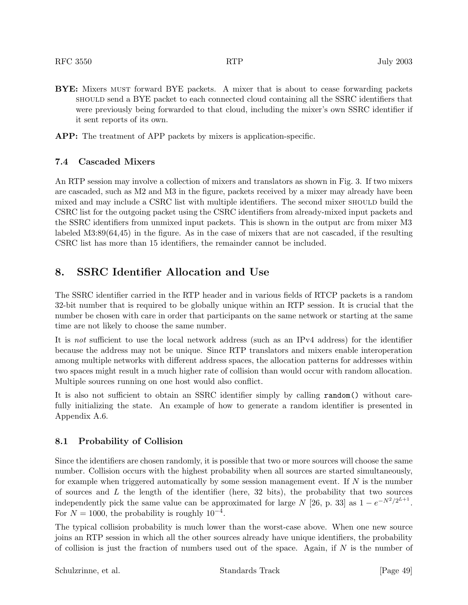**BYE:** Mixers must forward BYE packets. A mixer that is about to cease forwarding packets should send a BYE packet to each connected cloud containing all the SSRC identifiers that were previously being forwarded to that cloud, including the mixer's own SSRC identifier if it sent reports of its own.

**APP:** The treatment of APP packets by mixers is application-specific.

# **7.4 Cascaded Mixers**

An RTP session may involve a collection of mixers and translators as shown in Fig. 3. If two mixers are cascaded, such as M2 and M3 in the figure, packets received by a mixer may already have been mixed and may include a CSRC list with multiple identifiers. The second mixer should build the CSRC list for the outgoing packet using the CSRC identifiers from already-mixed input packets and the SSRC identifiers from unmixed input packets. This is shown in the output arc from mixer M3 labeled M3:89(64,45) in the figure. As in the case of mixers that are not cascaded, if the resulting CSRC list has more than 15 identifiers, the remainder cannot be included.

# **8. SSRC Identifier Allocation and Use**

The SSRC identifier carried in the RTP header and in various fields of RTCP packets is a random 32-bit number that is required to be globally unique within an RTP session. It is crucial that the number be chosen with care in order that participants on the same network or starting at the same time are not likely to choose the same number.

It is *not* sufficient to use the local network address (such as an IPv4 address) for the identifier because the address may not be unique. Since RTP translators and mixers enable interoperation among multiple networks with different address spaces, the allocation patterns for addresses within two spaces might result in a much higher rate of collision than would occur with random allocation. Multiple sources running on one host would also conflict.

It is also not sufficient to obtain an SSRC identifier simply by calling random() without carefully initializing the state. An example of how to generate a random identifier is presented in Appendix A.6.

# **8.1 Probability of Collision**

Since the identifiers are chosen randomly, it is possible that two or more sources will choose the same number. Collision occurs with the highest probability when all sources are started simultaneously, for example when triggered automatically by some session management event. If  $N$  is the number of sources and  $L$  the length of the identifier (here, 32 bits), the probability that two sources independently pick the same value can be approximated for large N [26, p. 33] as  $1 - e^{-N^2/2^{L+1}}$ . For  $N = 1000$ , the probability is roughly  $10^{-4}$ .

The typical collision probability is much lower than the worst-case above. When one new source joins an RTP session in which all the other sources already have unique identifiers, the probability of collision is just the fraction of numbers used out of the space. Again, if  $N$  is the number of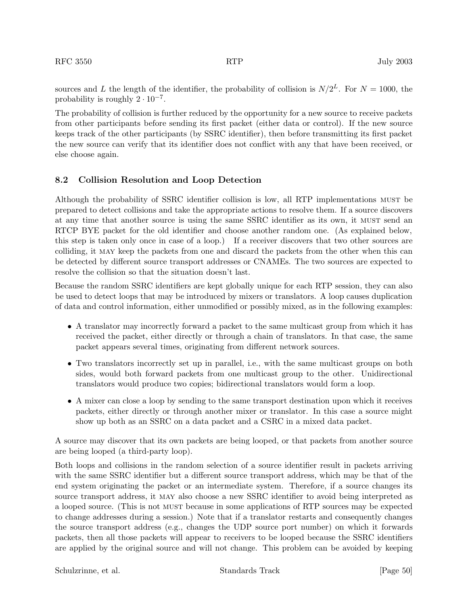sources and L the length of the identifier, the probability of collision is  $N/2<sup>L</sup>$ . For  $N = 1000$ , the probability is roughly  $2 \cdot 10^{-7}$ .

The probability of collision is further reduced by the opportunity for a new source to receive packets from other participants before sending its first packet (either data or control). If the new source keeps track of the other participants (by SSRC identifier), then before transmitting its first packet the new source can verify that its identifier does not conflict with any that have been received, or else choose again.

#### **8.2 Collision Resolution and Loop Detection**

Although the probability of SSRC identifier collision is low, all RTP implementations must be prepared to detect collisions and take the appropriate actions to resolve them. If a source discovers at any time that another source is using the same SSRC identifier as its own, it MUST send an RTCP BYE packet for the old identifier and choose another random one. (As explained below, this step is taken only once in case of a loop.) If a receiver discovers that two other sources are colliding, it may keep the packets from one and discard the packets from the other when this can be detected by different source transport addresses or CNAMEs. The two sources are expected to resolve the collision so that the situation doesn't last.

Because the random SSRC identifiers are kept globally unique for each RTP session, they can also be used to detect loops that may be introduced by mixers or translators. A loop causes duplication of data and control information, either unmodified or possibly mixed, as in the following examples:

- A translator may incorrectly forward a packet to the same multicast group from which it has received the packet, either directly or through a chain of translators. In that case, the same packet appears several times, originating from different network sources.
- Two translators incorrectly set up in parallel, i.e., with the same multicast groups on both sides, would both forward packets from one multicast group to the other. Unidirectional translators would produce two copies; bidirectional translators would form a loop.
- A mixer can close a loop by sending to the same transport destination upon which it receives packets, either directly or through another mixer or translator. In this case a source might show up both as an SSRC on a data packet and a CSRC in a mixed data packet.

A source may discover that its own packets are being looped, or that packets from another source are being looped (a third-party loop).

Both loops and collisions in the random selection of a source identifier result in packets arriving with the same SSRC identifier but a different source transport address, which may be that of the end system originating the packet or an intermediate system. Therefore, if a source changes its source transport address, it may also choose a new SSRC identifier to avoid being interpreted as a looped source. (This is not must because in some applications of RTP sources may be expected to change addresses during a session.) Note that if a translator restarts and consequently changes the source transport address (e.g., changes the UDP source port number) on which it forwards packets, then all those packets will appear to receivers to be looped because the SSRC identifiers are applied by the original source and will not change. This problem can be avoided by keeping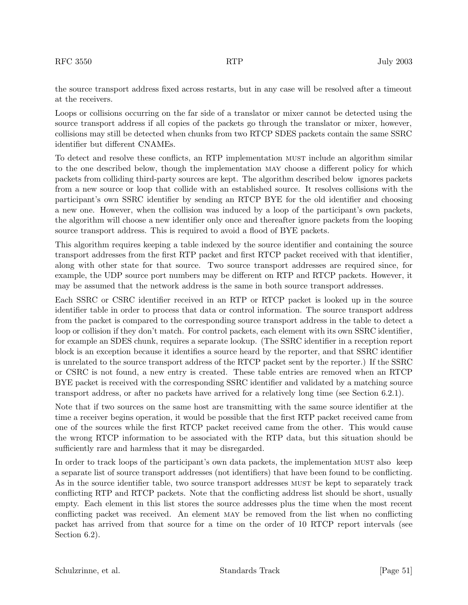the source transport address fixed across restarts, but in any case will be resolved after a timeout at the receivers.

Loops or collisions occurring on the far side of a translator or mixer cannot be detected using the source transport address if all copies of the packets go through the translator or mixer, however, collisions may still be detected when chunks from two RTCP SDES packets contain the same SSRC identifier but different CNAMEs.

To detect and resolve these conflicts, an RTP implementation must include an algorithm similar to the one described below, though the implementation may choose a different policy for which packets from colliding third-party sources are kept. The algorithm described below ignores packets from a new source or loop that collide with an established source. It resolves collisions with the participant's own SSRC identifier by sending an RTCP BYE for the old identifier and choosing a new one. However, when the collision was induced by a loop of the participant's own packets, the algorithm will choose a new identifier only once and thereafter ignore packets from the looping source transport address. This is required to avoid a flood of BYE packets.

This algorithm requires keeping a table indexed by the source identifier and containing the source transport addresses from the first RTP packet and first RTCP packet received with that identifier, along with other state for that source. Two source transport addresses are required since, for example, the UDP source port numbers may be different on RTP and RTCP packets. However, it may be assumed that the network address is the same in both source transport addresses.

Each SSRC or CSRC identifier received in an RTP or RTCP packet is looked up in the source identifier table in order to process that data or control information. The source transport address from the packet is compared to the corresponding source transport address in the table to detect a loop or collision if they don't match. For control packets, each element with its own SSRC identifier, for example an SDES chunk, requires a separate lookup. (The SSRC identifier in a reception report block is an exception because it identifies a source heard by the reporter, and that SSRC identifier is unrelated to the source transport address of the RTCP packet sent by the reporter.) If the SSRC or CSRC is not found, a new entry is created. These table entries are removed when an RTCP BYE packet is received with the corresponding SSRC identifier and validated by a matching source transport address, or after no packets have arrived for a relatively long time (see Section 6.2.1).

Note that if two sources on the same host are transmitting with the same source identifier at the time a receiver begins operation, it would be possible that the first RTP packet received came from one of the sources while the first RTCP packet received came from the other. This would cause the wrong RTCP information to be associated with the RTP data, but this situation should be sufficiently rare and harmless that it may be disregarded.

In order to track loops of the participant's own data packets, the implementation MUST also keep a separate list of source transport addresses (not identifiers) that have been found to be conflicting. As in the source identifier table, two source transport addresses MUST be kept to separately track conflicting RTP and RTCP packets. Note that the conflicting address list should be short, usually empty. Each element in this list stores the source addresses plus the time when the most recent conflicting packet was received. An element may be removed from the list when no conflicting packet has arrived from that source for a time on the order of 10 RTCP report intervals (see Section 6.2).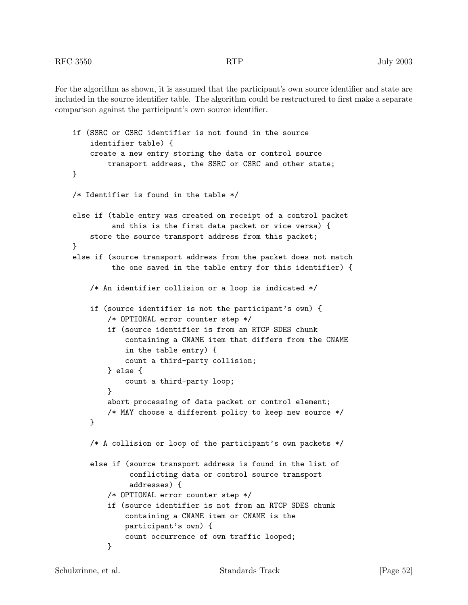For the algorithm as shown, it is assumed that the participant's own source identifier and state are included in the source identifier table. The algorithm could be restructured to first make a separate comparison against the participant's own source identifier.

```
if (SSRC or CSRC identifier is not found in the source
    identifier table) {
    create a new entry storing the data or control source
        transport address, the SSRC or CSRC and other state;
}
/* Identifier is found in the table */
else if (table entry was created on receipt of a control packet
         and this is the first data packet or vice versa) {
    store the source transport address from this packet;
}
else if (source transport address from the packet does not match
         the one saved in the table entry for this identifier) {
    /* An identifier collision or a loop is indicated */
    if (source identifier is not the participant's own) {
        /* OPTIONAL error counter step */
        if (source identifier is from an RTCP SDES chunk
            containing a CNAME item that differs from the CNAME
            in the table entry) {
            count a third-party collision;
        } else {
            count a third-party loop;
        }
        abort processing of data packet or control element;
        /* MAY choose a different policy to keep new source */
   }
    /* A collision or loop of the participant's own packets */
    else if (source transport address is found in the list of
             conflicting data or control source transport
             addresses) {
        /* OPTIONAL error counter step */
        if (source identifier is not from an RTCP SDES chunk
            containing a CNAME item or CNAME is the
            participant's own) {
            count occurrence of own traffic looped;
        }
```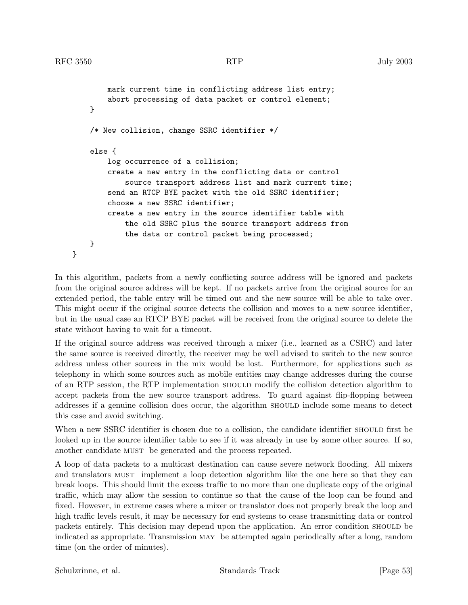}

```
mark current time in conflicting address list entry;
    abort processing of data packet or control element;
}
/* New collision, change SSRC identifier */
else {
    log occurrence of a collision;
    create a new entry in the conflicting data or control
        source transport address list and mark current time;
    send an RTCP BYE packet with the old SSRC identifier;
    choose a new SSRC identifier;
    create a new entry in the source identifier table with
        the old SSRC plus the source transport address from
        the data or control packet being processed;
}
```
In this algorithm, packets from a newly conflicting source address will be ignored and packets from the original source address will be kept. If no packets arrive from the original source for an extended period, the table entry will be timed out and the new source will be able to take over. This might occur if the original source detects the collision and moves to a new source identifier, but in the usual case an RTCP BYE packet will be received from the original source to delete the state without having to wait for a timeout.

If the original source address was received through a mixer (i.e., learned as a CSRC) and later the same source is received directly, the receiver may be well advised to switch to the new source address unless other sources in the mix would be lost. Furthermore, for applications such as telephony in which some sources such as mobile entities may change addresses during the course of an RTP session, the RTP implementation should modify the collision detection algorithm to accept packets from the new source transport address. To guard against flip-flopping between addresses if a genuine collision does occur, the algorithm SHOULD include some means to detect this case and avoid switching.

When a new SSRC identifier is chosen due to a collision, the candidate identifier should first be looked up in the source identifier table to see if it was already in use by some other source. If so, another candidate must be generated and the process repeated.

A loop of data packets to a multicast destination can cause severe network flooding. All mixers and translators must implement a loop detection algorithm like the one here so that they can break loops. This should limit the excess traffic to no more than one duplicate copy of the original traffic, which may allow the session to continue so that the cause of the loop can be found and fixed. However, in extreme cases where a mixer or translator does not properly break the loop and high traffic levels result, it may be necessary for end systems to cease transmitting data or control packets entirely. This decision may depend upon the application. An error condition should be indicated as appropriate. Transmission may be attempted again periodically after a long, random time (on the order of minutes).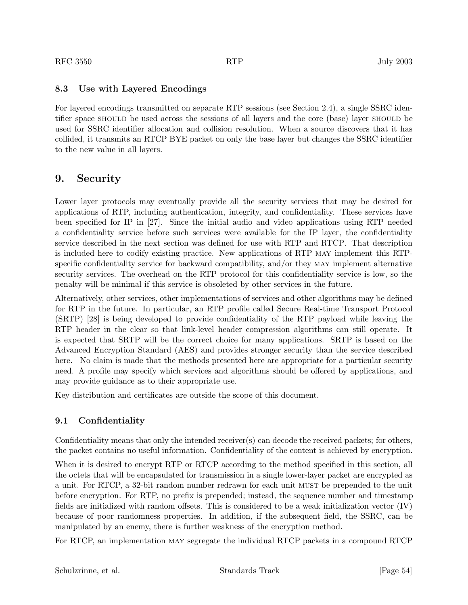## **8.3 Use with Layered Encodings**

For layered encodings transmitted on separate RTP sessions (see Section 2.4), a single SSRC identifier space should be used across the sessions of all layers and the core (base) layer should be used for SSRC identifier allocation and collision resolution. When a source discovers that it has collided, it transmits an RTCP BYE packet on only the base layer but changes the SSRC identifier to the new value in all layers.

# **9. Security**

Lower layer protocols may eventually provide all the security services that may be desired for applications of RTP, including authentication, integrity, and confidentiality. These services have been specified for IP in [27]. Since the initial audio and video applications using RTP needed a confidentiality service before such services were available for the IP layer, the confidentiality service described in the next section was defined for use with RTP and RTCP. That description is included here to codify existing practice. New applications of RTP may implement this RTPspecific confidentiality service for backward compatibility, and/or they may implement alternative security services. The overhead on the RTP protocol for this confidentiality service is low, so the penalty will be minimal if this service is obsoleted by other services in the future.

Alternatively, other services, other implementations of services and other algorithms may be defined for RTP in the future. In particular, an RTP profile called Secure Real-time Transport Protocol (SRTP) [28] is being developed to provide confidentiality of the RTP payload while leaving the RTP header in the clear so that link-level header compression algorithms can still operate. It is expected that SRTP will be the correct choice for many applications. SRTP is based on the Advanced Encryption Standard (AES) and provides stronger security than the service described here. No claim is made that the methods presented here are appropriate for a particular security need. A profile may specify which services and algorithms should be offered by applications, and may provide guidance as to their appropriate use.

Key distribution and certificates are outside the scope of this document.

# **9.1 Confidentiality**

Confidentiality means that only the intended receiver(s) can decode the received packets; for others, the packet contains no useful information. Confidentiality of the content is achieved by encryption.

When it is desired to encrypt RTP or RTCP according to the method specified in this section, all the octets that will be encapsulated for transmission in a single lower-layer packet are encrypted as a unit. For RTCP, a 32-bit random number redrawn for each unit must be prepended to the unit before encryption. For RTP, no prefix is prepended; instead, the sequence number and timestamp fields are initialized with random offsets. This is considered to be a weak initialization vector (IV) because of poor randomness properties. In addition, if the subsequent field, the SSRC, can be manipulated by an enemy, there is further weakness of the encryption method.

For RTCP, an implementation may segregate the individual RTCP packets in a compound RTCP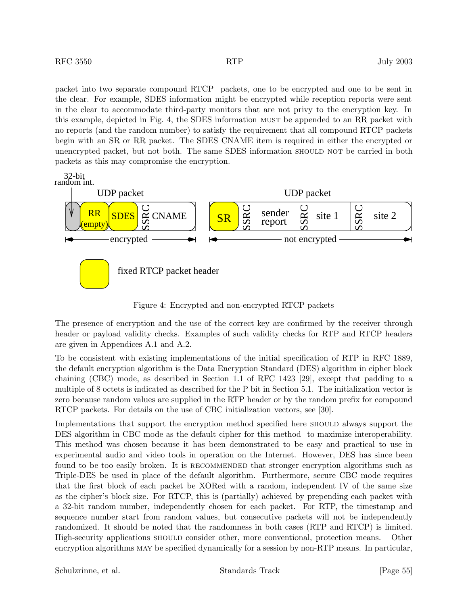packet into two separate compound RTCP packets, one to be encrypted and one to be sent in the clear. For example, SDES information might be encrypted while reception reports were sent in the clear to accommodate third-party monitors that are not privy to the encryption key. In this example, depicted in Fig. 4, the SDES information must be appended to an RR packet with no reports (and the random number) to satisfy the requirement that all compound RTCP packets begin with an SR or RR packet. The SDES CNAME item is required in either the encrypted or unencrypted packet, but not both. The same SDES information should not be carried in both packets as this may compromise the encryption.



Figure 4: Encrypted and non-encrypted RTCP packets

The presence of encryption and the use of the correct key are confirmed by the receiver through header or payload validity checks. Examples of such validity checks for RTP and RTCP headers are given in Appendices A.1 and A.2.

To be consistent with existing implementations of the initial specification of RTP in RFC 1889, the default encryption algorithm is the Data Encryption Standard (DES) algorithm in cipher block chaining (CBC) mode, as described in Section 1.1 of RFC 1423 [29], except that padding to a multiple of 8 octets is indicated as described for the P bit in Section 5.1. The initialization vector is zero because random values are supplied in the RTP header or by the random prefix for compound RTCP packets. For details on the use of CBC initialization vectors, see [30].

Implementations that support the encryption method specified here should always support the DES algorithm in CBC mode as the default cipher for this method to maximize interoperability. This method was chosen because it has been demonstrated to be easy and practical to use in experimental audio and video tools in operation on the Internet. However, DES has since been found to be too easily broken. It is RECOMMENDED that stronger encryption algorithms such as Triple-DES be used in place of the default algorithm. Furthermore, secure CBC mode requires that the first block of each packet be XORed with a random, independent IV of the same size as the cipher's block size. For RTCP, this is (partially) achieved by prepending each packet with a 32-bit random number, independently chosen for each packet. For RTP, the timestamp and sequence number start from random values, but consecutive packets will not be independently randomized. It should be noted that the randomness in both cases (RTP and RTCP) is limited. High-security applications should consider other, more conventional, protection means. Other encryption algorithms may be specified dynamically for a session by non-RTP means. In particular,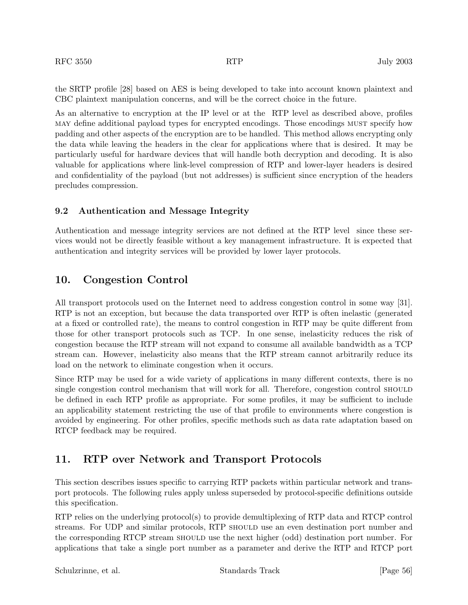the SRTP profile [28] based on AES is being developed to take into account known plaintext and CBC plaintext manipulation concerns, and will be the correct choice in the future.

As an alternative to encryption at the IP level or at the RTP level as described above, profiles may define additional payload types for encrypted encodings. Those encodings must specify how padding and other aspects of the encryption are to be handled. This method allows encrypting only the data while leaving the headers in the clear for applications where that is desired. It may be particularly useful for hardware devices that will handle both decryption and decoding. It is also valuable for applications where link-level compression of RTP and lower-layer headers is desired and confidentiality of the payload (but not addresses) is sufficient since encryption of the headers precludes compression.

# **9.2 Authentication and Message Integrity**

Authentication and message integrity services are not defined at the RTP level since these services would not be directly feasible without a key management infrastructure. It is expected that authentication and integrity services will be provided by lower layer protocols.

# **10. Congestion Control**

All transport protocols used on the Internet need to address congestion control in some way [31]. RTP is not an exception, but because the data transported over RTP is often inelastic (generated at a fixed or controlled rate), the means to control congestion in RTP may be quite different from those for other transport protocols such as TCP. In one sense, inelasticity reduces the risk of congestion because the RTP stream will not expand to consume all available bandwidth as a TCP stream can. However, inelasticity also means that the RTP stream cannot arbitrarily reduce its load on the network to eliminate congestion when it occurs.

Since RTP may be used for a wide variety of applications in many different contexts, there is no single congestion control mechanism that will work for all. Therefore, congestion control SHOULD be defined in each RTP profile as appropriate. For some profiles, it may be sufficient to include an applicability statement restricting the use of that profile to environments where congestion is avoided by engineering. For other profiles, specific methods such as data rate adaptation based on RTCP feedback may be required.

# **11. RTP over Network and Transport Protocols**

This section describes issues specific to carrying RTP packets within particular network and transport protocols. The following rules apply unless superseded by protocol-specific definitions outside this specification.

RTP relies on the underlying protocol(s) to provide demultiplexing of RTP data and RTCP control streams. For UDP and similar protocols, RTP should use an even destination port number and the corresponding RTCP stream should use the next higher (odd) destination port number. For applications that take a single port number as a parameter and derive the RTP and RTCP port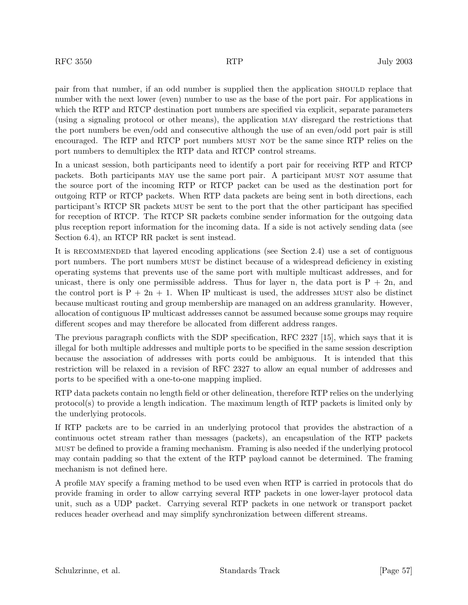pair from that number, if an odd number is supplied then the application should replace that number with the next lower (even) number to use as the base of the port pair. For applications in which the RTP and RTCP destination port numbers are specified via explicit, separate parameters (using a signaling protocol or other means), the application may disregard the restrictions that the port numbers be even/odd and consecutive although the use of an even/odd port pair is still encouraged. The RTP and RTCP port numbers MUST NOT be the same since RTP relies on the port numbers to demultiplex the RTP data and RTCP control streams.

In a unicast session, both participants need to identify a port pair for receiving RTP and RTCP packets. Both participants MAY use the same port pair. A participant MUST NOT assume that the source port of the incoming RTP or RTCP packet can be used as the destination port for outgoing RTP or RTCP packets. When RTP data packets are being sent in both directions, each participant's RTCP SR packets must be sent to the port that the other participant has specified for reception of RTCP. The RTCP SR packets combine sender information for the outgoing data plus reception report information for the incoming data. If a side is not actively sending data (see Section 6.4), an RTCP RR packet is sent instead.

It is RECOMMENDED that layered encoding applications (see Section 2.4) use a set of contiguous port numbers. The port numbers must be distinct because of a widespread deficiency in existing operating systems that prevents use of the same port with multiple multicast addresses, and for unicast, there is only one permissible address. Thus for layer n, the data port is  $P + 2n$ , and the control port is  $P + 2n + 1$ . When IP multicast is used, the addresses MUST also be distinct because multicast routing and group membership are managed on an address granularity. However, allocation of contiguous IP multicast addresses cannot be assumed because some groups may require different scopes and may therefore be allocated from different address ranges.

The previous paragraph conflicts with the SDP specification, RFC 2327 [15], which says that it is illegal for both multiple addresses and multiple ports to be specified in the same session description because the association of addresses with ports could be ambiguous. It is intended that this restriction will be relaxed in a revision of RFC 2327 to allow an equal number of addresses and ports to be specified with a one-to-one mapping implied.

RTP data packets contain no length field or other delineation, therefore RTP relies on the underlying protocol(s) to provide a length indication. The maximum length of RTP packets is limited only by the underlying protocols.

If RTP packets are to be carried in an underlying protocol that provides the abstraction of a continuous octet stream rather than messages (packets), an encapsulation of the RTP packets must be defined to provide a framing mechanism. Framing is also needed if the underlying protocol may contain padding so that the extent of the RTP payload cannot be determined. The framing mechanism is not defined here.

A profile may specify a framing method to be used even when RTP is carried in protocols that do provide framing in order to allow carrying several RTP packets in one lower-layer protocol data unit, such as a UDP packet. Carrying several RTP packets in one network or transport packet reduces header overhead and may simplify synchronization between different streams.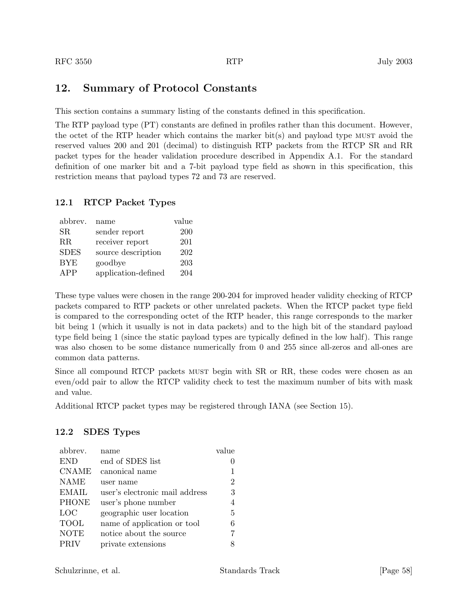# **12. Summary of Protocol Constants**

This section contains a summary listing of the constants defined in this specification.

The RTP payload type (PT) constants are defined in profiles rather than this document. However, the octet of the RTP header which contains the marker bit(s) and payload type must avoid the reserved values 200 and 201 (decimal) to distinguish RTP packets from the RTCP SR and RR packet types for the header validation procedure described in Appendix A.1. For the standard definition of one marker bit and a 7-bit payload type field as shown in this specification, this restriction means that payload types 72 and 73 are reserved.

# **12.1 RTCP Packet Types**

| abbrev.     | name                | value |
|-------------|---------------------|-------|
| <b>SR</b>   | sender report       | 200   |
| RR.         | receiver report     | 201   |
| <b>SDES</b> | source description  | 202   |
| <b>BYE</b>  | goodbye             | 203   |
| APP         | application-defined | 204   |

These type values were chosen in the range 200-204 for improved header validity checking of RTCP packets compared to RTP packets or other unrelated packets. When the RTCP packet type field is compared to the corresponding octet of the RTP header, this range corresponds to the marker bit being 1 (which it usually is not in data packets) and to the high bit of the standard payload type field being 1 (since the static payload types are typically defined in the low half). This range was also chosen to be some distance numerically from 0 and 255 since all-zeros and all-ones are common data patterns.

Since all compound RTCP packets MUST begin with SR or RR, these codes were chosen as an even/odd pair to allow the RTCP validity check to test the maximum number of bits with mask and value.

Additional RTCP packet types may be registered through IANA (see Section 15).

# **12.2 SDES Types**

| abbrev.      | name                           | value |
|--------------|--------------------------------|-------|
| <b>END</b>   | end of SDES list               |       |
| <b>CNAME</b> | canonical name                 |       |
| <b>NAME</b>  | user name                      | 2     |
| <b>EMAIL</b> | user's electronic mail address | 3     |
| <b>PHONE</b> | user's phone number            | 4     |
| <b>LOC</b>   | geographic user location       | 5     |
| <b>TOOL</b>  | name of application or tool    | 6     |
| <b>NOTE</b>  | notice about the source        |       |
| PRIV         | private extensions             |       |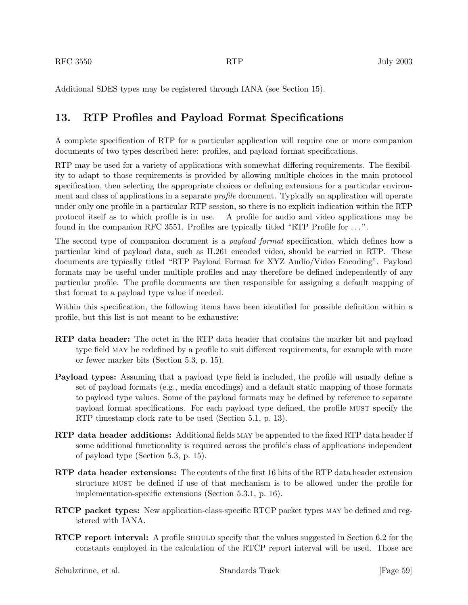Additional SDES types may be registered through IANA (see Section 15).

# **13. RTP Profiles and Payload Format Specifications**

A complete specification of RTP for a particular application will require one or more companion documents of two types described here: profiles, and payload format specifications.

RTP may be used for a variety of applications with somewhat differing requirements. The flexibility to adapt to those requirements is provided by allowing multiple choices in the main protocol specification, then selecting the appropriate choices or defining extensions for a particular environment and class of applications in a separate *profile* document. Typically an application will operate under only one profile in a particular RTP session, so there is no explicit indication within the RTP protocol itself as to which profile is in use. A profile for audio and video applications may be found in the companion RFC 3551. Profiles are typically titled "RTP Profile for . . . ".

The second type of companion document is a *payload format* specification, which defines how a particular kind of payload data, such as H.261 encoded video, should be carried in RTP. These documents are typically titled "RTP Payload Format for XYZ Audio/Video Encoding". Payload formats may be useful under multiple profiles and may therefore be defined independently of any particular profile. The profile documents are then responsible for assigning a default mapping of that format to a payload type value if needed.

Within this specification, the following items have been identified for possible definition within a profile, but this list is not meant to be exhaustive:

- **RTP data header:** The octet in the RTP data header that contains the marker bit and payload type field may be redefined by a profile to suit different requirements, for example with more or fewer marker bits (Section 5.3, p. 15).
- **Payload types:** Assuming that a payload type field is included, the profile will usually define a set of payload formats (e.g., media encodings) and a default static mapping of those formats to payload type values. Some of the payload formats may be defined by reference to separate payload format specifications. For each payload type defined, the profile must specify the RTP timestamp clock rate to be used (Section 5.1, p. 13).
- **RTP data header additions:** Additional fields may be appended to the fixed RTP data header if some additional functionality is required across the profile's class of applications independent of payload type (Section 5.3, p. 15).
- **RTP data header extensions:** The contents of the first 16 bits of the RTP data header extension structure must be defined if use of that mechanism is to be allowed under the profile for implementation-specific extensions (Section 5.3.1, p. 16).
- **RTCP packet types:** New application-class-specific RTCP packet types may be defined and registered with IANA.
- **RTCP report interval:** A profile SHOULD specify that the values suggested in Section 6.2 for the constants employed in the calculation of the RTCP report interval will be used. Those are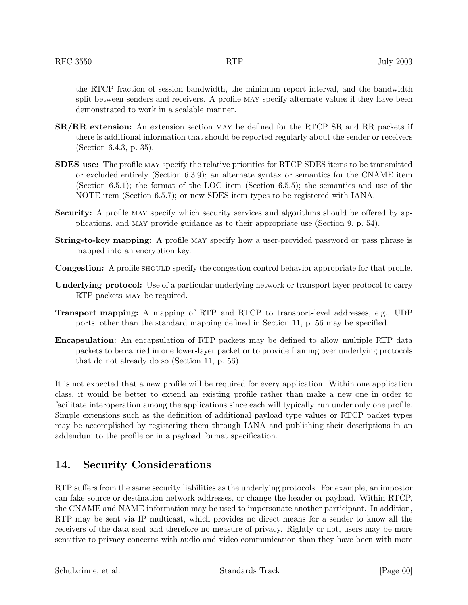the RTCP fraction of session bandwidth, the minimum report interval, and the bandwidth split between senders and receivers. A profile MAY specify alternate values if they have been demonstrated to work in a scalable manner.

- **SR/RR extension:** An extension section may be defined for the RTCP SR and RR packets if there is additional information that should be reported regularly about the sender or receivers (Section 6.4.3, p. 35).
- **SDES use:** The profile may specify the relative priorities for RTCP SDES items to be transmitted or excluded entirely (Section 6.3.9); an alternate syntax or semantics for the CNAME item (Section 6.5.1); the format of the LOC item (Section 6.5.5); the semantics and use of the NOTE item (Section 6.5.7); or new SDES item types to be registered with IANA.
- **Security:** A profile MAY specify which security services and algorithms should be offered by applications, and may provide guidance as to their appropriate use (Section 9, p. 54).
- **String-to-key mapping:** A profile MAY specify how a user-provided password or pass phrase is mapped into an encryption key.
- **Congestion:** A profile should specify the congestion control behavior appropriate for that profile.
- **Underlying protocol:** Use of a particular underlying network or transport layer protocol to carry RTP packets may be required.
- **Transport mapping:** A mapping of RTP and RTCP to transport-level addresses, e.g., UDP ports, other than the standard mapping defined in Section 11, p. 56 may be specified.
- **Encapsulation:** An encapsulation of RTP packets may be defined to allow multiple RTP data packets to be carried in one lower-layer packet or to provide framing over underlying protocols that do not already do so (Section 11, p. 56).

It is not expected that a new profile will be required for every application. Within one application class, it would be better to extend an existing profile rather than make a new one in order to facilitate interoperation among the applications since each will typically run under only one profile. Simple extensions such as the definition of additional payload type values or RTCP packet types may be accomplished by registering them through IANA and publishing their descriptions in an addendum to the profile or in a payload format specification.

# **14. Security Considerations**

RTP suffers from the same security liabilities as the underlying protocols. For example, an impostor can fake source or destination network addresses, or change the header or payload. Within RTCP, the CNAME and NAME information may be used to impersonate another participant. In addition, RTP may be sent via IP multicast, which provides no direct means for a sender to know all the receivers of the data sent and therefore no measure of privacy. Rightly or not, users may be more sensitive to privacy concerns with audio and video communication than they have been with more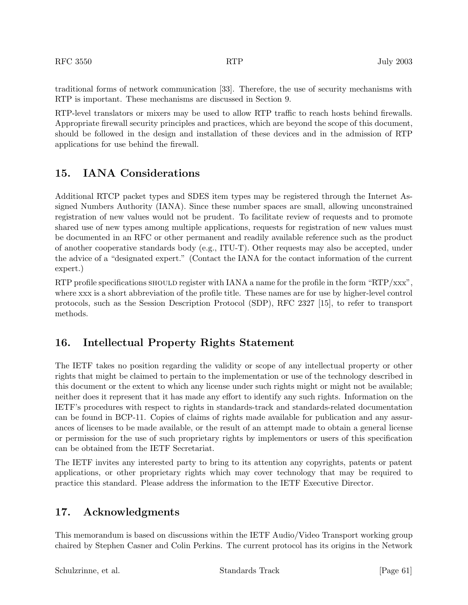traditional forms of network communication [33]. Therefore, the use of security mechanisms with RTP is important. These mechanisms are discussed in Section 9.

RTP-level translators or mixers may be used to allow RTP traffic to reach hosts behind firewalls. Appropriate firewall security principles and practices, which are beyond the scope of this document, should be followed in the design and installation of these devices and in the admission of RTP applications for use behind the firewall.

# **15. IANA Considerations**

Additional RTCP packet types and SDES item types may be registered through the Internet Assigned Numbers Authority (IANA). Since these number spaces are small, allowing unconstrained registration of new values would not be prudent. To facilitate review of requests and to promote shared use of new types among multiple applications, requests for registration of new values must be documented in an RFC or other permanent and readily available reference such as the product of another cooperative standards body (e.g., ITU-T). Other requests may also be accepted, under the advice of a "designated expert." (Contact the IANA for the contact information of the current expert.)

RTP profile specifications SHOULD register with IANA a name for the profile in the form "RTP/xxx", where xxx is a short abbreviation of the profile title. These names are for use by higher-level control protocols, such as the Session Description Protocol (SDP), RFC 2327 [15], to refer to transport methods.

# **16. Intellectual Property Rights Statement**

The IETF takes no position regarding the validity or scope of any intellectual property or other rights that might be claimed to pertain to the implementation or use of the technology described in this document or the extent to which any license under such rights might or might not be available; neither does it represent that it has made any effort to identify any such rights. Information on the IETF's procedures with respect to rights in standards-track and standards-related documentation can be found in BCP-11. Copies of claims of rights made available for publication and any assurances of licenses to be made available, or the result of an attempt made to obtain a general license or permission for the use of such proprietary rights by implementors or users of this specification can be obtained from the IETF Secretariat.

The IETF invites any interested party to bring to its attention any copyrights, patents or patent applications, or other proprietary rights which may cover technology that may be required to practice this standard. Please address the information to the IETF Executive Director.

# **17. Acknowledgments**

This memorandum is based on discussions within the IETF Audio/Video Transport working group chaired by Stephen Casner and Colin Perkins. The current protocol has its origins in the Network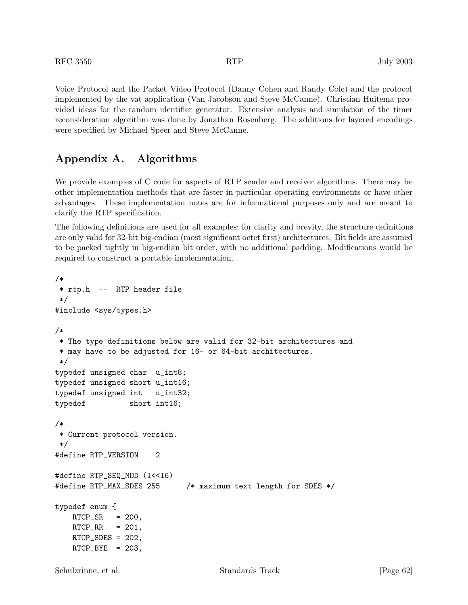Voice Protocol and the Packet Video Protocol (Danny Cohen and Randy Cole) and the protocol implemented by the vat application (Van Jacobson and Steve McCanne). Christian Huitema provided ideas for the random identifier generator. Extensive analysis and simulation of the timer reconsideration algorithm was done by Jonathan Rosenberg. The additions for layered encodings were specified by Michael Speer and Steve McCanne.

# **Appendix A. Algorithms**

We provide examples of C code for aspects of RTP sender and receiver algorithms. There may be other implementation methods that are faster in particular operating environments or have other advantages. These implementation notes are for informational purposes only and are meant to clarify the RTP specification.

The following definitions are used for all examples; for clarity and brevity, the structure definitions are only valid for 32-bit big-endian (most significant octet first) architectures. Bit fields are assumed to be packed tightly in big-endian bit order, with no additional padding. Modifications would be required to construct a portable implementation.

```
/*
 * rtp.h -- RTP header file
 */
#include <sys/types.h>
/*
 * The type definitions below are valid for 32-bit architectures and
 * may have to be adjusted for 16- or 64-bit architectures.
 */
typedef unsigned char u_int8;
typedef unsigned short u_int16;
typedef unsigned int u_int32;
typedef short int16;
/*
* Current protocol version.
 */
#define RTP_VERSION 2
#define RTP_SEQ_MOD (1<<16)
#define RTP_MAX_SDES 255 /* maximum text length for SDES */
typedef enum {
   RTCP_SR = 200,
   RTCP_RR = 201,
   RTCP_SDES = 202,
   RTCP_BYE = 203,
```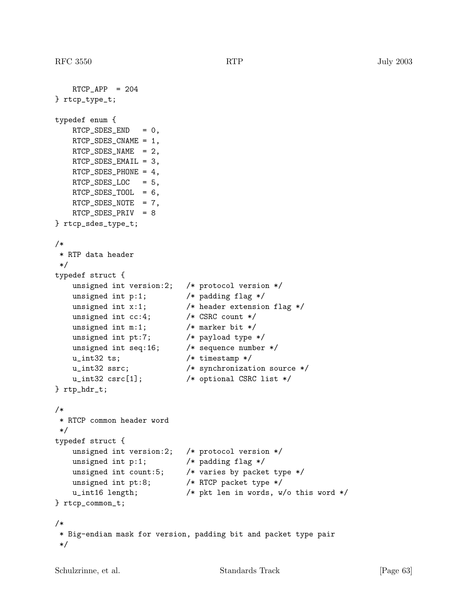```
RTCP APP = 204
} rtcp_type_t;
typedef enum {
   RTCP_SDES_END = 0,
   RTCP_SDES_CNAME = 1,
   RTCP_SDES_NAME = 2,
   RTCP_SDES_EMAIL = 3,
   RTCP_SDES_PHONE = 4,
   RTCP_SDES_LOC = 5,
   RTCP_SDES_TOOL = 6,
   RTCP_SDES_NOTE = 7,
   RTCP_SDES_PRIV = 8
} rtcp_sdes_type_t;
/*
 * RTP data header
 */
typedef struct {
   unsigned int version:2; <br> /* protocol version */<br> unsigned int p:1; <br> /* padding flag */
   unsigned int p:1;
   unsigned int x:1; \frac{1}{1} /* header extension flag */
   unsigned int cc:4; /* CSRC count */
   unsigned int m:1; /* marker bit */unsigned int pt:7; /* payload type */
   unsigned int seq:16; /* sequence number */u_int32 ts; /* timestamp */u_int32 ssrc; /* synchronization source */
   u_int32 csrc[1]; /* optional CSRC list */} rtp_hdr_t;
/*
 * RTCP common header word
 */
typedef struct {
   unsigned int version:2; /* protocol version */
    unsigned int p:1; /* padding flag */
    unsigned int count:5; /* varies by packet type */
   unsigned int pt:8; /* RTCP packet type */u_int16 length; /* pkt len in words, w/o this word */
} rtcp_common_t;
/*
 * Big-endian mask for version, padding bit and packet type pair
 */
```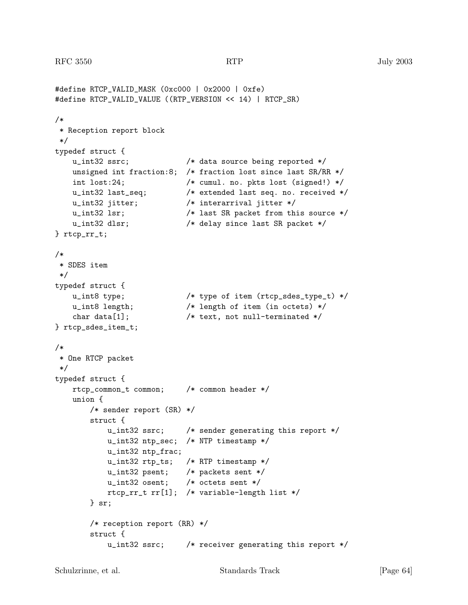```
RFC 3550 July 2003
```

```
#define RTCP_VALID_MASK (0xc000 | 0x2000 | 0xfe)
#define RTCP_VALID_VALUE ((RTP_VERSION << 14) | RTCP_SR)
/*
* Reception report block
*/
typedef struct {
   u_int32 ssrc; /* data source being reported */
   unsigned int fraction:8; /* fraction lost since last SR/RR */
   int lost:24; /* cumul. no. pkts lost (signed!) */
   u_int32 last_seq; /* extended last seq. no. received */
   u_int32 jitter; /* interarrival jitter */
   u_int32 lsr; /* last SR packet from this source */
   u_int32 dlsr; /* delay since last SR packet */
} rtcp_rr_t;
/*
* SDES item
*/
typedef struct {
   u_int8 type; /* type of item (rtcp_sdes_type_t) */
   u_int8 length; /* length of item (in octets) */
   char data[1]; /* text, not null-terminated */
} rtcp_sdes_item_t;
/*
* One RTCP packet
*/
typedef struct {
   rtcp_common_t common; /* common header */
   union {
       /* sender report (SR) */
       struct {
          u_int32 ssrc; /* sender generating this report */
          u_int32 ntp_sec; /* NTP timestamp */
          u_int32 ntp_frac;
          u_int32 rtp_ts; /* RTP timestamp */
          u_int32 psent; /* packets sent */
          u_int32 osent; /* octets sent */
          rtcp_rr_t rr[1]; /* variable-length list */
       } sr;
       /* reception report (RR) */
       struct {
           u_int32 ssrc; /* receiver generating this report */
```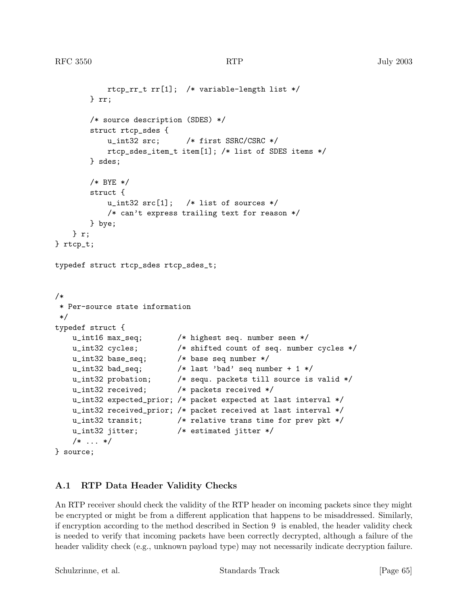```
rtcp_rr_t rr[1]; /* variable-length list */
       } rr;
       /* source description (SDES) */
       struct rtcp_sdes {
           u_int32 src; /* first SSRC/CSRC */
           rtcp_sdes_item_t item[1]; /* list of SDES items */
       } sdes;
       /* BYE */
       struct {
           u_int32 src[1]; /* list of sources */
           /* can't express trailing text for reason */
       } bye;
   } r;
} rtcp_t;
typedef struct rtcp_sdes rtcp_sdes_t;
/*
 * Per-source state information
 */
typedef struct {
   u_int16 max_seq; /* highest seq. number seen */
   u_int32 cycles; /* shifted count of seq. number cycles */
   u_int32 base_seq; /* base seq number */
   u_int32 bad_seq; /* last 'bad' seq number + 1 */
   u_int32 probation; /* sequ. packets till source is valid */
   u_int32 received; /* packets received */
   u_int32 expected_prior; /* packet expected at last interval */
   u_int32 received_prior; /* packet received at last interval */
   u_int32 transit; /* relative trans time for prev pkt */
   u_int32 jitter; /* estimated jitter */
   /* ... */
} source;
```
# **A.1 RTP Data Header Validity Checks**

An RTP receiver should check the validity of the RTP header on incoming packets since they might be encrypted or might be from a different application that happens to be misaddressed. Similarly, if encryption according to the method described in Section 9 is enabled, the header validity check is needed to verify that incoming packets have been correctly decrypted, although a failure of the header validity check (e.g., unknown payload type) may not necessarily indicate decryption failure.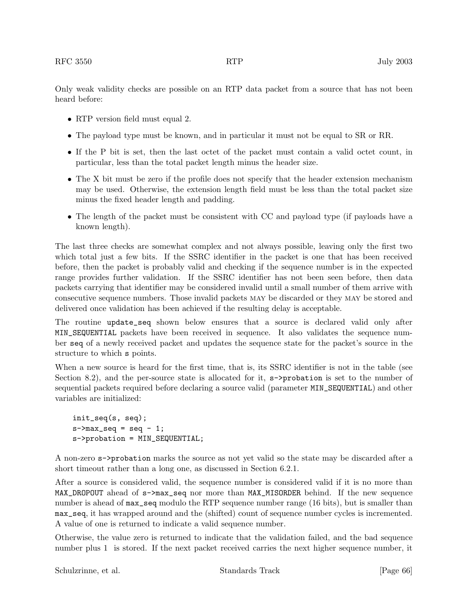Only weak validity checks are possible on an RTP data packet from a source that has not been heard before:

- RTP version field must equal 2.
- The payload type must be known, and in particular it must not be equal to SR or RR.
- If the P bit is set, then the last octet of the packet must contain a valid octet count, in particular, less than the total packet length minus the header size.
- The X bit must be zero if the profile does not specify that the header extension mechanism may be used. Otherwise, the extension length field must be less than the total packet size minus the fixed header length and padding.
- The length of the packet must be consistent with CC and payload type (if payloads have a known length).

The last three checks are somewhat complex and not always possible, leaving only the first two which total just a few bits. If the SSRC identifier in the packet is one that has been received before, then the packet is probably valid and checking if the sequence number is in the expected range provides further validation. If the SSRC identifier has not been seen before, then data packets carrying that identifier may be considered invalid until a small number of them arrive with consecutive sequence numbers. Those invalid packets may be discarded or they may be stored and delivered once validation has been achieved if the resulting delay is acceptable.

The routine update\_seq shown below ensures that a source is declared valid only after MIN\_SEQUENTIAL packets have been received in sequence. It also validates the sequence number seq of a newly received packet and updates the sequence state for the packet's source in the structure to which s points.

When a new source is heard for the first time, that is, its SSRC identifier is not in the table (see Section 8.2), and the per-source state is allocated for it,  $s$ ->probation is set to the number of sequential packets required before declaring a source valid (parameter MIN\_SEQUENTIAL) and other variables are initialized:

```
init_seq(s, seq);
s->max_seq = seq - 1;
s->probation = MIN_SEQUENTIAL;
```
A non-zero s->probation marks the source as not yet valid so the state may be discarded after a short timeout rather than a long one, as discussed in Section 6.2.1.

After a source is considered valid, the sequence number is considered valid if it is no more than MAX\_DROPOUT ahead of s->max\_seq nor more than MAX\_MISORDER behind. If the new sequence number is ahead of  $max\_seq$  modulo the RTP sequence number range (16 bits), but is smaller than max\_seq, it has wrapped around and the (shifted) count of sequence number cycles is incremented. A value of one is returned to indicate a valid sequence number.

Otherwise, the value zero is returned to indicate that the validation failed, and the bad sequence number plus 1 is stored. If the next packet received carries the next higher sequence number, it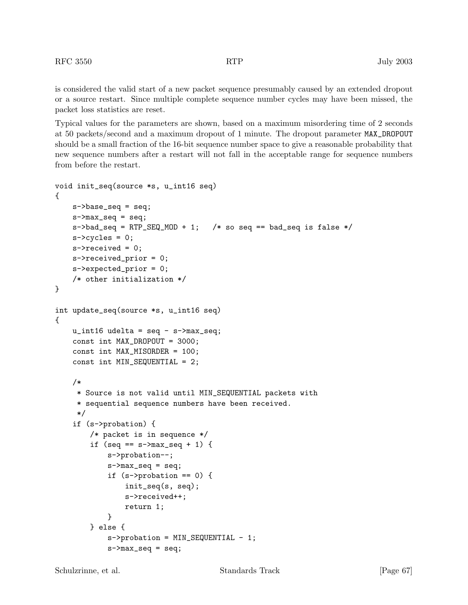is considered the valid start of a new packet sequence presumably caused by an extended dropout or a source restart. Since multiple complete sequence number cycles may have been missed, the packet loss statistics are reset.

Typical values for the parameters are shown, based on a maximum misordering time of 2 seconds at 50 packets/second and a maximum dropout of 1 minute. The dropout parameter MAX\_DROPOUT should be a small fraction of the 16-bit sequence number space to give a reasonable probability that new sequence numbers after a restart will not fall in the acceptable range for sequence numbers from before the restart.

```
void init_seq(source *s, u_int16 seq)
{
    s->base_seq = seq;
    s->max_seq = seq;
    s->bad_seq = RTP_SEQ_MOD + 1; /* so seq == bad_seq is false */
    s->cycles = 0;
    s->received = 0;
    s->received_prior = 0;
    s->expected_prior = 0;
    /* other initialization */
}
int update_seq(source *s, u_int16 seq)
{
    u_int16 udelta = seq - s->max_seq;
    const int MAX_DROPOUT = 3000;
    const int MAX_MISORDER = 100;
    const int MIN_SEQUENTIAL = 2;
    /*
     * Source is not valid until MIN_SEQUENTIAL packets with
     * sequential sequence numbers have been received.
     */
    if (s->probation) {
        /* packet is in sequence */
        if (seq == s->max_seq + 1) {
            s->probation--;
            s->max_seq = seq;
            if (s\rightarrowprobation == 0) {
                init_seq(s, seq);
                s->received++;
                return 1;
            }
        } else {
            s->probation = MIN_SEQUENTIAL - 1;
            s->max_seq = seq;
```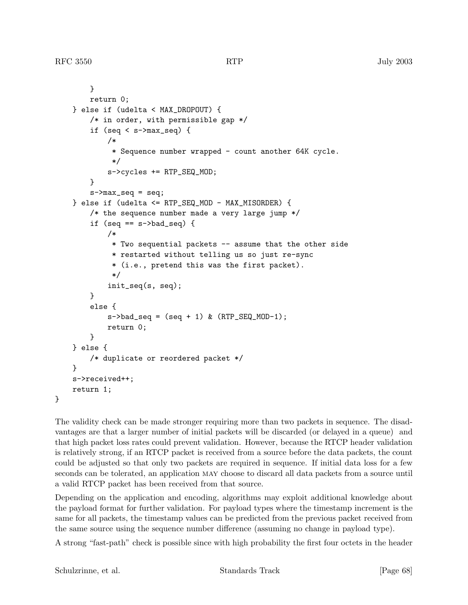```
}
    return 0;
} else if (udelta < MAX_DROPOUT) {
    /* in order, with permissible gap */
    if (seq \langle s-\ranglemax_seq) {
        /*
         * Sequence number wrapped - count another 64K cycle.
         */
        s->cycles += RTP_SEQ_MOD;
    }
    s->max_seq = seq;
} else if (udelta <= RTP_SEQ_MOD - MAX_MISORDER) {
    /* the sequence number made a very large jump */
    if (seq == s->bad_seq) {
        /*
         * Two sequential packets -- assume that the other side
         * restarted without telling us so just re-sync
         * (i.e., pretend this was the first packet).
         */
        init_seq(s, seq);
    }
    else {
        s->bad_seq = (seq + 1) & (RTP<sub>SEQ</sub>_MOD-1);
        return 0;
    }
} else {
    /* duplicate or reordered packet */
}
s->received++;
return 1;
```
The validity check can be made stronger requiring more than two packets in sequence. The disadvantages are that a larger number of initial packets will be discarded (or delayed in a queue) and that high packet loss rates could prevent validation. However, because the RTCP header validation is relatively strong, if an RTCP packet is received from a source before the data packets, the count could be adjusted so that only two packets are required in sequence. If initial data loss for a few seconds can be tolerated, an application may choose to discard all data packets from a source until a valid RTCP packet has been received from that source.

Depending on the application and encoding, algorithms may exploit additional knowledge about the payload format for further validation. For payload types where the timestamp increment is the same for all packets, the timestamp values can be predicted from the previous packet received from the same source using the sequence number difference (assuming no change in payload type).

A strong "fast-path" check is possible since with high probability the first four octets in the header

}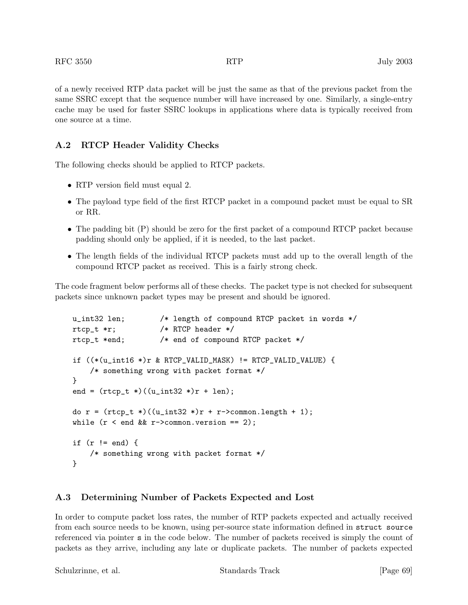of a newly received RTP data packet will be just the same as that of the previous packet from the same SSRC except that the sequence number will have increased by one. Similarly, a single-entry cache may be used for faster SSRC lookups in applications where data is typically received from one source at a time.

# **A.2 RTCP Header Validity Checks**

The following checks should be applied to RTCP packets.

- RTP version field must equal 2.
- The payload type field of the first RTCP packet in a compound packet must be equal to SR or RR.
- The padding bit (P) should be zero for the first packet of a compound RTCP packet because padding should only be applied, if it is needed, to the last packet.
- The length fields of the individual RTCP packets must add up to the overall length of the compound RTCP packet as received. This is a fairly strong check.

The code fragment below performs all of these checks. The packet type is not checked for subsequent packets since unknown packet types may be present and should be ignored.

```
u_int32 len; /* length of compound RTCP packet in words */
rtcp_t *r; /* RTCP header */
rtcp_t *end; /* end of compound RTCP packet */
if ((*(u_int16 *) r & RTCP_VALID_MASK) != RTCP_VALID_VALUE) {
    /* something wrong with packet format */
}
end = (rtop_t *)((u_1int32 * )r + len);do r = (rtcp_t *)((u_int32 * )r + r->common.length + 1);
while (r < end && r->common.version == 2);
if (r := end) {
    /* something wrong with packet format */
}
```
# **A.3 Determining Number of Packets Expected and Lost**

In order to compute packet loss rates, the number of RTP packets expected and actually received from each source needs to be known, using per-source state information defined in struct source referenced via pointer s in the code below. The number of packets received is simply the count of packets as they arrive, including any late or duplicate packets. The number of packets expected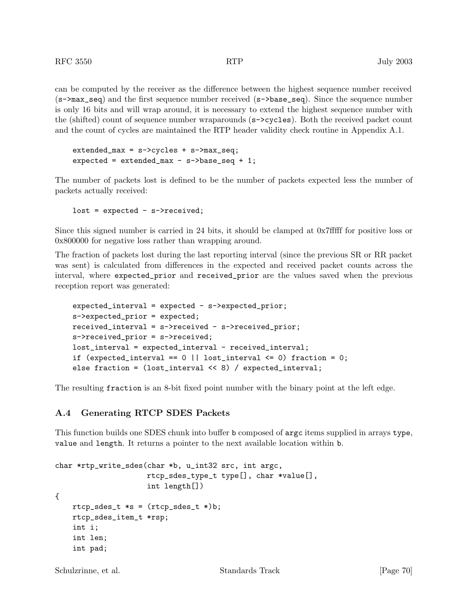can be computed by the receiver as the difference between the highest sequence number received (s->max\_seq) and the first sequence number received (s->base\_seq). Since the sequence number is only 16 bits and will wrap around, it is necessary to extend the highest sequence number with the (shifted) count of sequence number wraparounds (s->cycles). Both the received packet count and the count of cycles are maintained the RTP header validity check routine in Appendix A.1.

extended\_max = s->cycles + s->max\_seq;  $expected = extended_max - s$  ->base\_seq + 1;

The number of packets lost is defined to be the number of packets expected less the number of packets actually received:

 $lost = expected - s$ ->received;

Since this signed number is carried in 24 bits, it should be clamped at 0x7fffff for positive loss or 0x800000 for negative loss rather than wrapping around.

The fraction of packets lost during the last reporting interval (since the previous SR or RR packet was sent) is calculated from differences in the expected and received packet counts across the interval, where expected\_prior and received\_prior are the values saved when the previous reception report was generated:

```
expected\_interval = expected - s->expected_prior;
s->expected_prior = expected;
received_interval = s->received - s->received_prior;
s->received_prior = s->received;
lost_interval = expected_interval - received_interval;
if (expected_interval == 0 || lost_interval <= 0) fraction = 0;
else fraction = (lost_interval << 8) / expected_interval;
```
The resulting fraction is an 8-bit fixed point number with the binary point at the left edge.

## **A.4 Generating RTCP SDES Packets**

This function builds one SDES chunk into buffer b composed of argc items supplied in arrays type, value and length. It returns a pointer to the next available location within b.

```
char *rtp_write_sdes(char *b, u_int32 src, int argc,
                     rtcp_sdes_type_t type[], char *value[],
                     int length[])
{
    rtcp_sdes_t *s = (rtcp_sdes_t *)b;rtcp_sdes_item_t *rsp;
    int i;
    int len;
    int pad;
```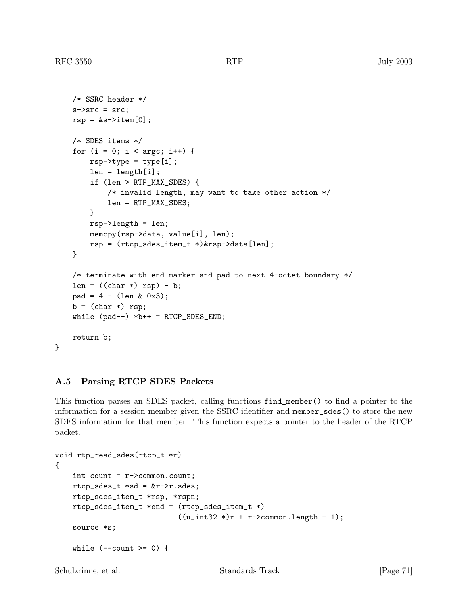}

```
/* SSRC header */
s->src = src;
rsp = \&s->item[0];
/* SDES items */
for (i = 0; i < argc; i++) {
    rsp->type = type[i];
    len = length[i];if (len > RTP_MAX_SDES) {
        /* invalid length, may want to take other action */
        len = RTP_MAX_SDES;
    }
    rsp->length = len;
    memcpy(rsp->data, value[i], len);
    rsp = (rtcp_sdes_item_t *)&rsp->data[len];
}
/* terminate with end marker and pad to next 4-octet boundary */
len = ((char *) rsp) - b;pad = 4 - (len & 0x3);b = (char * ) rsp;
while pad--) *b++ = RTCP_SDES_END;
return b;
```
# **A.5 Parsing RTCP SDES Packets**

This function parses an SDES packet, calling functions find\_member() to find a pointer to the information for a session member given the SSRC identifier and member\_sdes() to store the new SDES information for that member. This function expects a pointer to the header of the RTCP packet.

```
void rtp_read_sdes(rtcp_t *r)
{
    int count = r->common.count;
    rtcp_sdes_t *sd = &r->r.sdes;
    rtcp_sdes_item_t *rsp, *rspn;
    rtcp_sdes_item_t *end = (rtcp_sdes_item_t *)
                             ((u_{{-}}int32 * )r + r->common.length + 1);
    source *s;
    while (--count \ge 0) {
```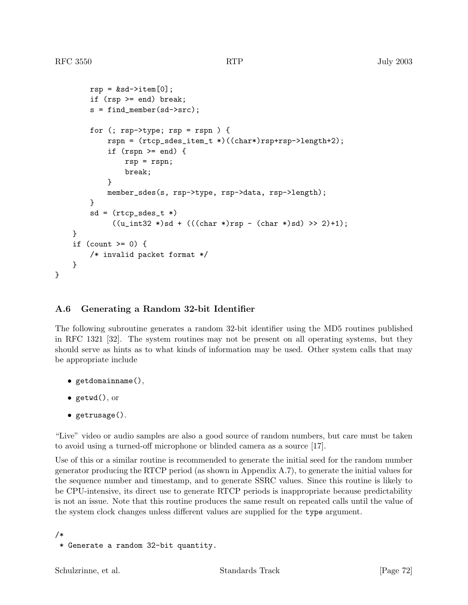```
rsp = %sd - >item[0];if (rsp >= end) break;
        s = find_member(sd->src);
        for (; rsp->type; rsp = rspn ) {
             rspn = (rtcp_sdes_item_t *)((char*)rsp+rsp->length+2);
             if (rspn \geq end) {
                 rsp = rspn;
                 break;
             }
             member_sdes(s, rsp->type, rsp->data, rsp->length);
        }
        sd = (rtcp_sdes_t *)((u_{{}_{\text{in}}t32 \ast)sd + (((char \ast)rsp - (char \ast)sd) >> 2)+1);}
    if (count >= 0) {
        /* invalid packet format */
    }
}
```
# **A.6 Generating a Random 32-bit Identifier**

The following subroutine generates a random 32-bit identifier using the MD5 routines published in RFC 1321 [32]. The system routines may not be present on all operating systems, but they should serve as hints as to what kinds of information may be used. Other system calls that may be appropriate include

- getdomainname(),
- getwd $(),$  or
- getrusage().

"Live" video or audio samples are also a good source of random numbers, but care must be taken to avoid using a turned-off microphone or blinded camera as a source [17].

Use of this or a similar routine is recommended to generate the initial seed for the random number generator producing the RTCP period (as shown in Appendix A.7), to generate the initial values for the sequence number and timestamp, and to generate SSRC values. Since this routine is likely to be CPU-intensive, its direct use to generate RTCP periods is inappropriate because predictability is not an issue. Note that this routine produces the same result on repeated calls until the value of the system clock changes unless different values are supplied for the type argument.

/\* \* Generate a random 32-bit quantity.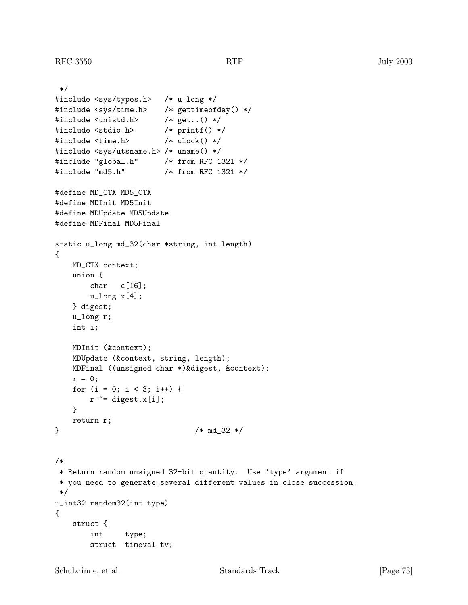```
*/
#include <sys/types.h> /* u_long */
#include <sys/time.h> /* gettimeofday() */
#include <unistd.h> /* get..() */
#include <stdio.h> /* printf() */
#include <time.h> /* clock() */
#include <sys/utsname.h> /* uname() */
#include "global.h" /* from RFC 1321 */
#include "md5.h" /* from RFC 1321 */
#define MD_CTX MD5_CTX
#define MDInit MD5Init
#define MDUpdate MD5Update
#define MDFinal MD5Final
static u_long md_32(char *string, int length)
{
   MD_CTX context;
   union {
       char c[16];
       u\_long x[4];
   } digest;
   u_long r;
   int i;
   MDInit (&context);
   MDUpdate (&context, string, length);
   MDFinal ((unsigned char *)&digest, &context);
   r = 0;for (i = 0; i < 3; i++) {
       r \hat{ } = digest.x[i];
   }
   return r;
} /* md_32 */
/*
* Return random unsigned 32-bit quantity. Use 'type' argument if
* you need to generate several different values in close succession.
*/
u_int32 random32(int type)
{
   struct {
       int type;
       struct timeval tv;
```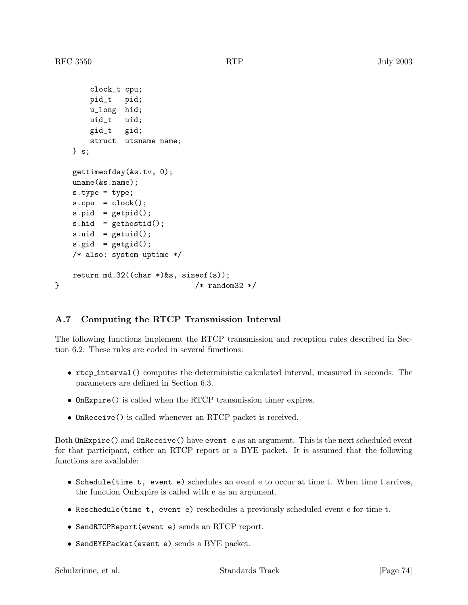```
clock_t cpu;
       pid_t pid;
       u_long hid;
       uid_t uid;
       gid_t gid;
       struct utsname name;
   } s;
   gettimeofday(&s.tv, 0);
   uname(&s.name);
   s.type = type;
   s.cpu = clock();s.pid = getpid();
   s.hid = gethostid();
   s.uid = getuid();
   s.gid = getgid();
   /* also: system uptime */
   return md_32((char *)&s, sizeof(s));
} /* random32 */
```
### **A.7 Computing the RTCP Transmission Interval**

The following functions implement the RTCP transmission and reception rules described in Section 6.2. These rules are coded in several functions:

- rtcp interval() computes the deterministic calculated interval, measured in seconds. The parameters are defined in Section 6.3.
- OnExpire() is called when the RTCP transmission timer expires.
- OnReceive() is called whenever an RTCP packet is received.

Both OnExpire() and OnReceive() have event e as an argument. This is the next scheduled event for that participant, either an RTCP report or a BYE packet. It is assumed that the following functions are available:

- Schedule(time t, event e) schedules an event e to occur at time t. When time t arrives, the function OnExpire is called with e as an argument.
- Reschedule(time t, event e) reschedules a previously scheduled event e for time t.
- SendRTCPReport(event e) sends an RTCP report.
- SendBYEPacket(event e) sends a BYE packet.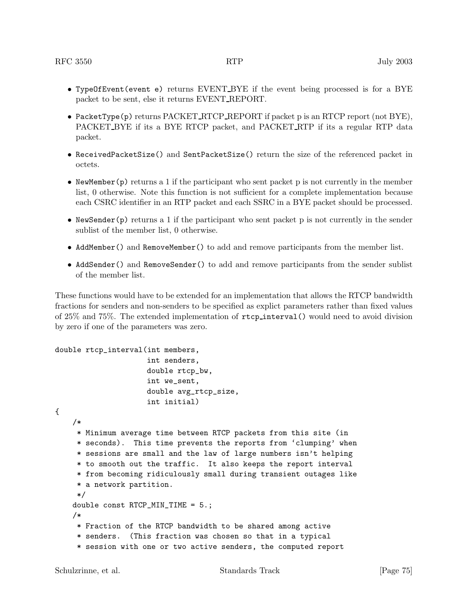- TypeOfEvent(event e) returns EVENT\_BYE if the event being processed is for a BYE packet to be sent, else it returns EVENT REPORT.
- PacketType(p) returns PACKET\_RTCP\_REPORT if packet p is an RTCP report (not BYE), PACKET\_BYE if its a BYE RTCP packet, and PACKET\_RTP if its a regular RTP data packet.
- ReceivedPacketSize() and SentPacketSize() return the size of the referenced packet in octets.
- New Member $(p)$  returns a 1 if the participant who sent packet p is not currently in the member list, 0 otherwise. Note this function is not sufficient for a complete implementation because each CSRC identifier in an RTP packet and each SSRC in a BYE packet should be processed.
- NewSender(p) returns a 1 if the participant who sent packet p is not currently in the sender sublist of the member list, 0 otherwise.
- AddMember() and RemoveMember() to add and remove participants from the member list.
- AddSender() and RemoveSender() to add and remove participants from the sender sublist of the member list.

These functions would have to be extended for an implementation that allows the RTCP bandwidth fractions for senders and non-senders to be specified as explict parameters rather than fixed values of 25% and 75%. The extended implementation of rtcp interval() would need to avoid division by zero if one of the parameters was zero.

```
double rtcp_interval(int members,
                     int senders,
                     double rtcp_bw,
                     int we_sent,
                     double avg_rtcp_size,
                     int initial)
{
   /*
     * Minimum average time between RTCP packets from this site (in
     * seconds). This time prevents the reports from 'clumping' when
     * sessions are small and the law of large numbers isn't helping
     * to smooth out the traffic. It also keeps the report interval
     * from becoming ridiculously small during transient outages like
     * a network partition.
     */
   double const RTCP_MIN_TIME = 5.;
    /*
     * Fraction of the RTCP bandwidth to be shared among active
     * senders. (This fraction was chosen so that in a typical
     * session with one or two active senders, the computed report
```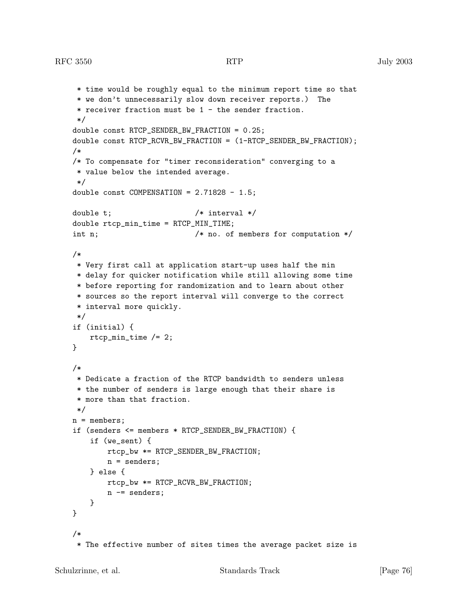```
* time would be roughly equal to the minimum report time so that
 * we don't unnecessarily slow down receiver reports.) The
 * receiver fraction must be 1 - the sender fraction.
 */
double const RTCP_SENDER_BW_FRACTION = 0.25;
double const RTCP_RCVR_BW_FRACTION = (1-RTCP_SENDER_BW_FRACTION);
/*
/* To compensate for "timer reconsideration" converging to a
 * value below the intended average.
 */
double const COMPENSATION = 2.71828 - 1.5;
double t; /* interval */double rtcp_min_time = RTCP_MIN_TIME;
int n; /* no. of members for computation *//*
 * Very first call at application start-up uses half the min
 * delay for quicker notification while still allowing some time
 * before reporting for randomization and to learn about other
 * sources so the report interval will converge to the correct
 * interval more quickly.
 */
if (initial) {
   rtcp_min_time /= 2;
}
/*
 * Dedicate a fraction of the RTCP bandwidth to senders unless
 * the number of senders is large enough that their share is
 * more than that fraction.
 */
n = members;
if (senders <= members * RTCP_SENDER_BW_FRACTION) {
   if (we_sent) {
       rtcp_bw *= RTCP_SENDER_BW_FRACTION;
       n = senders;
   } else {
       rtcp_bw *= RTCP_RCVR_BW_FRACTION;
       n -= senders;
   }
}
/*
 * The effective number of sites times the average packet size is
```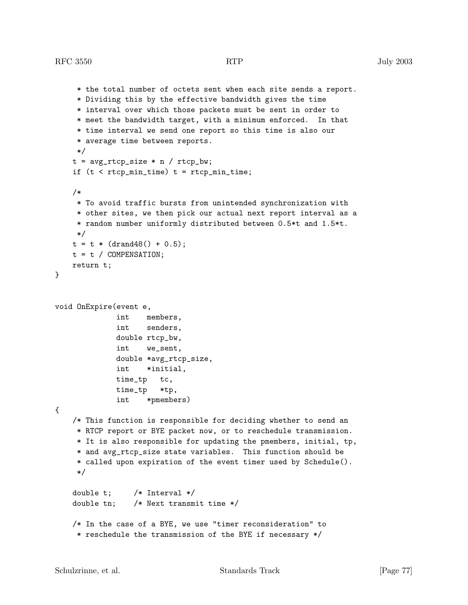```
* the total number of octets sent when each site sends a report.
    * Dividing this by the effective bandwidth gives the time
    * interval over which those packets must be sent in order to
    * meet the bandwidth target, with a minimum enforced. In that
    * time interval we send one report so this time is also our
    * average time between reports.
    */
   t = avg\_rtcp\_size * n / rtcp\_bw;if (t < rtcp\_min\_time) t = rtcp\_min\_time;/*
    * To avoid traffic bursts from unintended synchronization with
     * other sites, we then pick our actual next report interval as a
    * random number uniformly distributed between 0.5*t and 1.5*t.
    */
   t = t * (drand48() + 0.5);t = t / COMPENSATION;return t;
}
void OnExpire(event e,
             int members,
             int senders,
             double rtcp_bw,
             int we_sent,
             double *avg_rtcp_size,
             int *initial,
             time_tp tc,
             time_tp *tp,
             int *pmembers)
{
   /* This function is responsible for deciding whether to send an
    * RTCP report or BYE packet now, or to reschedule transmission.
    * It is also responsible for updating the pmembers, initial, tp,
    * and avg_rtcp_size state variables. This function should be
    * called upon expiration of the event timer used by Schedule().
    */
   double t; /* Interval */double tn; /* Next transmit time */
   /* In the case of a BYE, we use "timer reconsideration" to
    * reschedule the transmission of the BYE if necessary */
```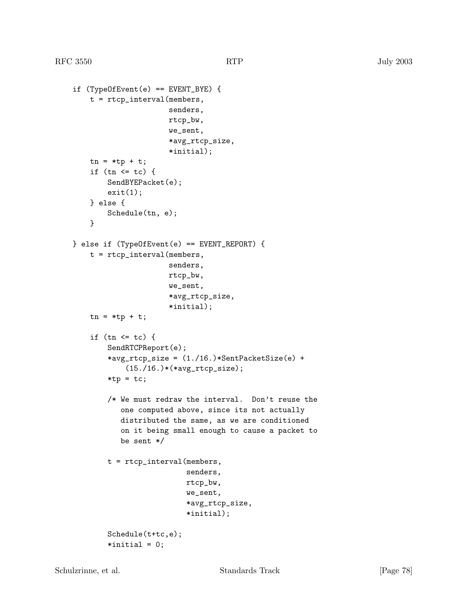```
if (TypeOfEvent(e) == EVENT_BYE) {
    t = rtcp_interval(members,
                      senders,
                      rtcp_bw,
                      we_sent,
                      *avg_rtcp_size,
                      *initial);
    tn = *tp + t;if (tn \leq tc) {
        SendBYEPacket(e);
        exit(1);} else {
        Schedule(tn, e);
    }
} else if (TypeOfEvent(e) == EVENT_REPORT) {
    t = rtcp_interval(members,
                      senders,
                      rtcp_bw,
                      we_sent,
                      *avg_rtcp_size,
                      *initial);
    tn = *tp + t;if (tn \leq t) {
        SendRTCPReport(e);
        *avg_rtcp_size = (1./16.)*SentPacketSize(e) +
            (15./16.)*(*avg_rtcp_size);
        *tp = tc;/* We must redraw the interval. Don't reuse the
           one computed above, since its not actually
           distributed the same, as we are conditioned
           on it being small enough to cause a packet to
           be sent */
        t = rtcp_interval(members,
                          senders,
                          rtcp_bw,
                          we_sent,
                          *avg_rtcp_size,
                          *initial);
        Schedule(t+tc,e);
        *initial = 0;
```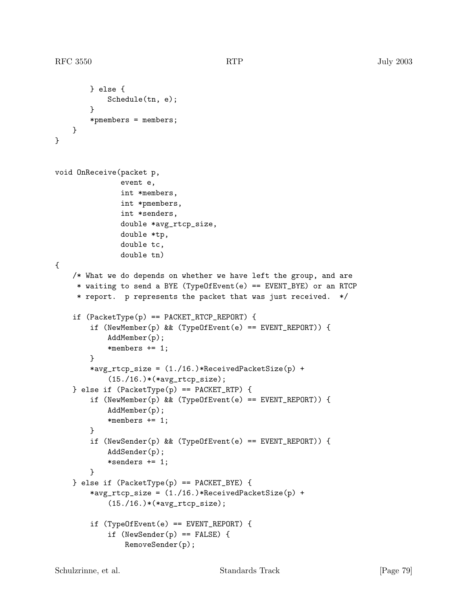} else {

```
Schedule(tn, e);
        }
        *pmembers = members;
   }
}
void OnReceive(packet p,
               event e,
               int *members,
               int *pmembers,
               int *senders,
               double *avg_rtcp_size,
               double *tp,
               double tc,
               double tn)
{
    /* What we do depends on whether we have left the group, and are
     * waiting to send a BYE (TypeOfEvent(e) == EVENT_BYE) or an RTCP
     * report. p represents the packet that was just received. */
    if (PacketType(p) == PACKET_RTCP_REPORT) {
        if (NewMember(p) && (TypeOfEvent(e) == EVENT_REPORT)) {
            AddMember(p);
            *members += 1;}
        *avg_rtcp_size = (1./16.)*ReceivedPacketSize(p) +
            (15./16.)*(*avg_rtcp_size);} else if (PacketType(p) == PACKET_RTP) {
        if (NewMember(p) && (TypeOfEvent(e) == EVENT_REPORT)) {
            AddMember(p);
            *members += 1;}
        if (NewSender(p) && (TypeOfEvent(e) == EVENT_REPORT)) {
            AddSender(p);
            *senders += 1;
        }
    } else if (PacketType(p) == PACKET_BYE) {
        *avg_rtcp_size = (1./16.)*ReceivedPacketSize(p) +
            (15./16.)*(*avg_rtcp_size);
        if (TypeOfEvent(e) == EVENT_REPORT) {
            if (NewSender(p) == FALSE) {
                RemoveSender(p);
```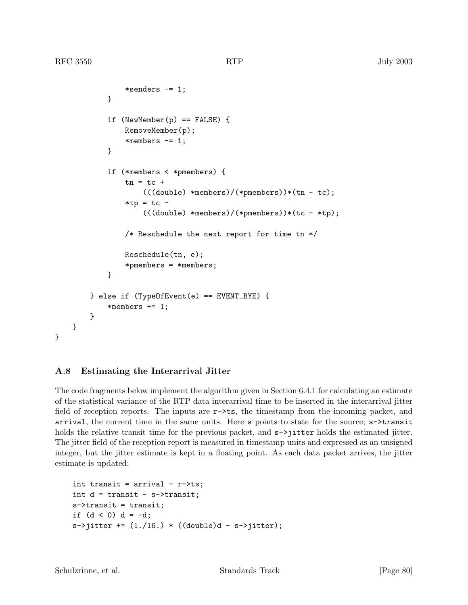}

```
*senders -= 1;
        }
        if (NewMember(p) == FALSE) {
            RemoveMember(p);
            *members - = 1;
        }
        if (*members < *pmembers) {
            tn = tc +(((double) *members) / (*pmembers)) * (tn - tc);*tp = tc -(((double) *members) / (*pmembers)) * (tc - *tp);/* Reschedule the next report for time tn */
            Reschedule(tn, e);
            *pmembers = *members;
        }
    } else if (TypeOfEvent(e) == EVENT_BYE) {
        *members += 1;
    }
}
```
### **A.8 Estimating the Interarrival Jitter**

The code fragments below implement the algorithm given in Section 6.4.1 for calculating an estimate of the statistical variance of the RTP data interarrival time to be inserted in the interarrival jitter field of reception reports. The inputs are  $r$ - $\rightarrow$ ts, the timestamp from the incoming packet, and arrival, the current time in the same units. Here s points to state for the source; s->transit holds the relative transit time for the previous packet, and  $s$ ->jitter holds the estimated jitter. The jitter field of the reception report is measured in timestamp units and expressed as an unsigned integer, but the jitter estimate is kept in a floating point. As each data packet arrives, the jitter estimate is updated:

```
int transit = \arcsin 1 - r \rightarrow ts;int d = transit - s->transit;
s->transit = transit;
if (d < 0) d = -d;
s->jitter += (1./16.) * ((double)d - s->jitter);
```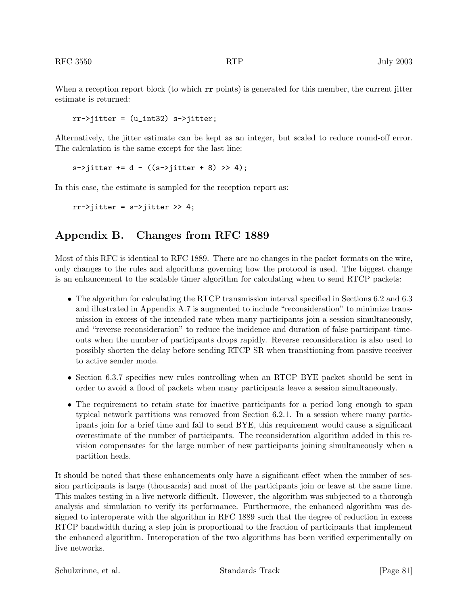When a reception report block (to which **rr** points) is generated for this member, the current jitter estimate is returned:

rr->jitter = (u\_int32) s->jitter;

Alternatively, the jitter estimate can be kept as an integer, but scaled to reduce round-off error. The calculation is the same except for the last line:

 $s$ ->jitter += d - (( $s$ ->jitter + 8) >> 4);

In this case, the estimate is sampled for the reception report as:

 $rr$ ->jitter = s->jitter >> 4;

## **Appendix B. Changes from RFC 1889**

Most of this RFC is identical to RFC 1889. There are no changes in the packet formats on the wire, only changes to the rules and algorithms governing how the protocol is used. The biggest change is an enhancement to the scalable timer algorithm for calculating when to send RTCP packets:

- The algorithm for calculating the RTCP transmission interval specified in Sections 6.2 and 6.3 and illustrated in Appendix A.7 is augmented to include "reconsideration" to minimize transmission in excess of the intended rate when many participants join a session simultaneously, and "reverse reconsideration" to reduce the incidence and duration of false participant timeouts when the number of participants drops rapidly. Reverse reconsideration is also used to possibly shorten the delay before sending RTCP SR when transitioning from passive receiver to active sender mode.
- Section 6.3.7 specifies new rules controlling when an RTCP BYE packet should be sent in order to avoid a flood of packets when many participants leave a session simultaneously.
- The requirement to retain state for inactive participants for a period long enough to span typical network partitions was removed from Section 6.2.1. In a session where many participants join for a brief time and fail to send BYE, this requirement would cause a significant overestimate of the number of participants. The reconsideration algorithm added in this revision compensates for the large number of new participants joining simultaneously when a partition heals.

It should be noted that these enhancements only have a significant effect when the number of session participants is large (thousands) and most of the participants join or leave at the same time. This makes testing in a live network difficult. However, the algorithm was subjected to a thorough analysis and simulation to verify its performance. Furthermore, the enhanced algorithm was designed to interoperate with the algorithm in RFC 1889 such that the degree of reduction in excess RTCP bandwidth during a step join is proportional to the fraction of participants that implement the enhanced algorithm. Interoperation of the two algorithms has been verified experimentally on live networks.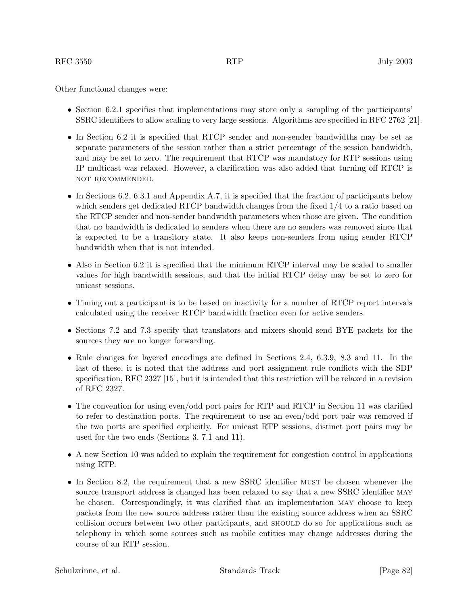#### RFC 3550 July 2003

Other functional changes were:

- Section 6.2.1 specifies that implementations may store only a sampling of the participants' SSRC identifiers to allow scaling to very large sessions. Algorithms are specified in RFC 2762 [21].
- In Section 6.2 it is specified that RTCP sender and non-sender bandwidths may be set as separate parameters of the session rather than a strict percentage of the session bandwidth, and may be set to zero. The requirement that RTCP was mandatory for RTP sessions using IP multicast was relaxed. However, a clarification was also added that turning off RTCP is NOT RECOMMENDED.
- In Sections 6.2, 6.3.1 and Appendix A.7, it is specified that the fraction of participants below which senders get dedicated RTCP bandwidth changes from the fixed 1/4 to a ratio based on the RTCP sender and non-sender bandwidth parameters when those are given. The condition that no bandwidth is dedicated to senders when there are no senders was removed since that is expected to be a transitory state. It also keeps non-senders from using sender RTCP bandwidth when that is not intended.
- Also in Section 6.2 it is specified that the minimum RTCP interval may be scaled to smaller values for high bandwidth sessions, and that the initial RTCP delay may be set to zero for unicast sessions.
- Timing out a participant is to be based on inactivity for a number of RTCP report intervals calculated using the receiver RTCP bandwidth fraction even for active senders.
- Sections 7.2 and 7.3 specify that translators and mixers should send BYE packets for the sources they are no longer forwarding.
- Rule changes for layered encodings are defined in Sections 2.4, 6.3.9, 8.3 and 11. In the last of these, it is noted that the address and port assignment rule conflicts with the SDP specification, RFC 2327 [15], but it is intended that this restriction will be relaxed in a revision of RFC 2327.
- The convention for using even/odd port pairs for RTP and RTCP in Section 11 was clarified to refer to destination ports. The requirement to use an even/odd port pair was removed if the two ports are specified explicitly. For unicast RTP sessions, distinct port pairs may be used for the two ends (Sections 3, 7.1 and 11).
- A new Section 10 was added to explain the requirement for congestion control in applications using RTP.
- In Section 8.2, the requirement that a new SSRC identifier MUST be chosen whenever the source transport address is changed has been relaxed to say that a new SSRC identifier may be chosen. Correspondingly, it was clarified that an implementation may choose to keep packets from the new source address rather than the existing source address when an SSRC collision occurs between two other participants, and should do so for applications such as telephony in which some sources such as mobile entities may change addresses during the course of an RTP session.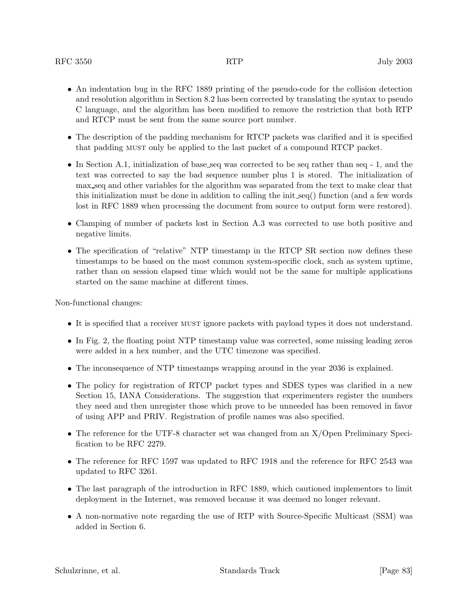- An indentation bug in the RFC 1889 printing of the pseudo-code for the collision detection and resolution algorithm in Section 8.2 has been corrected by translating the syntax to pseudo C language, and the algorithm has been modified to remove the restriction that both RTP and RTCP must be sent from the same source port number.
- The description of the padding mechanism for RTCP packets was clarified and it is specified that padding must only be applied to the last packet of a compound RTCP packet.
- In Section A.1, initialization of base seq was corrected to be seq rather than seq 1, and the text was corrected to say the bad sequence number plus 1 is stored. The initialization of max seq and other variables for the algorithm was separated from the text to make clear that this initialization must be done in addition to calling the init seq() function (and a few words lost in RFC 1889 when processing the document from source to output form were restored).
- Clamping of number of packets lost in Section A.3 was corrected to use both positive and negative limits.
- The specification of "relative" NTP timestamp in the RTCP SR section now defines these timestamps to be based on the most common system-specific clock, such as system uptime, rather than on session elapsed time which would not be the same for multiple applications started on the same machine at different times.

Non-functional changes:

- It is specified that a receiver MUST ignore packets with payload types it does not understand.
- In Fig. 2, the floating point NTP timestamp value was corrected, some missing leading zeros were added in a hex number, and the UTC timezone was specified.
- The inconsequence of NTP timestamps wrapping around in the year 2036 is explained.
- The policy for registration of RTCP packet types and SDES types was clarified in a new Section 15, IANA Considerations. The suggestion that experimenters register the numbers they need and then unregister those which prove to be unneeded has been removed in favor of using APP and PRIV. Registration of profile names was also specified.
- The reference for the UTF-8 character set was changed from an X/Open Preliminary Specification to be RFC 2279.
- The reference for RFC 1597 was updated to RFC 1918 and the reference for RFC 2543 was updated to RFC 3261.
- The last paragraph of the introduction in RFC 1889, which cautioned implementors to limit deployment in the Internet, was removed because it was deemed no longer relevant.
- A non-normative note regarding the use of RTP with Source-Specific Multicast (SSM) was added in Section 6.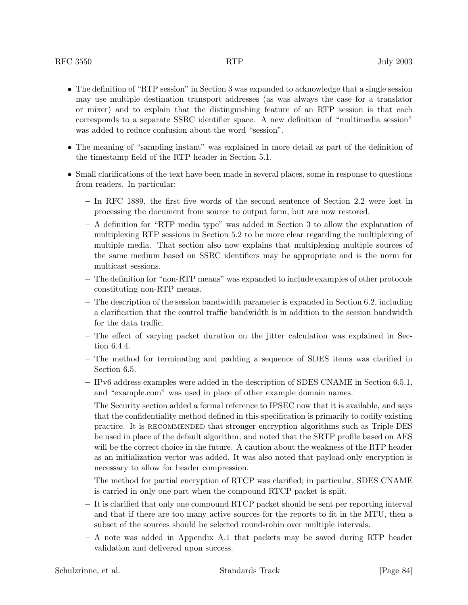- The definition of "RTP session" in Section 3 was expanded to acknowledge that a single session may use multiple destination transport addresses (as was always the case for a translator or mixer) and to explain that the distinguishing feature of an RTP session is that each corresponds to a separate SSRC identifier space. A new definition of "multimedia session" was added to reduce confusion about the word "session".
- The meaning of "sampling instant" was explained in more detail as part of the definition of the timestamp field of the RTP header in Section 5.1.
- Small clarifications of the text have been made in several places, some in response to questions from readers. In particular:
	- **–** In RFC 1889, the first five words of the second sentence of Section 2.2 were lost in processing the document from source to output form, but are now restored.
	- **–** A definition for "RTP media type" was added in Section 3 to allow the explanation of multiplexing RTP sessions in Section 5.2 to be more clear regarding the multiplexing of multiple media. That section also now explains that multiplexing multiple sources of the same medium based on SSRC identifiers may be appropriate and is the norm for multicast sessions.
	- **–** The definition for "non-RTP means" was expanded to include examples of other protocols constituting non-RTP means.
	- **–** The description of the session bandwidth parameter is expanded in Section 6.2, including a clarification that the control traffic bandwidth is in addition to the session bandwidth for the data traffic.
	- **–** The effect of varying packet duration on the jitter calculation was explained in Section 6.4.4.
	- **–** The method for terminating and padding a sequence of SDES items was clarified in Section 6.5.
	- **–** IPv6 address examples were added in the description of SDES CNAME in Section 6.5.1, and "example.com" was used in place of other example domain names.
	- **–** The Security section added a formal reference to IPSEC now that it is available, and says that the confidentiality method defined in this specification is primarily to codify existing practice. It is recommended that stronger encryption algorithms such as Triple-DES be used in place of the default algorithm, and noted that the SRTP profile based on AES will be the correct choice in the future. A caution about the weakness of the RTP header as an initialization vector was added. It was also noted that payload-only encryption is necessary to allow for header compression.
	- **–** The method for partial encryption of RTCP was clarified; in particular, SDES CNAME is carried in only one part when the compound RTCP packet is split.
	- **–** It is clarified that only one compound RTCP packet should be sent per reporting interval and that if there are too many active sources for the reports to fit in the MTU, then a subset of the sources should be selected round-robin over multiple intervals.
	- **–** A note was added in Appendix A.1 that packets may be saved during RTP header validation and delivered upon success.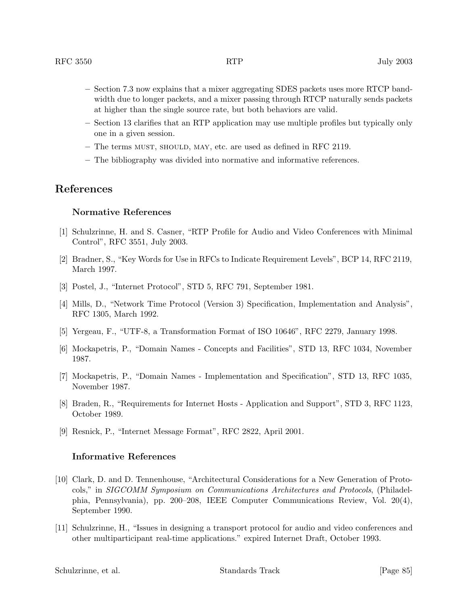- **–** Section 7.3 now explains that a mixer aggregating SDES packets uses more RTCP bandwidth due to longer packets, and a mixer passing through RTCP naturally sends packets at higher than the single source rate, but both behaviors are valid.
- **–** Section 13 clarifies that an RTP application may use multiple profiles but typically only one in a given session.
- **–** The terms must, should, may, etc. are used as defined in RFC 2119.
- **–** The bibliography was divided into normative and informative references.

### **References**

#### **Normative References**

- [1] Schulzrinne, H. and S. Casner, "RTP Profile for Audio and Video Conferences with Minimal Control", RFC 3551, July 2003.
- [2] Bradner, S., "Key Words for Use in RFCs to Indicate Requirement Levels", BCP 14, RFC 2119, March 1997.
- [3] Postel, J., "Internet Protocol", STD 5, RFC 791, September 1981.
- [4] Mills, D., "Network Time Protocol (Version 3) Specification, Implementation and Analysis", RFC 1305, March 1992.
- [5] Yergeau, F., "UTF-8, a Transformation Format of ISO 10646", RFC 2279, January 1998.
- [6] Mockapetris, P., "Domain Names Concepts and Facilities", STD 13, RFC 1034, November 1987.
- [7] Mockapetris, P., "Domain Names Implementation and Specification", STD 13, RFC 1035, November 1987.
- [8] Braden, R., "Requirements for Internet Hosts Application and Support", STD 3, RFC 1123, October 1989.
- [9] Resnick, P., "Internet Message Format", RFC 2822, April 2001.

#### **Informative References**

- [10] Clark, D. and D. Tennenhouse, "Architectural Considerations for a New Generation of Protocols," in *SIGCOMM Symposium on Communications Architectures and Protocols*, (Philadelphia, Pennsylvania), pp. 200–208, IEEE Computer Communications Review, Vol. 20(4), September 1990.
- [11] Schulzrinne, H., "Issues in designing a transport protocol for audio and video conferences and other multiparticipant real-time applications." expired Internet Draft, October 1993.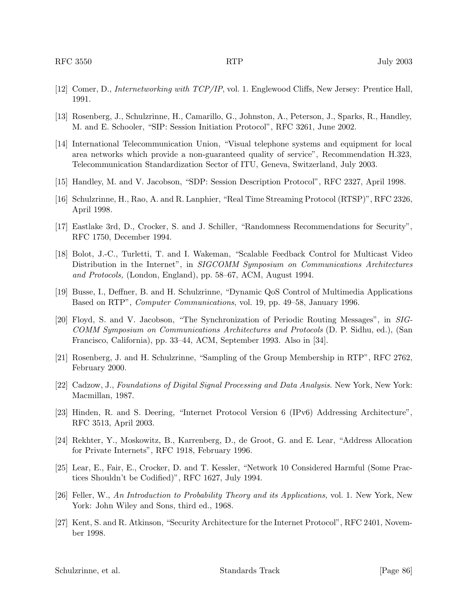- [12] Comer, D., *Internetworking with TCP/IP*, vol. 1. Englewood Cliffs, New Jersey: Prentice Hall, 1991.
- [13] Rosenberg, J., Schulzrinne, H., Camarillo, G., Johnston, A., Peterson, J., Sparks, R., Handley, M. and E. Schooler, "SIP: Session Initiation Protocol", RFC 3261, June 2002.
- [14] International Telecommunication Union, "Visual telephone systems and equipment for local area networks which provide a non-guaranteed quality of service", Recommendation H.323, Telecommunication Standardization Sector of ITU, Geneva, Switzerland, July 2003.
- [15] Handley, M. and V. Jacobson, "SDP: Session Description Protocol", RFC 2327, April 1998.
- [16] Schulzrinne, H., Rao, A. and R. Lanphier, "Real Time Streaming Protocol (RTSP)", RFC 2326, April 1998.
- [17] Eastlake 3rd, D., Crocker, S. and J. Schiller, "Randomness Recommendations for Security", RFC 1750, December 1994.
- [18] Bolot, J.-C., Turletti, T. and I. Wakeman, "Scalable Feedback Control for Multicast Video Distribution in the Internet", in *SIGCOMM Symposium on Communications Architectures and Protocols,* (London, England), pp. 58–67, ACM, August 1994.
- [19] Busse, I., Deffner, B. and H. Schulzrinne, "Dynamic QoS Control of Multimedia Applications Based on RTP", *Computer Communications*, vol. 19, pp. 49–58, January 1996.
- [20] Floyd, S. and V. Jacobson, "The Synchronization of Periodic Routing Messages", in *SIG-COMM Symposium on Communications Architectures and Protocols* (D. P. Sidhu, ed.), (San Francisco, California), pp. 33–44, ACM, September 1993. Also in [34].
- [21] Rosenberg, J. and H. Schulzrinne, "Sampling of the Group Membership in RTP", RFC 2762, February 2000.
- [22] Cadzow, J., *Foundations of Digital Signal Processing and Data Analysis*. New York, New York: Macmillan, 1987.
- [23] Hinden, R. and S. Deering, "Internet Protocol Version 6 (IPv6) Addressing Architecture", RFC 3513, April 2003.
- [24] Rekhter, Y., Moskowitz, B., Karrenberg, D., de Groot, G. and E. Lear, "Address Allocation for Private Internets", RFC 1918, February 1996.
- [25] Lear, E., Fair, E., Crocker, D. and T. Kessler, "Network 10 Considered Harmful (Some Practices Shouldn't be Codified)", RFC 1627, July 1994.
- [26] Feller, W., *An Introduction to Probability Theory and its Applications,* vol. 1. New York, New York: John Wiley and Sons, third ed., 1968.
- [27] Kent, S. and R. Atkinson, "Security Architecture for the Internet Protocol", RFC 2401, November 1998.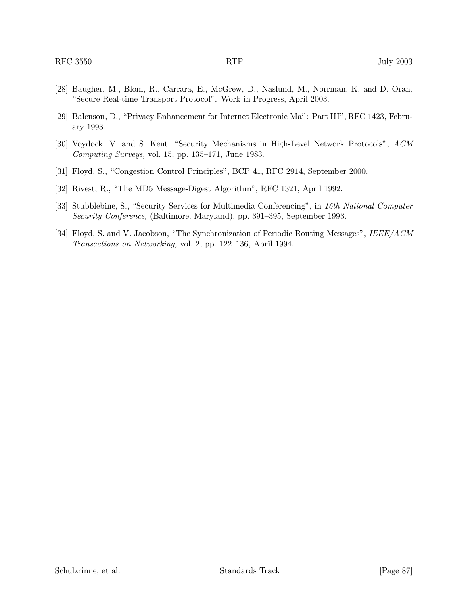- [28] Baugher, M., Blom, R., Carrara, E., McGrew, D., Naslund, M., Norrman, K. and D. Oran, "Secure Real-time Transport Protocol", Work in Progress, April 2003.
- [29] Balenson, D., "Privacy Enhancement for Internet Electronic Mail: Part III", RFC 1423, February 1993.
- [30] Voydock, V. and S. Kent, "Security Mechanisms in High-Level Network Protocols", *ACM Computing Surveys,* vol. 15, pp. 135–171, June 1983.
- [31] Floyd, S., "Congestion Control Principles", BCP 41, RFC 2914, September 2000.
- [32] Rivest, R., "The MD5 Message-Digest Algorithm", RFC 1321, April 1992.
- [33] Stubblebine, S., "Security Services for Multimedia Conferencing", in *16th National Computer Security Conference,* (Baltimore, Maryland), pp. 391–395, September 1993.
- [34] Floyd, S. and V. Jacobson, "The Synchronization of Periodic Routing Messages", *IEEE/ACM Transactions on Networking,* vol. 2, pp. 122–136, April 1994.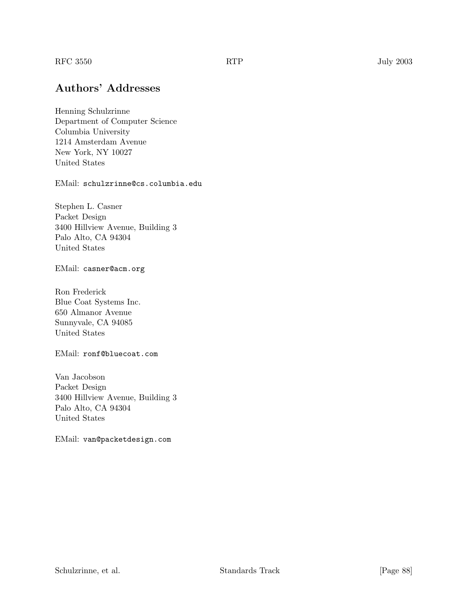# **Authors' Addresses**

Henning Schulzrinne Department of Computer Science Columbia University 1214 Amsterdam Avenue New York, NY 10027 United States

EMail: schulzrinne@cs.columbia.edu

Stephen L. Casner Packet Design 3400 Hillview Avenue, Building 3 Palo Alto, CA 94304 United States

EMail: casner@acm.org

Ron Frederick Blue Coat Systems Inc. 650 Almanor Avenue Sunnyvale, CA 94085 United States

EMail: ronf@bluecoat.com

Van Jacobson Packet Design 3400 Hillview Avenue, Building 3 Palo Alto, CA 94304 United States

EMail: van@packetdesign.com